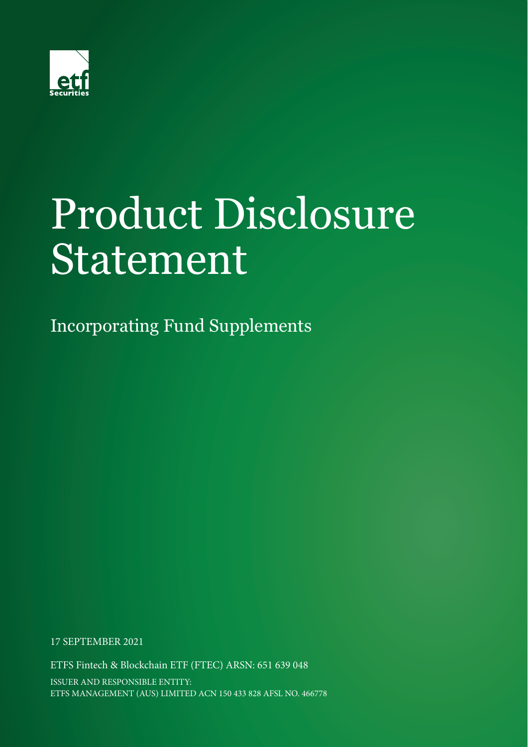

# Product Disclosure Statement

Incorporating Fund Supplements

17 SEPTEMBER 2021

ETFS Fintech & Blockchain ETF (FTEC) ARSN: 651 639 048 ISSUER AND RESPONSIBLE ENTITY: ETFS MANAGEMENT (AUS) LIMITED ACN 150 433 828 AFSL NO. 466778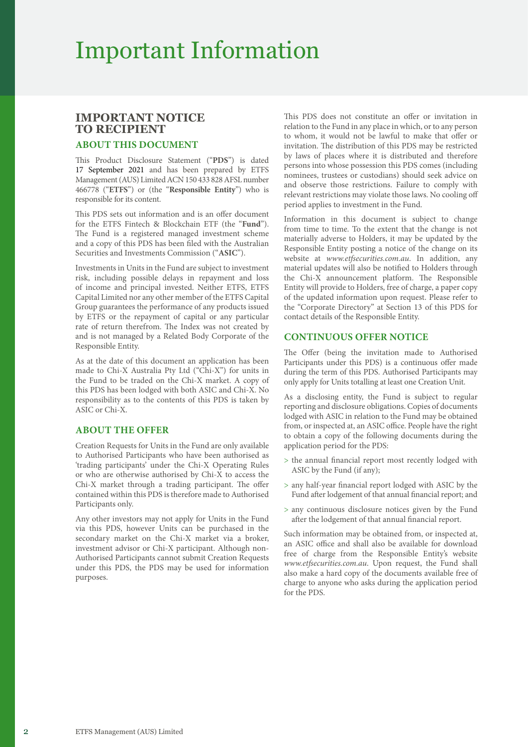### Important Information

### **IMPORTANT NOTICE TO RECIPIENT**

### **ABOUT THIS DOCUMENT**

This Product Disclosure Statement ("**PDS**") is dated 17 September 2021 and has been prepared by ETFS Management (AUS) Limited ACN 150 433 828 AFSL number 466778 ("**ETFS**") or (the "**Responsible Entity**") who is responsible for its content.

This PDS sets out information and is an offer document for the ETFS Fintech & Blockchain ETF (the "**Fund**"). The Fund is a registered managed investment scheme and a copy of this PDS has been filed with the Australian Securities and Investments Commission ("**ASIC**").

Investments in Units in the Fund are subject to investment risk, including possible delays in repayment and loss of income and principal invested. Neither ETFS, ETFS Capital Limited nor any other member of the ETFS Capital Group guarantees the performance of any products issued by ETFS or the repayment of capital or any particular rate of return therefrom. The Index was not created by and is not managed by a Related Body Corporate of the Responsible Entity.

As at the date of this document an application has been made to Chi-X Australia Pty Ltd ("Chi-X") for units in the Fund to be traded on the Chi-X market. A copy of this PDS has been lodged with both ASIC and Chi-X. No responsibility as to the contents of this PDS is taken by ASIC or Chi-X.

### **ABOUT THE OFFER**

Creation Requests for Units in the Fund are only available to Authorised Participants who have been authorised as 'trading participants' under the Chi-X Operating Rules or who are otherwise authorised by Chi-X to access the Chi-X market through a trading participant. The offer contained within this PDS is therefore made to Authorised Participants only.

Any other investors may not apply for Units in the Fund via this PDS, however Units can be purchased in the secondary market on the Chi-X market via a broker, investment advisor or Chi-X participant. Although non-Authorised Participants cannot submit Creation Requests under this PDS, the PDS may be used for information purposes.

This PDS does not constitute an offer or invitation in relation to the Fund in any place in which, or to any person to whom, it would not be lawful to make that offer or invitation. The distribution of this PDS may be restricted by laws of places where it is distributed and therefore persons into whose possession this PDS comes (including nominees, trustees or custodians) should seek advice on and observe those restrictions. Failure to comply with relevant restrictions may violate those laws. No cooling off period applies to investment in the Fund.

Information in this document is subject to change from time to time. To the extent that the change is not materially adverse to Holders, it may be updated by the Responsible Entity posting a notice of the change on its website at *[www.etfsecurities.com.au](https://www.etfsecurities.com.au)*. In addition, any material updates will also be notified to Holders through the Chi-X announcement platform. The Responsible Entity will provide to Holders, free of charge, a paper copy of the updated information upon request. Please refer to the "Corporate Directory" at Section 13 of this PDS for contact details of the Responsible Entity.

### **CONTINUOUS OFFER NOTICE**

The Offer (being the invitation made to Authorised Participants under this PDS) is a continuous offer made during the term of this PDS. Authorised Participants may only apply for Units totalling at least one Creation Unit.

As a disclosing entity, the Fund is subject to regular reporting and disclosure obligations. Copies of documents lodged with ASIC in relation to the Fund may be obtained from, or inspected at, an ASIC office. People have the right to obtain a copy of the following documents during the application period for the PDS:

- > the annual financial report most recently lodged with ASIC by the Fund (if any);
- > any half-year financial report lodged with ASIC by the Fund after lodgement of that annual financial report; and
- > any continuous disclosure notices given by the Fund after the lodgement of that annual financial report.

Such information may be obtained from, or inspected at, an ASIC office and shall also be available for download free of charge from the Responsible Entity's website *[www.etfsecurities.com.au](https://www.etfsecurities.com.au)*. Upon request, the Fund shall also make a hard copy of the documents available free of charge to anyone who asks during the application period for the PDS.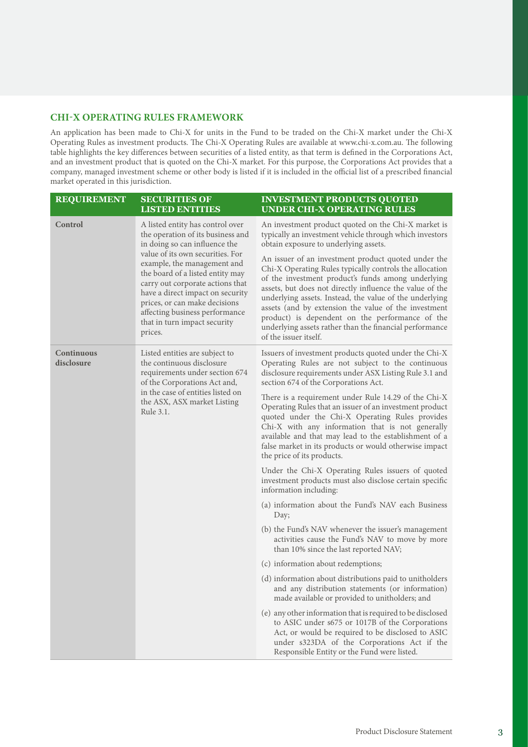### **CHI-X OPERATING RULES FRAMEWORK**

An application has been made to Chi-X for units in the Fund to be traded on the Chi-X market under the Chi-X Operating Rules as investment products. The Chi-X Operating Rules are available at www.chi-x.com.au. The following table highlights the key differences between securities of a listed entity, as that term is defined in the Corporations Act, and an investment product that is quoted on the Chi-X market. For this purpose, the Corporations Act provides that a company, managed investment scheme or other body is listed if it is included in the official list of a prescribed financial market operated in this jurisdiction.

| <b>REQUIREMENT</b>       | <b>SECURITIES OF</b><br><b>LISTED ENTITIES</b>                                                                                                                                                                                                                                            | <b>INVESTMENT PRODUCTS QUOTED</b><br><b>UNDER CHI-X OPERATING RULES</b>                                                                                                                                                                                                                                                                                                                                                                                                                    |
|--------------------------|-------------------------------------------------------------------------------------------------------------------------------------------------------------------------------------------------------------------------------------------------------------------------------------------|--------------------------------------------------------------------------------------------------------------------------------------------------------------------------------------------------------------------------------------------------------------------------------------------------------------------------------------------------------------------------------------------------------------------------------------------------------------------------------------------|
| Control                  | A listed entity has control over<br>the operation of its business and<br>in doing so can influence the                                                                                                                                                                                    | An investment product quoted on the Chi-X market is<br>typically an investment vehicle through which investors<br>obtain exposure to underlying assets.                                                                                                                                                                                                                                                                                                                                    |
|                          | value of its own securities. For<br>example, the management and<br>the board of a listed entity may<br>carry out corporate actions that<br>have a direct impact on security<br>prices, or can make decisions<br>affecting business performance<br>that in turn impact security<br>prices. | An issuer of an investment product quoted under the<br>Chi-X Operating Rules typically controls the allocation<br>of the investment product's funds among underlying<br>assets, but does not directly influence the value of the<br>underlying assets. Instead, the value of the underlying<br>assets (and by extension the value of the investment<br>product) is dependent on the performance of the<br>underlying assets rather than the financial performance<br>of the issuer itself. |
| Continuous<br>disclosure | Listed entities are subject to<br>the continuous disclosure<br>requirements under section 674<br>of the Corporations Act and,<br>in the case of entities listed on<br>the ASX, ASX market Listing<br>Rule 3.1.                                                                            | Issuers of investment products quoted under the Chi-X<br>Operating Rules are not subject to the continuous<br>disclosure requirements under ASX Listing Rule 3.1 and<br>section 674 of the Corporations Act.                                                                                                                                                                                                                                                                               |
|                          |                                                                                                                                                                                                                                                                                           | There is a requirement under Rule 14.29 of the Chi-X<br>Operating Rules that an issuer of an investment product<br>quoted under the Chi-X Operating Rules provides<br>Chi-X with any information that is not generally<br>available and that may lead to the establishment of a<br>false market in its products or would otherwise impact<br>the price of its products.                                                                                                                    |
|                          |                                                                                                                                                                                                                                                                                           | Under the Chi-X Operating Rules issuers of quoted<br>investment products must also disclose certain specific<br>information including:                                                                                                                                                                                                                                                                                                                                                     |
|                          |                                                                                                                                                                                                                                                                                           | (a) information about the Fund's NAV each Business<br>Day;                                                                                                                                                                                                                                                                                                                                                                                                                                 |
|                          |                                                                                                                                                                                                                                                                                           | (b) the Fund's NAV whenever the issuer's management<br>activities cause the Fund's NAV to move by more<br>than 10% since the last reported NAV;                                                                                                                                                                                                                                                                                                                                            |
|                          |                                                                                                                                                                                                                                                                                           | (c) information about redemptions;                                                                                                                                                                                                                                                                                                                                                                                                                                                         |
|                          |                                                                                                                                                                                                                                                                                           | (d) information about distributions paid to unitholders<br>and any distribution statements (or information)<br>made available or provided to unitholders; and                                                                                                                                                                                                                                                                                                                              |
|                          |                                                                                                                                                                                                                                                                                           | (e) any other information that is required to be disclosed<br>to ASIC under s675 or 1017B of the Corporations<br>Act, or would be required to be disclosed to ASIC<br>under s323DA of the Corporations Act if the<br>Responsible Entity or the Fund were listed.                                                                                                                                                                                                                           |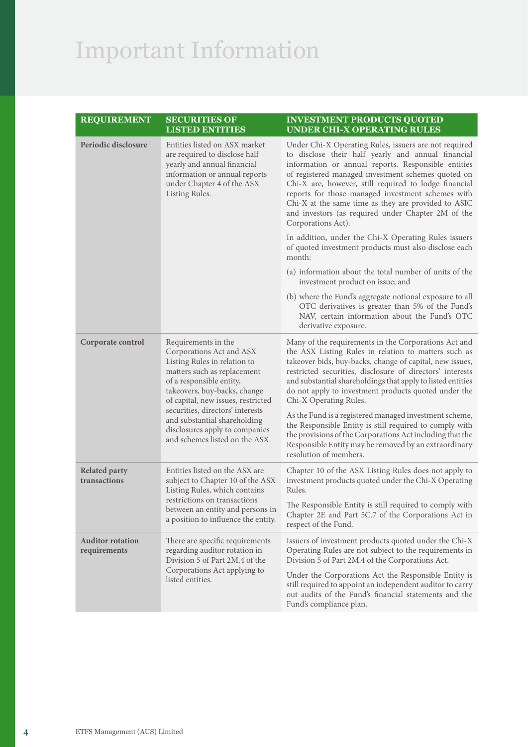# Important Information

| <b>REQUIREMENT</b>                      | <b>SECURITIES OF</b><br><b>LISTED ENTITIES</b>                                                                                                                                                                                                                                                                                                           | <b>INVESTMENT PRODUCTS QUOTED</b><br><b>UNDER CHI-X OPERATING RULES</b>                                                                                                                                                                                                                                                                                                                                                                                                   |
|-----------------------------------------|----------------------------------------------------------------------------------------------------------------------------------------------------------------------------------------------------------------------------------------------------------------------------------------------------------------------------------------------------------|---------------------------------------------------------------------------------------------------------------------------------------------------------------------------------------------------------------------------------------------------------------------------------------------------------------------------------------------------------------------------------------------------------------------------------------------------------------------------|
| Periodic disclosure                     | Entities listed on ASX market<br>are required to disclose half<br>yearly and annual financial<br>information or annual reports<br>under Chapter 4 of the ASX<br>Listing Rules.                                                                                                                                                                           | Under Chi-X Operating Rules, issuers are not required<br>to disclose their half yearly and annual financial<br>information or annual reports. Responsible entities<br>of registered managed investment schemes quoted on<br>Chi-X are, however, still required to lodge financial<br>reports for those managed investment schemes with<br>Chi-X at the same time as they are provided to ASIC<br>and investors (as required under Chapter 2M of the<br>Corporations Act). |
|                                         |                                                                                                                                                                                                                                                                                                                                                          | In addition, under the Chi-X Operating Rules issuers<br>of quoted investment products must also disclose each<br>month:                                                                                                                                                                                                                                                                                                                                                   |
|                                         |                                                                                                                                                                                                                                                                                                                                                          | (a) information about the total number of units of the<br>investment product on issue; and                                                                                                                                                                                                                                                                                                                                                                                |
|                                         |                                                                                                                                                                                                                                                                                                                                                          | (b) where the Fund's aggregate notional exposure to all<br>OTC derivatives is greater than 5% of the Fund's<br>NAV, certain information about the Fund's OTC<br>derivative exposure.                                                                                                                                                                                                                                                                                      |
| Corporate control                       | Requirements in the<br>Corporations Act and ASX<br>Listing Rules in relation to<br>matters such as replacement<br>of a responsible entity,<br>takeovers, buy-backs, change<br>of capital, new issues, restricted<br>securities, directors' interests<br>and substantial shareholding<br>disclosures apply to companies<br>and schemes listed on the ASX. | Many of the requirements in the Corporations Act and<br>the ASX Listing Rules in relation to matters such as<br>takeover bids, buy-backs, change of capital, new issues,<br>restricted securities, disclosure of directors' interests<br>and substantial shareholdings that apply to listed entities<br>do not apply to investment products quoted under the<br>Chi-X Operating Rules.                                                                                    |
|                                         |                                                                                                                                                                                                                                                                                                                                                          | As the Fund is a registered managed investment scheme,<br>the Responsible Entity is still required to comply with<br>the provisions of the Corporations Act including that the<br>Responsible Entity may be removed by an extraordinary<br>resolution of members.                                                                                                                                                                                                         |
| <b>Related party</b><br>transactions    | Entities listed on the ASX are<br>subject to Chapter 10 of the ASX<br>Listing Rules, which contains                                                                                                                                                                                                                                                      | Chapter 10 of the ASX Listing Rules does not apply to<br>investment products quoted under the Chi-X Operating<br>Rules.                                                                                                                                                                                                                                                                                                                                                   |
|                                         | restrictions on transactions<br>between an entity and persons in<br>a position to influence the entity.                                                                                                                                                                                                                                                  | The Responsible Entity is still required to comply with<br>Chapter 2E and Part 5C.7 of the Corporations Act in<br>respect of the Fund.                                                                                                                                                                                                                                                                                                                                    |
| <b>Auditor rotation</b><br>requirements | There are specific requirements<br>regarding auditor rotation in<br>Division 5 of Part 2M.4 of the<br>Corporations Act applying to<br>listed entities.                                                                                                                                                                                                   | Issuers of investment products quoted under the Chi-X<br>Operating Rules are not subject to the requirements in<br>Division 5 of Part 2M.4 of the Corporations Act.                                                                                                                                                                                                                                                                                                       |
|                                         |                                                                                                                                                                                                                                                                                                                                                          | Under the Corporations Act the Responsible Entity is<br>still required to appoint an independent auditor to carry<br>out audits of the Fund's financial statements and the<br>Fund's compliance plan.                                                                                                                                                                                                                                                                     |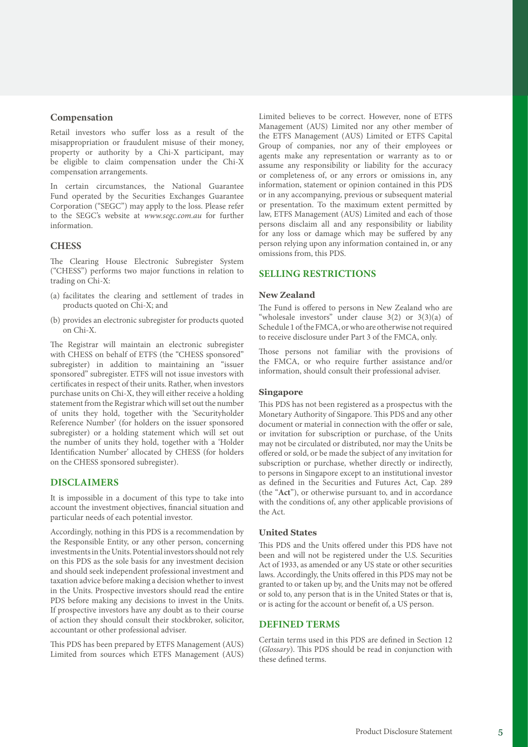### **Compensation**

Retail investors who suffer loss as a result of the misappropriation or fraudulent misuse of their money, property or authority by a Chi-X participant, may be eligible to claim compensation under the Chi-X compensation arrangements.

In certain circumstances, the National Guarantee Fund operated by the Securities Exchanges Guarantee Corporation ("SEGC") may apply to the loss. Please refer to the SEGC's website at *[www.segc.com.au](https://www.segc.com.au)* for further information.

### **CHESS**

The Clearing House Electronic Subregister System ("CHESS") performs two major functions in relation to trading on Chi-X:

- (a) facilitates the clearing and settlement of trades in products quoted on Chi-X; and
- (b) provides an electronic subregister for products quoted on Chi-X.

The Registrar will maintain an electronic subregister with CHESS on behalf of ETFS (the "CHESS sponsored" subregister) in addition to maintaining an "issuer sponsored" subregister. ETFS will not issue investors with certificates in respect of their units. Rather, when investors purchase units on Chi-X, they will either receive a holding statement from the Registrar which will set out the number of units they hold, together with the 'Securityholder Reference Number' (for holders on the issuer sponsored subregister) or a holding statement which will set out the number of units they hold, together with a 'Holder Identification Number' allocated by CHESS (for holders on the CHESS sponsored subregister).

### **DISCLAIMERS**

It is impossible in a document of this type to take into account the investment objectives, financial situation and particular needs of each potential investor.

Accordingly, nothing in this PDS is a recommendation by the Responsible Entity, or any other person, concerning investments in the Units. Potential investors should not rely on this PDS as the sole basis for any investment decision and should seek independent professional investment and taxation advice before making a decision whether to invest in the Units. Prospective investors should read the entire PDS before making any decisions to invest in the Units. If prospective investors have any doubt as to their course of action they should consult their stockbroker, solicitor, accountant or other professional adviser.

This PDS has been prepared by ETFS Management (AUS) Limited from sources which ETFS Management (AUS) Limited believes to be correct. However, none of ETFS Management (AUS) Limited nor any other member of the ETFS Management (AUS) Limited or ETFS Capital Group of companies, nor any of their employees or agents make any representation or warranty as to or assume any responsibility or liability for the accuracy or completeness of, or any errors or omissions in, any information, statement or opinion contained in this PDS or in any accompanying, previous or subsequent material or presentation. To the maximum extent permitted by law, ETFS Management (AUS) Limited and each of those persons disclaim all and any responsibility or liability for any loss or damage which may be suffered by any person relying upon any information contained in, or any omissions from, this PDS.

#### **SELLING RESTRICTIONS**

### **New Zealand**

The Fund is offered to persons in New Zealand who are "wholesale investors" under clause  $3(2)$  or  $3(3)(a)$  of Schedule 1 of the FMCA, or who are otherwise not required to receive disclosure under Part 3 of the FMCA, only.

Those persons not familiar with the provisions of the FMCA, or who require further assistance and/or information, should consult their professional adviser.

#### **Singapore**

This PDS has not been registered as a prospectus with the Monetary Authority of Singapore. This PDS and any other document or material in connection with the offer or sale, or invitation for subscription or purchase, of the Units may not be circulated or distributed, nor may the Units be offered or sold, or be made the subject of any invitation for subscription or purchase, whether directly or indirectly, to persons in Singapore except to an institutional investor as defined in the Securities and Futures Act, Cap. 289 (the "**Act**"), or otherwise pursuant to, and in accordance with the conditions of, any other applicable provisions of the Act.

### **United States**

This PDS and the Units offered under this PDS have not been and will not be registered under the U.S. Securities Act of 1933, as amended or any US state or other securities laws. Accordingly, the Units offered in this PDS may not be granted to or taken up by, and the Units may not be offered or sold to, any person that is in the United States or that is, or is acting for the account or benefit of, a US person.

### **DEFINED TERMS**

Certain terms used in this PDS are defined in Section 12 (*Glossary*). This PDS should be read in conjunction with these defined terms.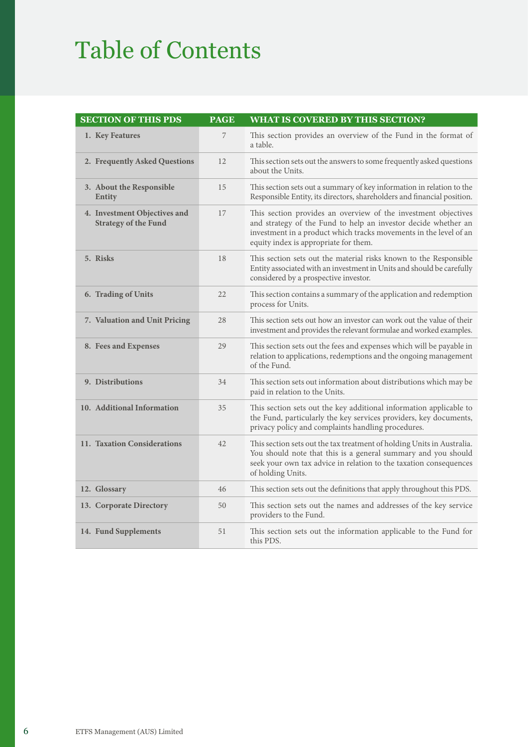### Table of Contents

| <b>SECTION OF THIS PDS</b>                                  | <b>PAGE</b> | <b>WHAT IS COVERED BY THIS SECTION?</b>                                                                                                                                                                                                        |
|-------------------------------------------------------------|-------------|------------------------------------------------------------------------------------------------------------------------------------------------------------------------------------------------------------------------------------------------|
| 1. Key Features                                             | 7           | This section provides an overview of the Fund in the format of<br>a table.                                                                                                                                                                     |
| 2. Frequently Asked Questions                               | 12          | This section sets out the answers to some frequently asked questions<br>about the Units.                                                                                                                                                       |
| 3. About the Responsible<br>Entity                          | 15          | This section sets out a summary of key information in relation to the<br>Responsible Entity, its directors, shareholders and financial position.                                                                                               |
| 4. Investment Objectives and<br><b>Strategy of the Fund</b> | 17          | This section provides an overview of the investment objectives<br>and strategy of the Fund to help an investor decide whether an<br>investment in a product which tracks movements in the level of an<br>equity index is appropriate for them. |
| 5. Risks                                                    | 18          | This section sets out the material risks known to the Responsible<br>Entity associated with an investment in Units and should be carefully<br>considered by a prospective investor.                                                            |
| 6. Trading of Units                                         | 22          | This section contains a summary of the application and redemption<br>process for Units.                                                                                                                                                        |
| 7. Valuation and Unit Pricing                               | 28          | This section sets out how an investor can work out the value of their<br>investment and provides the relevant formulae and worked examples.                                                                                                    |
| 8. Fees and Expenses                                        | 29          | This section sets out the fees and expenses which will be payable in<br>relation to applications, redemptions and the ongoing management<br>of the Fund.                                                                                       |
| 9. Distributions                                            | 34          | This section sets out information about distributions which may be<br>paid in relation to the Units.                                                                                                                                           |
| 10. Additional Information                                  | 35          | This section sets out the key additional information applicable to<br>the Fund, particularly the key services providers, key documents,<br>privacy policy and complaints handling procedures.                                                  |
| 11. Taxation Considerations                                 | 42          | This section sets out the tax treatment of holding Units in Australia.<br>You should note that this is a general summary and you should<br>seek your own tax advice in relation to the taxation consequences<br>of holding Units.              |
| 12. Glossary                                                | 46          | This section sets out the definitions that apply throughout this PDS.                                                                                                                                                                          |
| 13. Corporate Directory                                     | 50          | This section sets out the names and addresses of the key service<br>providers to the Fund.                                                                                                                                                     |
| 14. Fund Supplements                                        | 51          | This section sets out the information applicable to the Fund for<br>this PDS.                                                                                                                                                                  |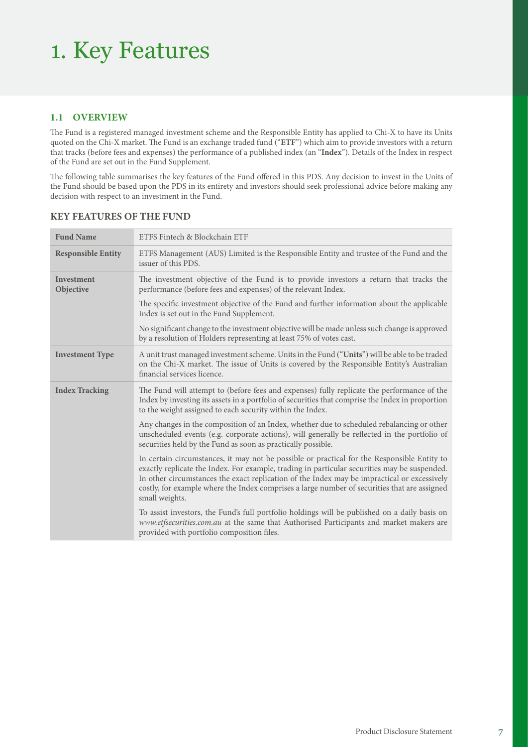### 1. Key Features

### **1.1 OVERVIEW**

The Fund is a registered managed investment scheme and the Responsible Entity has applied to Chi-X to have its Units quoted on the Chi-X market. The Fund is an exchange traded fund ("**ETF**") which aim to provide investors with a return that tracks (before fees and expenses) the performance of a published index (an "**Index**"). Details of the Index in respect of the Fund are set out in the Fund Supplement.

The following table summarises the key features of the Fund offered in this PDS. Any decision to invest in the Units of the Fund should be based upon the PDS in its entirety and investors should seek professional advice before making any decision with respect to an investment in the Fund.

| <b>Fund Name</b>               | ETFS Fintech & Blockchain ETF                                                                                                                                                                                                                                                                                                                                                                                |  |
|--------------------------------|--------------------------------------------------------------------------------------------------------------------------------------------------------------------------------------------------------------------------------------------------------------------------------------------------------------------------------------------------------------------------------------------------------------|--|
| <b>Responsible Entity</b>      | ETFS Management (AUS) Limited is the Responsible Entity and trustee of the Fund and the<br>issuer of this PDS.                                                                                                                                                                                                                                                                                               |  |
| <b>Investment</b><br>Objective | The investment objective of the Fund is to provide investors a return that tracks the<br>performance (before fees and expenses) of the relevant Index.                                                                                                                                                                                                                                                       |  |
|                                | The specific investment objective of the Fund and further information about the applicable<br>Index is set out in the Fund Supplement.                                                                                                                                                                                                                                                                       |  |
|                                | No significant change to the investment objective will be made unless such change is approved<br>by a resolution of Holders representing at least 75% of votes cast.                                                                                                                                                                                                                                         |  |
| <b>Investment Type</b>         | A unit trust managed investment scheme. Units in the Fund ("Units") will be able to be traded<br>on the Chi-X market. The issue of Units is covered by the Responsible Entity's Australian<br>financial services licence.                                                                                                                                                                                    |  |
| <b>Index Tracking</b>          | The Fund will attempt to (before fees and expenses) fully replicate the performance of the<br>Index by investing its assets in a portfolio of securities that comprise the Index in proportion<br>to the weight assigned to each security within the Index.                                                                                                                                                  |  |
|                                | Any changes in the composition of an Index, whether due to scheduled rebalancing or other<br>unscheduled events (e.g. corporate actions), will generally be reflected in the portfolio of<br>securities held by the Fund as soon as practically possible.                                                                                                                                                    |  |
|                                | In certain circumstances, it may not be possible or practical for the Responsible Entity to<br>exactly replicate the Index. For example, trading in particular securities may be suspended.<br>In other circumstances the exact replication of the Index may be impractical or excessively<br>costly, for example where the Index comprises a large number of securities that are assigned<br>small weights. |  |
|                                | To assist investors, the Fund's full portfolio holdings will be published on a daily basis on<br>www.etfsecurities.com.au at the same that Authorised Participants and market makers are<br>provided with portfolio composition files.                                                                                                                                                                       |  |

### **KEY FEATURES OF THE FUND**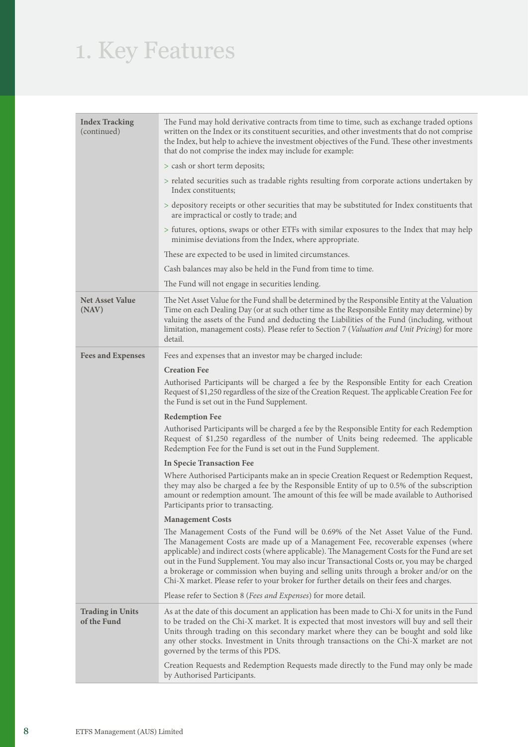# 1. Key Features

| <b>Index Tracking</b><br>(continued)   | The Fund may hold derivative contracts from time to time, such as exchange traded options<br>written on the Index or its constituent securities, and other investments that do not comprise<br>the Index, but help to achieve the investment objectives of the Fund. These other investments<br>that do not comprise the index may include for example:                                                                                                                                                                                                    |
|----------------------------------------|------------------------------------------------------------------------------------------------------------------------------------------------------------------------------------------------------------------------------------------------------------------------------------------------------------------------------------------------------------------------------------------------------------------------------------------------------------------------------------------------------------------------------------------------------------|
|                                        | > cash or short term deposits;                                                                                                                                                                                                                                                                                                                                                                                                                                                                                                                             |
|                                        | > related securities such as tradable rights resulting from corporate actions undertaken by<br>Index constituents;                                                                                                                                                                                                                                                                                                                                                                                                                                         |
|                                        | > depository receipts or other securities that may be substituted for Index constituents that<br>are impractical or costly to trade; and                                                                                                                                                                                                                                                                                                                                                                                                                   |
|                                        | > futures, options, swaps or other ETFs with similar exposures to the Index that may help<br>minimise deviations from the Index, where appropriate.                                                                                                                                                                                                                                                                                                                                                                                                        |
|                                        | These are expected to be used in limited circumstances.                                                                                                                                                                                                                                                                                                                                                                                                                                                                                                    |
|                                        | Cash balances may also be held in the Fund from time to time.                                                                                                                                                                                                                                                                                                                                                                                                                                                                                              |
|                                        | The Fund will not engage in securities lending.                                                                                                                                                                                                                                                                                                                                                                                                                                                                                                            |
| <b>Net Asset Value</b><br>(NAV)        | The Net Asset Value for the Fund shall be determined by the Responsible Entity at the Valuation<br>Time on each Dealing Day (or at such other time as the Responsible Entity may determine) by<br>valuing the assets of the Fund and deducting the Liabilities of the Fund (including, without<br>limitation, management costs). Please refer to Section 7 (Valuation and Unit Pricing) for more<br>detail.                                                                                                                                                |
| <b>Fees and Expenses</b>               | Fees and expenses that an investor may be charged include:                                                                                                                                                                                                                                                                                                                                                                                                                                                                                                 |
|                                        | <b>Creation Fee</b>                                                                                                                                                                                                                                                                                                                                                                                                                                                                                                                                        |
|                                        | Authorised Participants will be charged a fee by the Responsible Entity for each Creation<br>Request of \$1,250 regardless of the size of the Creation Request. The applicable Creation Fee for<br>the Fund is set out in the Fund Supplement.                                                                                                                                                                                                                                                                                                             |
|                                        | <b>Redemption Fee</b>                                                                                                                                                                                                                                                                                                                                                                                                                                                                                                                                      |
|                                        | Authorised Participants will be charged a fee by the Responsible Entity for each Redemption<br>Request of \$1,250 regardless of the number of Units being redeemed. The applicable<br>Redemption Fee for the Fund is set out in the Fund Supplement.                                                                                                                                                                                                                                                                                                       |
|                                        | <b>In Specie Transaction Fee</b>                                                                                                                                                                                                                                                                                                                                                                                                                                                                                                                           |
|                                        | Where Authorised Participants make an in specie Creation Request or Redemption Request,<br>they may also be charged a fee by the Responsible Entity of up to 0.5% of the subscription<br>amount or redemption amount. The amount of this fee will be made available to Authorised<br>Participants prior to transacting.                                                                                                                                                                                                                                    |
|                                        | <b>Management Costs</b>                                                                                                                                                                                                                                                                                                                                                                                                                                                                                                                                    |
|                                        | The Management Costs of the Fund will be 0.69% of the Net Asset Value of the Fund.<br>The Management Costs are made up of a Management Fee, recoverable expenses (where<br>applicable) and indirect costs (where applicable). The Management Costs for the Fund are set<br>out in the Fund Supplement. You may also incur Transactional Costs or, you may be charged<br>a brokerage or commission when buying and selling units through a broker and/or on the<br>Chi-X market. Please refer to your broker for further details on their fees and charges. |
|                                        | Please refer to Section 8 (Fees and Expenses) for more detail.                                                                                                                                                                                                                                                                                                                                                                                                                                                                                             |
| <b>Trading in Units</b><br>of the Fund | As at the date of this document an application has been made to Chi-X for units in the Fund<br>to be traded on the Chi-X market. It is expected that most investors will buy and sell their<br>Units through trading on this secondary market where they can be bought and sold like<br>any other stocks. Investment in Units through transactions on the Chi-X market are not<br>governed by the terms of this PDS.                                                                                                                                       |
|                                        | Creation Requests and Redemption Requests made directly to the Fund may only be made<br>by Authorised Participants.                                                                                                                                                                                                                                                                                                                                                                                                                                        |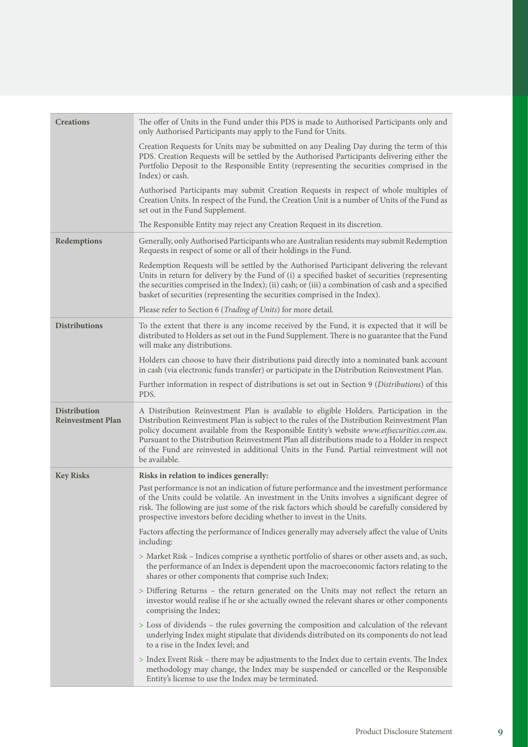| <b>Creations</b>                                | The offer of Units in the Fund under this PDS is made to Authorised Participants only and<br>only Authorised Participants may apply to the Fund for Units.                                                                                                                                                                                                                                                                                                                                         |
|-------------------------------------------------|----------------------------------------------------------------------------------------------------------------------------------------------------------------------------------------------------------------------------------------------------------------------------------------------------------------------------------------------------------------------------------------------------------------------------------------------------------------------------------------------------|
|                                                 | Creation Requests for Units may be submitted on any Dealing Day during the term of this<br>PDS. Creation Requests will be settled by the Authorised Participants delivering either the<br>Portfolio Deposit to the Responsible Entity (representing the securities comprised in the<br>Index) or cash.                                                                                                                                                                                             |
|                                                 | Authorised Participants may submit Creation Requests in respect of whole multiples of<br>Creation Units. In respect of the Fund, the Creation Unit is a number of Units of the Fund as<br>set out in the Fund Supplement.                                                                                                                                                                                                                                                                          |
|                                                 | The Responsible Entity may reject any Creation Request in its discretion.                                                                                                                                                                                                                                                                                                                                                                                                                          |
| Redemptions                                     | Generally, only Authorised Participants who are Australian residents may submit Redemption<br>Requests in respect of some or all of their holdings in the Fund.                                                                                                                                                                                                                                                                                                                                    |
|                                                 | Redemption Requests will be settled by the Authorised Participant delivering the relevant<br>Units in return for delivery by the Fund of (i) a specified basket of securities (representing<br>the securities comprised in the Index); (ii) cash; or (iii) a combination of cash and a specified<br>basket of securities (representing the securities comprised in the Index).                                                                                                                     |
|                                                 | Please refer to Section 6 (Trading of Units) for more detail.                                                                                                                                                                                                                                                                                                                                                                                                                                      |
| <b>Distributions</b>                            | To the extent that there is any income received by the Fund, it is expected that it will be<br>distributed to Holders as set out in the Fund Supplement. There is no guarantee that the Fund<br>will make any distributions.                                                                                                                                                                                                                                                                       |
|                                                 | Holders can choose to have their distributions paid directly into a nominated bank account<br>in cash (via electronic funds transfer) or participate in the Distribution Reinvestment Plan.                                                                                                                                                                                                                                                                                                        |
|                                                 | Further information in respect of distributions is set out in Section 9 (Distributions) of this<br>PDS.                                                                                                                                                                                                                                                                                                                                                                                            |
| <b>Distribution</b><br><b>Reinvestment Plan</b> | A Distribution Reinvestment Plan is available to eligible Holders. Participation in the<br>Distribution Reinvestment Plan is subject to the rules of the Distribution Reinvestment Plan<br>policy document available from the Responsible Entity's website www.etfsecurities.com.au.<br>Pursuant to the Distribution Reinvestment Plan all distributions made to a Holder in respect<br>of the Fund are reinvested in additional Units in the Fund. Partial reinvestment will not<br>be available. |
| <b>Key Risks</b>                                | Risks in relation to indices generally:                                                                                                                                                                                                                                                                                                                                                                                                                                                            |
|                                                 | Past performance is not an indication of future performance and the investment performance<br>of the Units could be volatile. An investment in the Units involves a significant degree of<br>risk. The following are just some of the risk factors which should be carefully considered by<br>prospective investors before deciding whether to invest in the Units.                                                                                                                                |
|                                                 | Factors affecting the performance of Indices generally may adversely affect the value of Units<br>including:                                                                                                                                                                                                                                                                                                                                                                                       |
|                                                 | > Market Risk - Indices comprise a synthetic portfolio of shares or other assets and, as such,<br>the performance of an Index is dependent upon the macroeconomic factors relating to the<br>shares or other components that comprise such Index;                                                                                                                                                                                                                                                  |
|                                                 | > Differing Returns - the return generated on the Units may not reflect the return an<br>investor would realise if he or she actually owned the relevant shares or other components<br>comprising the Index;                                                                                                                                                                                                                                                                                       |
|                                                 | > Loss of dividends – the rules governing the composition and calculation of the relevant<br>underlying Index might stipulate that dividends distributed on its components do not lead<br>to a rise in the Index level; and                                                                                                                                                                                                                                                                        |
|                                                 | > Index Event Risk – there may be adjustments to the Index due to certain events. The Index<br>methodology may change, the Index may be suspended or cancelled or the Responsible<br>Entity's license to use the Index may be terminated.                                                                                                                                                                                                                                                          |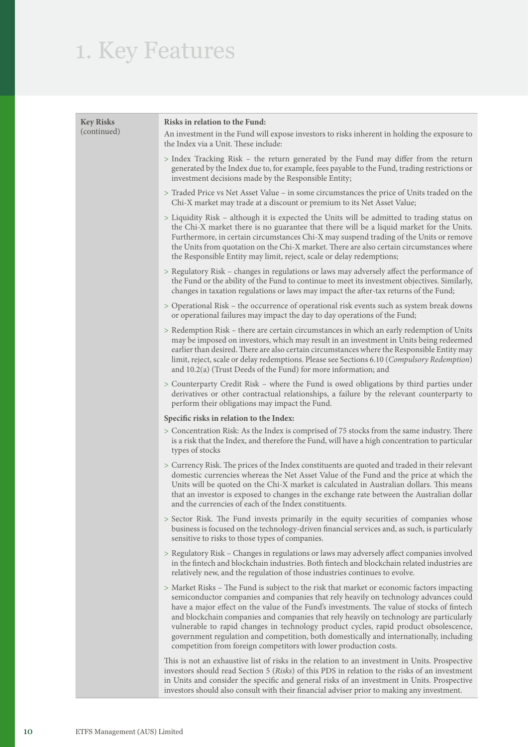### 1. Key Features

| <b>Key Risks</b><br>(continued) | Risks in relation to the Fund:<br>An investment in the Fund will expose investors to risks inherent in holding the exposure to<br>the Index via a Unit. These include:                                                                                                                                                                                                                                                                                                                                                                                                                                                               |
|---------------------------------|--------------------------------------------------------------------------------------------------------------------------------------------------------------------------------------------------------------------------------------------------------------------------------------------------------------------------------------------------------------------------------------------------------------------------------------------------------------------------------------------------------------------------------------------------------------------------------------------------------------------------------------|
|                                 | > Index Tracking Risk – the return generated by the Fund may differ from the return<br>generated by the Index due to, for example, fees payable to the Fund, trading restrictions or<br>investment decisions made by the Responsible Entity;                                                                                                                                                                                                                                                                                                                                                                                         |
|                                 | > Traded Price vs Net Asset Value – in some circumstances the price of Units traded on the<br>Chi-X market may trade at a discount or premium to its Net Asset Value;                                                                                                                                                                                                                                                                                                                                                                                                                                                                |
|                                 | > Liquidity Risk – although it is expected the Units will be admitted to trading status on<br>the Chi-X market there is no guarantee that there will be a liquid market for the Units.<br>Furthermore, in certain circumstances Chi-X may suspend trading of the Units or remove<br>the Units from quotation on the Chi-X market. There are also certain circumstances where<br>the Responsible Entity may limit, reject, scale or delay redemptions;                                                                                                                                                                                |
|                                 | > Regulatory Risk - changes in regulations or laws may adversely affect the performance of<br>the Fund or the ability of the Fund to continue to meet its investment objectives. Similarly,<br>changes in taxation regulations or laws may impact the after-tax returns of the Fund;                                                                                                                                                                                                                                                                                                                                                 |
|                                 | > Operational Risk – the occurrence of operational risk events such as system break downs<br>or operational failures may impact the day to day operations of the Fund;                                                                                                                                                                                                                                                                                                                                                                                                                                                               |
|                                 | > Redemption Risk - there are certain circumstances in which an early redemption of Units<br>may be imposed on investors, which may result in an investment in Units being redeemed<br>earlier than desired. There are also certain circumstances where the Responsible Entity may<br>limit, reject, scale or delay redemptions. Please see Sections 6.10 (Compulsory Redemption)<br>and $10.2(a)$ (Trust Deeds of the Fund) for more information; and                                                                                                                                                                               |
|                                 | > Counterparty Credit Risk – where the Fund is owed obligations by third parties under<br>derivatives or other contractual relationships, a failure by the relevant counterparty to<br>perform their obligations may impact the Fund.                                                                                                                                                                                                                                                                                                                                                                                                |
|                                 | Specific risks in relation to the Index:                                                                                                                                                                                                                                                                                                                                                                                                                                                                                                                                                                                             |
|                                 | > Concentration Risk: As the Index is comprised of 75 stocks from the same industry. There<br>is a risk that the Index, and therefore the Fund, will have a high concentration to particular<br>types of stocks                                                                                                                                                                                                                                                                                                                                                                                                                      |
|                                 | > Currency Risk. The prices of the Index constituents are quoted and traded in their relevant<br>domestic currencies whereas the Net Asset Value of the Fund and the price at which the<br>Units will be quoted on the Chi-X market is calculated in Australian dollars. This means<br>that an investor is exposed to changes in the exchange rate between the Australian dollar<br>and the currencies of each of the Index constituents.                                                                                                                                                                                            |
|                                 | > Sector Risk. The Fund invests primarily in the equity securities of companies whose<br>business is focused on the technology-driven financial services and, as such, is particularly<br>sensitive to risks to those types of companies.                                                                                                                                                                                                                                                                                                                                                                                            |
|                                 | > Regulatory Risk - Changes in regulations or laws may adversely affect companies involved<br>in the fintech and blockchain industries. Both fintech and blockchain related industries are<br>relatively new, and the regulation of those industries continues to evolve.                                                                                                                                                                                                                                                                                                                                                            |
|                                 | > Market Risks – The Fund is subject to the risk that market or economic factors impacting<br>semiconductor companies and companies that rely heavily on technology advances could<br>have a major effect on the value of the Fund's investments. The value of stocks of fintech<br>and blockchain companies and companies that rely heavily on technology are particularly<br>vulnerable to rapid changes in technology product cycles, rapid product obsolescence,<br>government regulation and competition, both domestically and internationally, including<br>competition from foreign competitors with lower production costs. |
|                                 | This is not an exhaustive list of risks in the relation to an investment in Units. Prospective<br>investors should read Section 5 (Risks) of this PDS in relation to the risks of an investment<br>in Units and consider the specific and general risks of an investment in Units. Prospective                                                                                                                                                                                                                                                                                                                                       |

investors should also consult with their financial adviser prior to making any investment.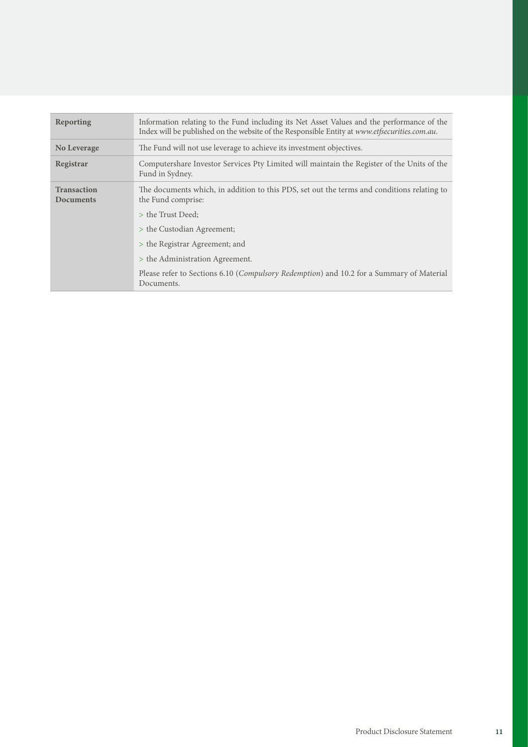| Reporting                              | Information relating to the Fund including its Net Asset Values and the performance of the<br>Index will be published on the website of the Responsible Entity at www.etfsecurities.com.au. |
|----------------------------------------|---------------------------------------------------------------------------------------------------------------------------------------------------------------------------------------------|
| No Leverage                            | The Fund will not use leverage to achieve its investment objectives.                                                                                                                        |
| Registrar                              | Computershare Investor Services Pty Limited will maintain the Register of the Units of the<br>Fund in Sydney.                                                                               |
| <b>Transaction</b><br><b>Documents</b> | The documents which, in addition to this PDS, set out the terms and conditions relating to<br>the Fund comprise:                                                                            |
|                                        | > the Trust Deed:                                                                                                                                                                           |
|                                        | > the Custodian Agreement;                                                                                                                                                                  |
|                                        | > the Registrar Agreement; and                                                                                                                                                              |
|                                        | > the Administration Agreement.                                                                                                                                                             |
|                                        | Please refer to Sections 6.10 (Compulsory Redemption) and 10.2 for a Summary of Material<br>Documents.                                                                                      |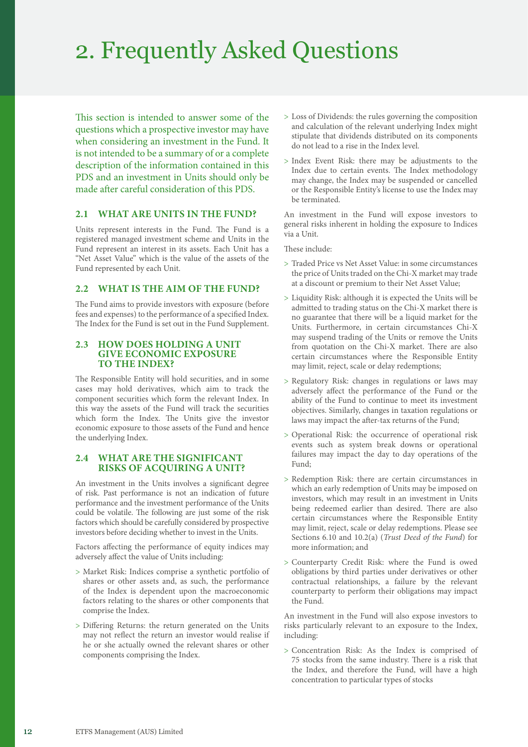### 2. Frequently Asked Questions

This section is intended to answer some of the questions which a prospective investor may have when considering an investment in the Fund. It is not intended to be a summary of or a complete description of the information contained in this PDS and an investment in Units should only be made after careful consideration of this PDS.

### **2.1 WHAT ARE UNITS IN THE FUND?**

Units represent interests in the Fund. The Fund is a registered managed investment scheme and Units in the Fund represent an interest in its assets. Each Unit has a "Net Asset Value" which is the value of the assets of the Fund represented by each Unit.

### **2.2 WHAT IS THE AIM OF THE FUND?**

The Fund aims to provide investors with exposure (before fees and expenses) to the performance of a specified Index. The Index for the Fund is set out in the Fund Supplement.

### **2.3 HOW DOES HOLDING A UNIT GIVE ECONOMIC EXPOSURE TO THE INDEX?**

The Responsible Entity will hold securities, and in some cases may hold derivatives, which aim to track the component securities which form the relevant Index. In this way the assets of the Fund will track the securities which form the Index. The Units give the investor economic exposure to those assets of the Fund and hence the underlying Index.

### **2.4 WHAT ARE THE SIGNIFICANT RISKS OF ACQUIRING A UNIT?**

An investment in the Units involves a significant degree of risk. Past performance is not an indication of future performance and the investment performance of the Units could be volatile. The following are just some of the risk factors which should be carefully considered by prospective investors before deciding whether to invest in the Units.

Factors affecting the performance of equity indices may adversely affect the value of Units including:

- > Market Risk: Indices comprise a synthetic portfolio of shares or other assets and, as such, the performance of the Index is dependent upon the macroeconomic factors relating to the shares or other components that comprise the Index.
- > Differing Returns: the return generated on the Units may not reflect the return an investor would realise if he or she actually owned the relevant shares or other components comprising the Index.
- > Loss of Dividends: the rules governing the composition and calculation of the relevant underlying Index might stipulate that dividends distributed on its components do not lead to a rise in the Index level.
- > Index Event Risk: there may be adjustments to the Index due to certain events. The Index methodology may change, the Index may be suspended or cancelled or the Responsible Entity's license to use the Index may be terminated.

An investment in the Fund will expose investors to general risks inherent in holding the exposure to Indices via a Unit.

These include:

- > Traded Price vs Net Asset Value: in some circumstances the price of Units traded on the Chi-X market may trade at a discount or premium to their Net Asset Value;
- > Liquidity Risk: although it is expected the Units will be admitted to trading status on the Chi-X market there is no guarantee that there will be a liquid market for the Units. Furthermore, in certain circumstances Chi-X may suspend trading of the Units or remove the Units from quotation on the Chi-X market. There are also certain circumstances where the Responsible Entity may limit, reject, scale or delay redemptions;
- > Regulatory Risk: changes in regulations or laws may adversely affect the performance of the Fund or the ability of the Fund to continue to meet its investment objectives. Similarly, changes in taxation regulations or laws may impact the after-tax returns of the Fund;
- > Operational Risk: the occurrence of operational risk events such as system break downs or operational failures may impact the day to day operations of the Fund;
- > Redemption Risk: there are certain circumstances in which an early redemption of Units may be imposed on investors, which may result in an investment in Units being redeemed earlier than desired. There are also certain circumstances where the Responsible Entity may limit, reject, scale or delay redemptions. Please see Sections 6.10 and 10.2(a) (*Trust Deed of the Fund*) for more information; and
- > Counterparty Credit Risk: where the Fund is owed obligations by third parties under derivatives or other contractual relationships, a failure by the relevant counterparty to perform their obligations may impact the Fund.

An investment in the Fund will also expose investors to risks particularly relevant to an exposure to the Index, including:

> Concentration Risk: As the Index is comprised of 75 stocks from the same industry. There is a risk that the Index, and therefore the Fund, will have a high concentration to particular types of stocks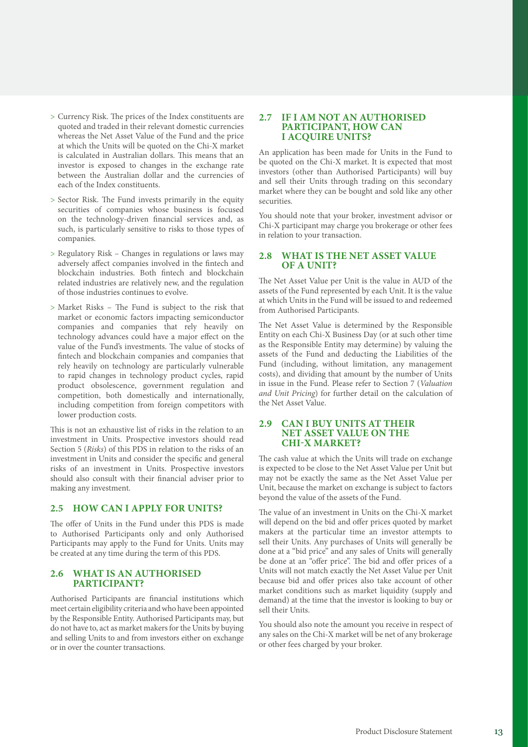- > Currency Risk. The prices of the Index constituents are quoted and traded in their relevant domestic currencies whereas the Net Asset Value of the Fund and the price at which the Units will be quoted on the Chi-X market is calculated in Australian dollars. This means that an investor is exposed to changes in the exchange rate between the Australian dollar and the currencies of each of the Index constituents.
- > Sector Risk. The Fund invests primarily in the equity securities of companies whose business is focused on the technology-driven financial services and, as such, is particularly sensitive to risks to those types of companies.
- > Regulatory Risk Changes in regulations or laws may adversely affect companies involved in the fintech and blockchain industries. Both fintech and blockchain related industries are relatively new, and the regulation of those industries continues to evolve.
- > Market Risks The Fund is subject to the risk that market or economic factors impacting semiconductor companies and companies that rely heavily on technology advances could have a major effect on the value of the Fund's investments. The value of stocks of fintech and blockchain companies and companies that rely heavily on technology are particularly vulnerable to rapid changes in technology product cycles, rapid product obsolescence, government regulation and competition, both domestically and internationally, including competition from foreign competitors with lower production costs.

This is not an exhaustive list of risks in the relation to an investment in Units. Prospective investors should read Section 5 (*Risks*) of this PDS in relation to the risks of an investment in Units and consider the specific and general risks of an investment in Units. Prospective investors should also consult with their financial adviser prior to making any investment.

### **2.5 HOW CAN I APPLY FOR UNITS?**

The offer of Units in the Fund under this PDS is made to Authorised Participants only and only Authorised Participants may apply to the Fund for Units. Units may be created at any time during the term of this PDS.

### **2.6 WHAT IS AN AUTHORISED PARTICIPANT?**

Authorised Participants are financial institutions which meet certain eligibility criteria and who have been appointed by the Responsible Entity. Authorised Participants may, but do not have to, act as market makers for the Units by buying and selling Units to and from investors either on exchange or in over the counter transactions.

### **2.7 IF I AM NOT AN AUTHORISED PARTICIPANT, HOW CAN I ACQUIRE UNITS?**

An application has been made for Units in the Fund to be quoted on the Chi-X market. It is expected that most investors (other than Authorised Participants) will buy and sell their Units through trading on this secondary market where they can be bought and sold like any other securities.

You should note that your broker, investment advisor or Chi-X participant may charge you brokerage or other fees in relation to your transaction.

### **2.8 WHAT IS THE NET ASSET VALUE OF A UNIT?**

The Net Asset Value per Unit is the value in AUD of the assets of the Fund represented by each Unit. It is the value at which Units in the Fund will be issued to and redeemed from Authorised Participants.

The Net Asset Value is determined by the Responsible Entity on each Chi-X Business Day (or at such other time as the Responsible Entity may determine) by valuing the assets of the Fund and deducting the Liabilities of the Fund (including, without limitation, any management costs), and dividing that amount by the number of Units in issue in the Fund. Please refer to Section 7 (*Valuation and Unit Pricing*) for further detail on the calculation of the Net Asset Value.

### **2.9 CAN I BUY UNITS AT THEIR NET ASSET VALUE ON THE CHI-X MARKET?**

The cash value at which the Units will trade on exchange is expected to be close to the Net Asset Value per Unit but may not be exactly the same as the Net Asset Value per Unit, because the market on exchange is subject to factors beyond the value of the assets of the Fund.

The value of an investment in Units on the Chi-X market will depend on the bid and offer prices quoted by market makers at the particular time an investor attempts to sell their Units. Any purchases of Units will generally be done at a "bid price" and any sales of Units will generally be done at an "offer price". The bid and offer prices of a Units will not match exactly the Net Asset Value per Unit because bid and offer prices also take account of other market conditions such as market liquidity (supply and demand) at the time that the investor is looking to buy or sell their Units.

You should also note the amount you receive in respect of any sales on the Chi-X market will be net of any brokerage or other fees charged by your broker.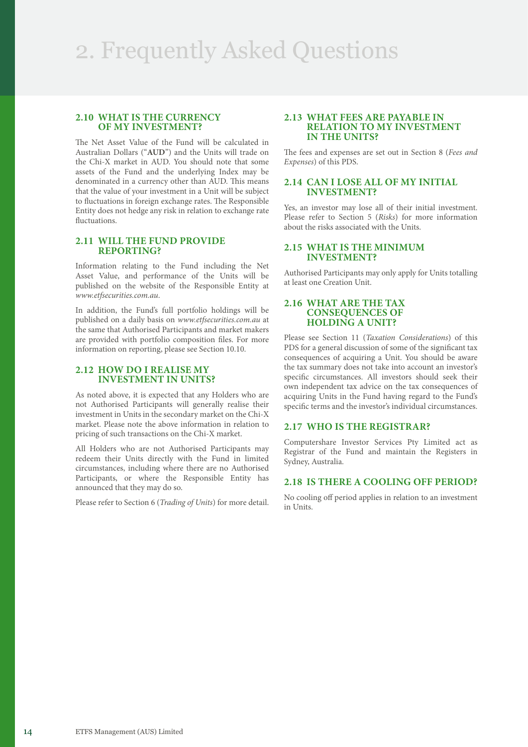### **2.10 WHAT IS THE CURRENCY OF MY INVESTMENT?**

The Net Asset Value of the Fund will be calculated in Australian Dollars ("**AUD**") and the Units will trade on the Chi-X market in AUD. You should note that some assets of the Fund and the underlying Index may be denominated in a currency other than AUD. This means that the value of your investment in a Unit will be subject to fluctuations in foreign exchange rates. The Responsible Entity does not hedge any risk in relation to exchange rate fluctuations.

### **2.11 WILL THE FUND PROVIDE REPORTING?**

Information relating to the Fund including the Net Asset Value, and performance of the Units will be published on the website of the Responsible Entity at *[www.etfsecurities.com.au](https://www.etfsecurities.com.au)*.

In addition, the Fund's full portfolio holdings will be published on a daily basis on *[www.etfsecurities.com.au](https://www.etfsecurities.com.au)* at the same that Authorised Participants and market makers are provided with portfolio composition files. For more information on reporting, please see Section 10.10.

### **2.12 HOW DO I REALISE MY INVESTMENT IN UNITS?**

As noted above, it is expected that any Holders who are not Authorised Participants will generally realise their investment in Units in the secondary market on the Chi-X market. Please note the above information in relation to pricing of such transactions on the Chi-X market.

All Holders who are not Authorised Participants may redeem their Units directly with the Fund in limited circumstances, including where there are no Authorised Participants, or where the Responsible Entity has announced that they may do so.

Please refer to Section 6 (*Trading of Units*) for more detail.

### **2.13 WHAT FEES ARE PAYABLE IN RELATION TO MY INVESTMENT IN THE UNITS?**

The fees and expenses are set out in Section 8 (*Fees and Expenses*) of this PDS.

### **2.14 CAN I LOSE ALL OF MY INITIAL INVESTMENT?**

Yes, an investor may lose all of their initial investment. Please refer to Section 5 (*Risks*) for more information about the risks associated with the Units.

### **2.15 WHAT IS THE MINIMUM INVESTMENT?**

Authorised Participants may only apply for Units totalling at least one Creation Unit.

### **2.16 WHAT ARE THE TAX CONSEQUENCES OF HOLDING A UNIT?**

Please see Section 11 (*Taxation Considerations*) of this PDS for a general discussion of some of the significant tax consequences of acquiring a Unit. You should be aware the tax summary does not take into account an investor's specific circumstances. All investors should seek their own independent tax advice on the tax consequences of acquiring Units in the Fund having regard to the Fund's specific terms and the investor's individual circumstances.

### **2.17 WHO IS THE REGISTRAR?**

Computershare Investor Services Pty Limited act as Registrar of the Fund and maintain the Registers in Sydney, Australia.

### **2.18 IS THERE A COOLING OFF PERIOD?**

No cooling off period applies in relation to an investment in Units.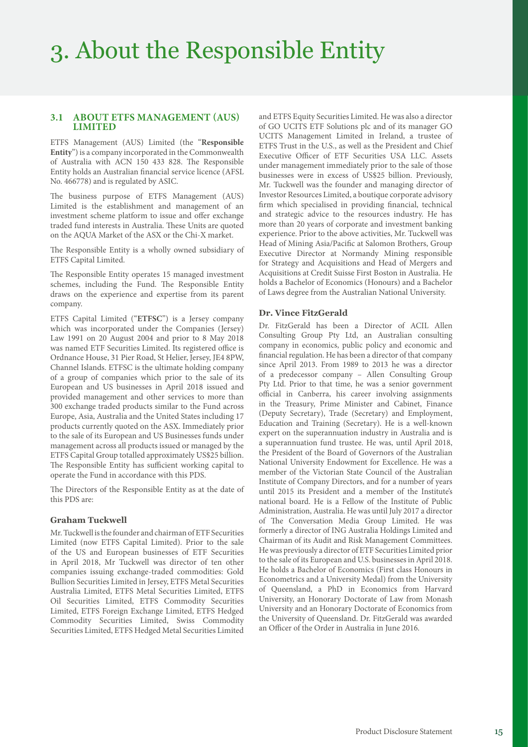### **3.1 ABOUT ETFS MANAGEMENT (AUS) LIMITED**

ETFS Management (AUS) Limited (the "**Responsible Entity**") is a company incorporated in the Commonwealth of Australia with ACN 150 433 828. The Responsible Entity holds an Australian financial service licence (AFSL No. 466778) and is regulated by ASIC.

The business purpose of ETFS Management (AUS) Limited is the establishment and management of an investment scheme platform to issue and offer exchange traded fund interests in Australia. These Units are quoted on the AQUA Market of the ASX or the Chi-X market.

The Responsible Entity is a wholly owned subsidiary of ETFS Capital Limited.

The Responsible Entity operates 15 managed investment schemes, including the Fund. The Responsible Entity draws on the experience and expertise from its parent company.

ETFS Capital Limited ("**ETFSC**") is a Jersey company which was incorporated under the Companies (Jersey) Law 1991 on 20 August 2004 and prior to 8 May 2018 was named ETF Securities Limited. Its registered office is Ordnance House, 31 Pier Road, St Helier, Jersey, JE4 8PW, Channel Islands. ETFSC is the ultimate holding company of a group of companies which prior to the sale of its European and US businesses in April 2018 issued and provided management and other services to more than 300 exchange traded products similar to the Fund across Europe, Asia, Australia and the United States including 17 products currently quoted on the ASX. Immediately prior to the sale of its European and US Businesses funds under management across all products issued or managed by the ETFS Capital Group totalled approximately US\$25 billion. The Responsible Entity has sufficient working capital to operate the Fund in accordance with this PDS.

The Directors of the Responsible Entity as at the date of this PDS are:

### **Graham Tuckwell**

Mr. Tuckwell is the founder and chairman of ETF Securities Limited (now ETFS Capital Limited). Prior to the sale of the US and European businesses of ETF Securities in April 2018, Mr Tuckwell was director of ten other companies issuing exchange-traded commodities: Gold Bullion Securities Limited in Jersey, ETFS Metal Securities Australia Limited, ETFS Metal Securities Limited, ETFS Oil Securities Limited, ETFS Commodity Securities Limited, ETFS Foreign Exchange Limited, ETFS Hedged Commodity Securities Limited, Swiss Commodity Securities Limited, ETFS Hedged Metal Securities Limited and ETFS Equity Securities Limited. He was also a director of GO UCITS ETF Solutions plc and of its manager GO UCITS Management Limited in Ireland, a trustee of ETFS Trust in the U.S., as well as the President and Chief Executive Officer of ETF Securities USA LLC. Assets under management immediately prior to the sale of those businesses were in excess of US\$25 billion. Previously, Mr. Tuckwell was the founder and managing director of Investor Resources Limited, a boutique corporate advisory firm which specialised in providing financial, technical and strategic advice to the resources industry. He has more than 20 years of corporate and investment banking experience. Prior to the above activities, Mr. Tuckwell was Head of Mining Asia/Pacific at Salomon Brothers, Group Executive Director at Normandy Mining responsible for Strategy and Acquisitions and Head of Mergers and Acquisitions at Credit Suisse First Boston in Australia. He holds a Bachelor of Economics (Honours) and a Bachelor of Laws degree from the Australian National University.

### **Dr. Vince FitzGerald**

Dr. FitzGerald has been a Director of ACIL Allen Consulting Group Pty Ltd, an Australian consulting company in economics, public policy and economic and financial regulation. He has been a director of that company since April 2013. From 1989 to 2013 he was a director of a predecessor company – Allen Consulting Group Pty Ltd. Prior to that time, he was a senior government official in Canberra, his career involving assignments in the Treasury, Prime Minister and Cabinet, Finance (Deputy Secretary), Trade (Secretary) and Employment, Education and Training (Secretary). He is a well-known expert on the superannuation industry in Australia and is a superannuation fund trustee. He was, until April 2018, the President of the Board of Governors of the Australian National University Endowment for Excellence. He was a member of the Victorian State Council of the Australian Institute of Company Directors, and for a number of years until 2015 its President and a member of the Institute's national board. He is a Fellow of the Institute of Public Administration, Australia. He was until July 2017 a director of The Conversation Media Group Limited. He was formerly a director of ING Australia Holdings Limited and Chairman of its Audit and Risk Management Committees. He was previously a director of ETF Securities Limited prior to the sale of its European and U.S. businesses in April 2018. He holds a Bachelor of Economics (First class Honours in Econometrics and a University Medal) from the University of Queensland, a PhD in Economics from Harvard University, an Honorary Doctorate of Law from Monash University and an Honorary Doctorate of Economics from the University of Queensland. Dr. FitzGerald was awarded an Officer of the Order in Australia in June 2016.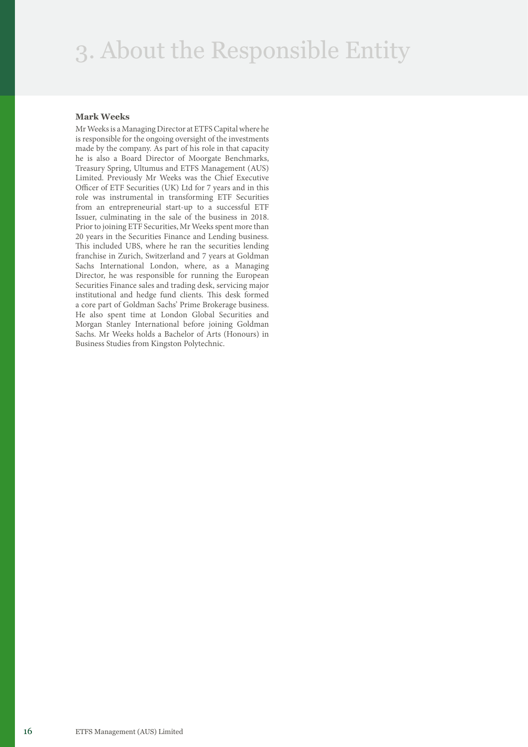### 3. About the Responsible Entity

### **Mark Weeks**

Mr Weeks is a Managing Director at ETFS Capital where he is responsible for the ongoing oversight of the investments made by the company. As part of his role in that capacity he is also a Board Director of Moorgate Benchmarks, Treasury Spring, Ultumus and ETFS Management (AUS) Limited. Previously Mr Weeks was the Chief Executive Officer of ETF Securities (UK) Ltd for 7 years and in this role was instrumental in transforming ETF Securities from an entrepreneurial start-up to a successful ETF Issuer, culminating in the sale of the business in 2018. Prior to joining ETF Securities, Mr Weeks spent more than 20 years in the Securities Finance and Lending business. This included UBS, where he ran the securities lending franchise in Zurich, Switzerland and 7 years at Goldman Sachs International London, where, as a Managing Director, he was responsible for running the European Securities Finance sales and trading desk, servicing major institutional and hedge fund clients. This desk formed a core part of Goldman Sachs' Prime Brokerage business. He also spent time at London Global Securities and Morgan Stanley International before joining Goldman Sachs. Mr Weeks holds a Bachelor of Arts (Honours) in Business Studies from Kingston Polytechnic.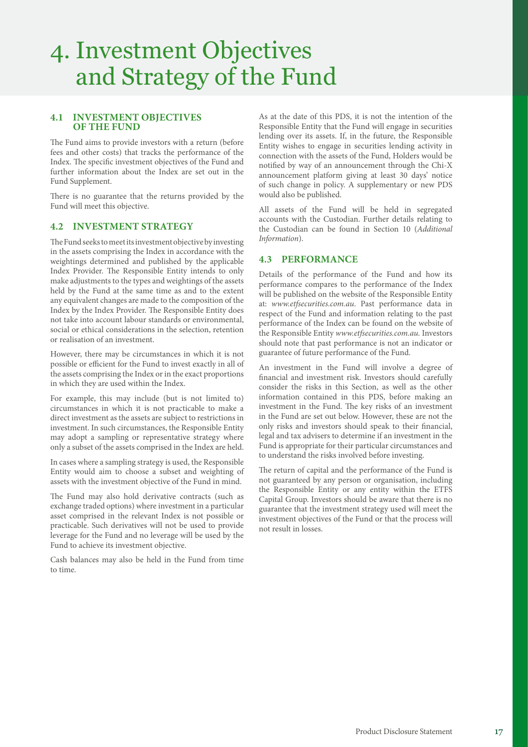### 4. Investment Objectives and Strategy of the Fund

### **4.1 INVESTMENT OBJECTIVES OF THE FUND**

The Fund aims to provide investors with a return (before fees and other costs) that tracks the performance of the Index. The specific investment objectives of the Fund and further information about the Index are set out in the Fund Supplement.

There is no guarantee that the returns provided by the Fund will meet this objective.

### **4.2 INVESTMENT STRATEGY**

The Fund seeks to meet its investment objective by investing in the assets comprising the Index in accordance with the weightings determined and published by the applicable Index Provider. The Responsible Entity intends to only make adjustments to the types and weightings of the assets held by the Fund at the same time as and to the extent any equivalent changes are made to the composition of the Index by the Index Provider. The Responsible Entity does not take into account labour standards or environmental, social or ethical considerations in the selection, retention or realisation of an investment.

However, there may be circumstances in which it is not possible or efficient for the Fund to invest exactly in all of the assets comprising the Index or in the exact proportions in which they are used within the Index.

For example, this may include (but is not limited to) circumstances in which it is not practicable to make a direct investment as the assets are subject to restrictions in investment. In such circumstances, the Responsible Entity may adopt a sampling or representative strategy where only a subset of the assets comprised in the Index are held.

In cases where a sampling strategy is used, the Responsible Entity would aim to choose a subset and weighting of assets with the investment objective of the Fund in mind.

The Fund may also hold derivative contracts (such as exchange traded options) where investment in a particular asset comprised in the relevant Index is not possible or practicable. Such derivatives will not be used to provide leverage for the Fund and no leverage will be used by the Fund to achieve its investment objective.

Cash balances may also be held in the Fund from time to time.

As at the date of this PDS, it is not the intention of the Responsible Entity that the Fund will engage in securities lending over its assets. If, in the future, the Responsible Entity wishes to engage in securities lending activity in connection with the assets of the Fund, Holders would be notified by way of an announcement through the Chi-X announcement platform giving at least 30 days' notice of such change in policy. A supplementary or new PDS would also be published.

All assets of the Fund will be held in segregated accounts with the Custodian. Further details relating to the Custodian can be found in Section 10 (*Additional Information*).

### **4.3 PERFORMANCE**

Details of the performance of the Fund and how its performance compares to the performance of the Index will be published on the website of the Responsible Entity at: *[www.etfsecurities.com.au](https://www.etfsecurities.com.au)*. Past performance data in respect of the Fund and information relating to the past performance of the Index can be found on the website of the Responsible Entity *[www.etfsecurities.com.au.](https://www.etfsecurities.com.au)* Investors should note that past performance is not an indicator or guarantee of future performance of the Fund.

An investment in the Fund will involve a degree of financial and investment risk. Investors should carefully consider the risks in this Section, as well as the other information contained in this PDS, before making an investment in the Fund. The key risks of an investment in the Fund are set out below. However, these are not the only risks and investors should speak to their financial, legal and tax advisers to determine if an investment in the Fund is appropriate for their particular circumstances and to understand the risks involved before investing.

The return of capital and the performance of the Fund is not guaranteed by any person or organisation, including the Responsible Entity or any entity within the ETFS Capital Group. Investors should be aware that there is no guarantee that the investment strategy used will meet the investment objectives of the Fund or that the process will not result in losses.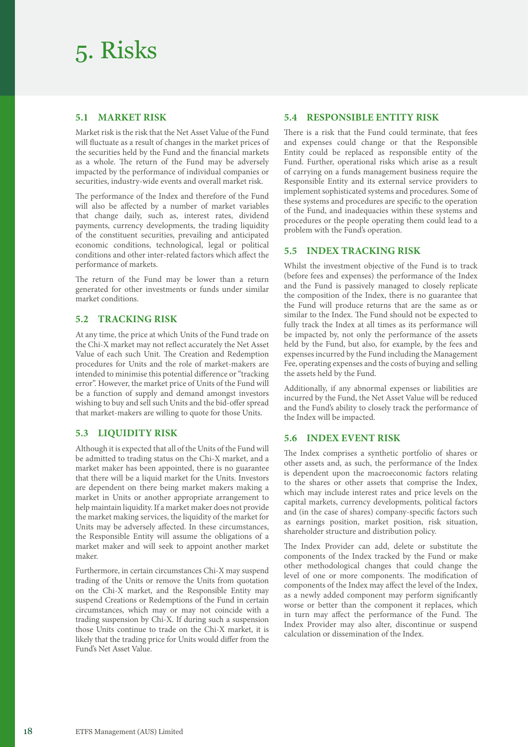### 5. Risks

### **5.1 MARKET RISK**

Market risk is the risk that the Net Asset Value of the Fund will fluctuate as a result of changes in the market prices of the securities held by the Fund and the financial markets as a whole. The return of the Fund may be adversely impacted by the performance of individual companies or securities, industry-wide events and overall market risk.

The performance of the Index and therefore of the Fund will also be affected by a number of market variables that change daily, such as, interest rates, dividend payments, currency developments, the trading liquidity of the constituent securities, prevailing and anticipated economic conditions, technological, legal or political conditions and other inter-related factors which affect the performance of markets.

The return of the Fund may be lower than a return generated for other investments or funds under similar market conditions.

### **5.2 TRACKING RISK**

At any time, the price at which Units of the Fund trade on the Chi-X market may not reflect accurately the Net Asset Value of each such Unit. The Creation and Redemption procedures for Units and the role of market-makers are intended to minimise this potential difference or "tracking error". However, the market price of Units of the Fund will be a function of supply and demand amongst investors wishing to buy and sell such Units and the bid-offer spread that market-makers are willing to quote for those Units.

### **5.3 LIQUIDITY RISK**

Although it is expected that all of the Units of the Fund will be admitted to trading status on the Chi-X market, and a market maker has been appointed, there is no guarantee that there will be a liquid market for the Units. Investors are dependent on there being market makers making a market in Units or another appropriate arrangement to help maintain liquidity. If a market maker does not provide the market making services, the liquidity of the market for Units may be adversely affected. In these circumstances, the Responsible Entity will assume the obligations of a market maker and will seek to appoint another market maker.

Furthermore, in certain circumstances Chi-X may suspend trading of the Units or remove the Units from quotation on the Chi-X market, and the Responsible Entity may suspend Creations or Redemptions of the Fund in certain circumstances, which may or may not coincide with a trading suspension by Chi-X. If during such a suspension those Units continue to trade on the Chi-X market, it is likely that the trading price for Units would differ from the Fund's Net Asset Value.

### **5.4 RESPONSIBLE ENTITY RISK**

There is a risk that the Fund could terminate, that fees and expenses could change or that the Responsible Entity could be replaced as responsible entity of the Fund. Further, operational risks which arise as a result of carrying on a funds management business require the Responsible Entity and its external service providers to implement sophisticated systems and procedures. Some of these systems and procedures are specific to the operation of the Fund, and inadequacies within these systems and procedures or the people operating them could lead to a problem with the Fund's operation.

### **5.5 INDEX TRACKING RISK**

Whilst the investment objective of the Fund is to track (before fees and expenses) the performance of the Index and the Fund is passively managed to closely replicate the composition of the Index, there is no guarantee that the Fund will produce returns that are the same as or similar to the Index. The Fund should not be expected to fully track the Index at all times as its performance will be impacted by, not only the performance of the assets held by the Fund, but also, for example, by the fees and expenses incurred by the Fund including the Management Fee, operating expenses and the costs of buying and selling the assets held by the Fund.

Additionally, if any abnormal expenses or liabilities are incurred by the Fund, the Net Asset Value will be reduced and the Fund's ability to closely track the performance of the Index will be impacted.

### **5.6 INDEX EVENT RISK**

The Index comprises a synthetic portfolio of shares or other assets and, as such, the performance of the Index is dependent upon the macroeconomic factors relating to the shares or other assets that comprise the Index, which may include interest rates and price levels on the capital markets, currency developments, political factors and (in the case of shares) company-specific factors such as earnings position, market position, risk situation, shareholder structure and distribution policy.

The Index Provider can add, delete or substitute the components of the Index tracked by the Fund or make other methodological changes that could change the level of one or more components. The modification of components of the Index may affect the level of the Index, as a newly added component may perform significantly worse or better than the component it replaces, which in turn may affect the performance of the Fund. The Index Provider may also alter, discontinue or suspend calculation or dissemination of the Index.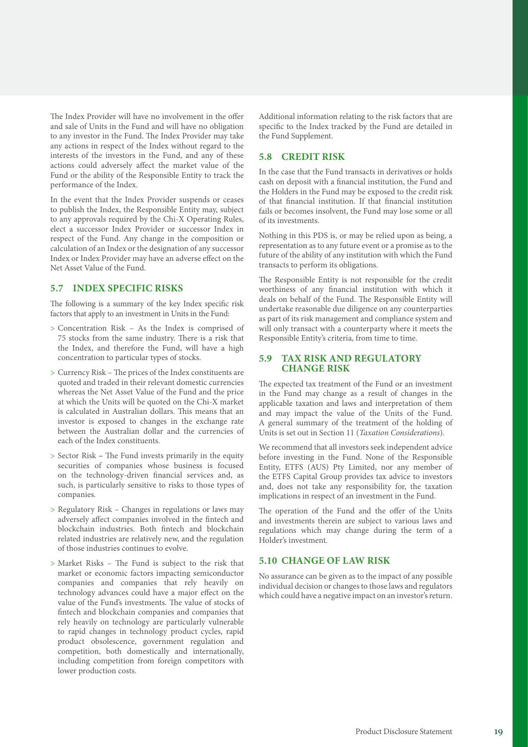The Index Provider will have no involvement in the offer and sale of Units in the Fund and will have no obligation to any investor in the Fund. The Index Provider may take any actions in respect of the Index without regard to the interests of the investors in the Fund, and any of these actions could adversely affect the market value of the Fund or the ability of the Responsible Entity to track the performance of the Index.

In the event that the Index Provider suspends or ceases to publish the Index, the Responsible Entity may, subject to any approvals required by the Chi-X Operating Rules, elect a successor Index Provider or successor Index in respect of the Fund. Any change in the composition or calculation of an Index or the designation of any successor Index or Index Provider may have an adverse effect on the Net Asset Value of the Fund.

### **5.7 INDEX SPECIFIC RISKS**

The following is a summary of the key Index specific risk factors that apply to an investment in Units in the Fund:

- > Concentration Risk As the Index is comprised of 75 stocks from the same industry. There is a risk that the Index, and therefore the Fund, will have a high concentration to particular types of stocks.
- > Currency Risk The prices of the Index constituents are quoted and traded in their relevant domestic currencies whereas the Net Asset Value of the Fund and the price at which the Units will be quoted on the Chi-X market is calculated in Australian dollars. This means that an investor is exposed to changes in the exchange rate between the Australian dollar and the currencies of each of the Index constituents.
- > Sector Risk **–** The Fund invests primarily in the equity securities of companies whose business is focused on the technology-driven financial services and, as such, is particularly sensitive to risks to those types of companies.
- > Regulatory Risk Changes in regulations or laws may adversely affect companies involved in the fintech and blockchain industries. Both fintech and blockchain related industries are relatively new, and the regulation of those industries continues to evolve.
- > Market Risks The Fund is subject to the risk that market or economic factors impacting semiconductor companies and companies that rely heavily on technology advances could have a major effect on the value of the Fund's investments. The value of stocks of fintech and blockchain companies and companies that rely heavily on technology are particularly vulnerable to rapid changes in technology product cycles, rapid product obsolescence, government regulation and competition, both domestically and internationally, including competition from foreign competitors with lower production costs.

Additional information relating to the risk factors that are specific to the Index tracked by the Fund are detailed in the Fund Supplement.

### **5.8 CREDIT RISK**

In the case that the Fund transacts in derivatives or holds cash on deposit with a financial institution, the Fund and the Holders in the Fund may be exposed to the credit risk of that financial institution. If that financial institution fails or becomes insolvent, the Fund may lose some or all of its investments.

Nothing in this PDS is, or may be relied upon as being, a representation as to any future event or a promise as to the future of the ability of any institution with which the Fund transacts to perform its obligations.

The Responsible Entity is not responsible for the credit worthiness of any financial institution with which it deals on behalf of the Fund. The Responsible Entity will undertake reasonable due diligence on any counterparties as part of its risk management and compliance system and will only transact with a counterparty where it meets the Responsible Entity's criteria, from time to time.

### **5.9 TAX RISK AND REGULATORY CHANGE RISK**

The expected tax treatment of the Fund or an investment in the Fund may change as a result of changes in the applicable taxation and laws and interpretation of them and may impact the value of the Units of the Fund. A general summary of the treatment of the holding of Units is set out in Section 11 (*Taxation Considerations*).

We recommend that all investors seek independent advice before investing in the Fund. None of the Responsible Entity, ETFS (AUS) Pty Limited, nor any member of the ETFS Capital Group provides tax advice to investors and, does not take any responsibility for, the taxation implications in respect of an investment in the Fund.

The operation of the Fund and the offer of the Units and investments therein are subject to various laws and regulations which may change during the term of a Holder's investment.

### **5.10 CHANGE OF LAW RISK**

No assurance can be given as to the impact of any possible individual decision or changes to those laws and regulators which could have a negative impact on an investor's return.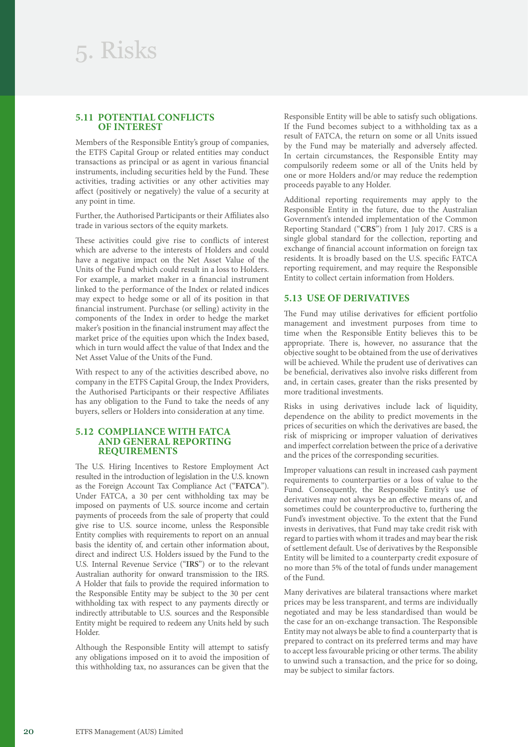### **5.11 POTENTIAL CONFLICTS OF INTEREST**

Members of the Responsible Entity's group of companies, the ETFS Capital Group or related entities may conduct transactions as principal or as agent in various financial instruments, including securities held by the Fund. These activities, trading activities or any other activities may affect (positively or negatively) the value of a security at any point in time.

Further, the Authorised Participants or their Affiliates also trade in various sectors of the equity markets.

These activities could give rise to conflicts of interest which are adverse to the interests of Holders and could have a negative impact on the Net Asset Value of the Units of the Fund which could result in a loss to Holders. For example, a market maker in a financial instrument linked to the performance of the Index or related indices may expect to hedge some or all of its position in that financial instrument. Purchase (or selling) activity in the components of the Index in order to hedge the market maker's position in the financial instrument may affect the market price of the equities upon which the Index based, which in turn would affect the value of that Index and the Net Asset Value of the Units of the Fund.

With respect to any of the activities described above, no company in the ETFS Capital Group, the Index Providers, the Authorised Participants or their respective Affiliates has any obligation to the Fund to take the needs of any buyers, sellers or Holders into consideration at any time.

### **5.12 COMPLIANCE WITH FATCA AND GENERAL REPORTING REQUIREMENTS**

The U.S. Hiring Incentives to Restore Employment Act resulted in the introduction of legislation in the U.S. known as the Foreign Account Tax Compliance Act ("**FATCA**"). Under FATCA, a 30 per cent withholding tax may be imposed on payments of U.S. source income and certain payments of proceeds from the sale of property that could give rise to U.S. source income, unless the Responsible Entity complies with requirements to report on an annual basis the identity of, and certain other information about, direct and indirect U.S. Holders issued by the Fund to the U.S. Internal Revenue Service ("**IRS**") or to the relevant Australian authority for onward transmission to the IRS. A Holder that fails to provide the required information to the Responsible Entity may be subject to the 30 per cent withholding tax with respect to any payments directly or indirectly attributable to U.S. sources and the Responsible Entity might be required to redeem any Units held by such Holder.

Although the Responsible Entity will attempt to satisfy any obligations imposed on it to avoid the imposition of this withholding tax, no assurances can be given that the

Responsible Entity will be able to satisfy such obligations. If the Fund becomes subject to a withholding tax as a result of FATCA, the return on some or all Units issued by the Fund may be materially and adversely affected. In certain circumstances, the Responsible Entity may compulsorily redeem some or all of the Units held by one or more Holders and/or may reduce the redemption proceeds payable to any Holder.

Additional reporting requirements may apply to the Responsible Entity in the future, due to the Australian Government's intended implementation of the Common Reporting Standard ("**CRS**") from 1 July 2017. CRS is a single global standard for the collection, reporting and exchange of financial account information on foreign tax residents. It is broadly based on the U.S. specific FATCA reporting requirement, and may require the Responsible Entity to collect certain information from Holders.

### **5.13 USE OF DERIVATIVES**

The Fund may utilise derivatives for efficient portfolio management and investment purposes from time to time when the Responsible Entity believes this to be appropriate. There is, however, no assurance that the objective sought to be obtained from the use of derivatives will be achieved. While the prudent use of derivatives can be beneficial, derivatives also involve risks different from and, in certain cases, greater than the risks presented by more traditional investments.

Risks in using derivatives include lack of liquidity, dependence on the ability to predict movements in the prices of securities on which the derivatives are based, the risk of mispricing or improper valuation of derivatives and imperfect correlation between the price of a derivative and the prices of the corresponding securities.

Improper valuations can result in increased cash payment requirements to counterparties or a loss of value to the Fund. Consequently, the Responsible Entity's use of derivatives may not always be an effective means of, and sometimes could be counterproductive to, furthering the Fund's investment objective. To the extent that the Fund invests in derivatives, that Fund may take credit risk with regard to parties with whom it trades and may bear the risk of settlement default. Use of derivatives by the Responsible Entity will be limited to a counterparty credit exposure of no more than 5% of the total of funds under management of the Fund.

Many derivatives are bilateral transactions where market prices may be less transparent, and terms are individually negotiated and may be less standardised than would be the case for an on-exchange transaction. The Responsible Entity may not always be able to find a counterparty that is prepared to contract on its preferred terms and may have to accept less favourable pricing or other terms. The ability to unwind such a transaction, and the price for so doing, may be subject to similar factors.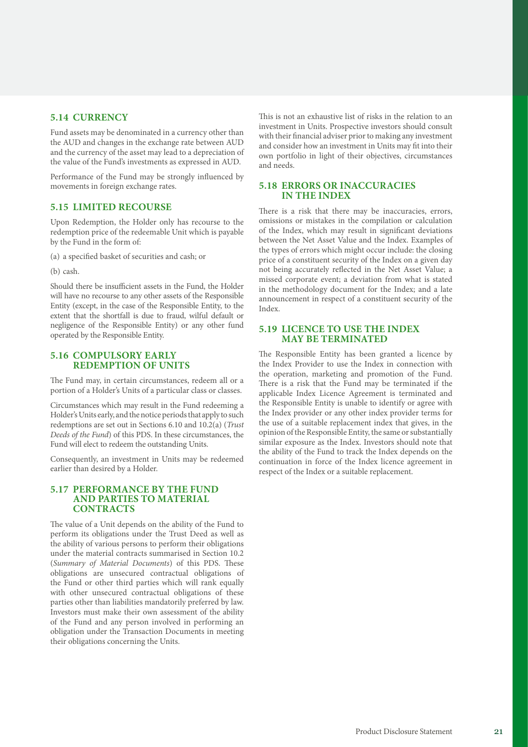### **5.14 CURRENCY**

Fund assets may be denominated in a currency other than the AUD and changes in the exchange rate between AUD and the currency of the asset may lead to a depreciation of the value of the Fund's investments as expressed in AUD.

Performance of the Fund may be strongly influenced by movements in foreign exchange rates.

### **5.15 LIMITED RECOURSE**

Upon Redemption, the Holder only has recourse to the redemption price of the redeemable Unit which is payable by the Fund in the form of:

(a) a specified basket of securities and cash; or

(b) cash.

Should there be insufficient assets in the Fund, the Holder will have no recourse to any other assets of the Responsible Entity (except, in the case of the Responsible Entity, to the extent that the shortfall is due to fraud, wilful default or negligence of the Responsible Entity) or any other fund operated by the Responsible Entity.

### **5.16 COMPULSORY EARLY REDEMPTION OF UNITS**

The Fund may, in certain circumstances, redeem all or a portion of a Holder's Units of a particular class or classes.

Circumstances which may result in the Fund redeeming a Holder's Units early, and the notice periods that apply to such redemptions are set out in Sections 6.10 and 10.2(a) (*Trust Deeds of the Fund*) of this PDS. In these circumstances, the Fund will elect to redeem the outstanding Units.

Consequently, an investment in Units may be redeemed earlier than desired by a Holder.

### **5.17 PERFORMANCE BY THE FUND AND PARTIES TO MATERIAL CONTRACTS**

The value of a Unit depends on the ability of the Fund to perform its obligations under the Trust Deed as well as the ability of various persons to perform their obligations under the material contracts summarised in Section 10.2 (*Summary of Material Documents*) of this PDS. These obligations are unsecured contractual obligations of the Fund or other third parties which will rank equally with other unsecured contractual obligations of these parties other than liabilities mandatorily preferred by law. Investors must make their own assessment of the ability of the Fund and any person involved in performing an obligation under the Transaction Documents in meeting their obligations concerning the Units.

This is not an exhaustive list of risks in the relation to an investment in Units. Prospective investors should consult with their financial adviser prior to making any investment and consider how an investment in Units may fit into their own portfolio in light of their objectives, circumstances and needs.

### **5.18 ERRORS OR INACCURACIES IN THE INDEX**

There is a risk that there may be inaccuracies, errors, omissions or mistakes in the compilation or calculation of the Index, which may result in significant deviations between the Net Asset Value and the Index. Examples of the types of errors which might occur include: the closing price of a constituent security of the Index on a given day not being accurately reflected in the Net Asset Value; a missed corporate event; a deviation from what is stated in the methodology document for the Index; and a late announcement in respect of a constituent security of the Index.

### **5.19 LICENCE TO USE THE INDEX MAY BE TERMINATED**

The Responsible Entity has been granted a licence by the Index Provider to use the Index in connection with the operation, marketing and promotion of the Fund. There is a risk that the Fund may be terminated if the applicable Index Licence Agreement is terminated and the Responsible Entity is unable to identify or agree with the Index provider or any other index provider terms for the use of a suitable replacement index that gives, in the opinion of the Responsible Entity, the same or substantially similar exposure as the Index. Investors should note that the ability of the Fund to track the Index depends on the continuation in force of the Index licence agreement in respect of the Index or a suitable replacement.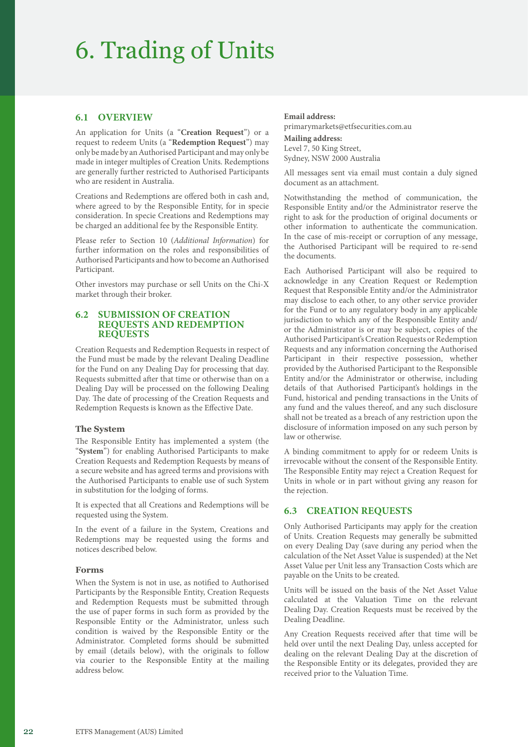### 6. Trading of Units

### **6.1 OVERVIEW**

An application for Units (a "**Creation Request**") or a request to redeem Units (a "**Redemption Request**") may only be made by an Authorised Participant and may only be made in integer multiples of Creation Units. Redemptions are generally further restricted to Authorised Participants who are resident in Australia.

Creations and Redemptions are offered both in cash and, where agreed to by the Responsible Entity, for in specie consideration. In specie Creations and Redemptions may be charged an additional fee by the Responsible Entity.

Please refer to Section 10 (*Additional Information*) for further information on the roles and responsibilities of Authorised Participants and how to become an Authorised Participant.

Other investors may purchase or sell Units on the Chi-X market through their broker.

### **6.2 SUBMISSION OF CREATION REQUESTS AND REDEMPTION REQUESTS**

Creation Requests and Redemption Requests in respect of the Fund must be made by the relevant Dealing Deadline for the Fund on any Dealing Day for processing that day. Requests submitted after that time or otherwise than on a Dealing Day will be processed on the following Dealing Day. The date of processing of the Creation Requests and Redemption Requests is known as the Effective Date.

### **The System**

The Responsible Entity has implemented a system (the "**System**") for enabling Authorised Participants to make Creation Requests and Redemption Requests by means of a secure website and has agreed terms and provisions with the Authorised Participants to enable use of such System in substitution for the lodging of forms.

It is expected that all Creations and Redemptions will be requested using the System.

In the event of a failure in the System, Creations and Redemptions may be requested using the forms and notices described below.

### **Forms**

When the System is not in use, as notified to Authorised Participants by the Responsible Entity, Creation Requests and Redemption Requests must be submitted through the use of paper forms in such form as provided by the Responsible Entity or the Administrator, unless such condition is waived by the Responsible Entity or the Administrator. Completed forms should be submitted by email (details below), with the originals to follow via courier to the Responsible Entity at the mailing address below.

#### **Email address:**

primarymarkets@etfsecurities.com.au **Mailing address:** Level 7, 50 King Street, Sydney, NSW 2000 Australia

All messages sent via email must contain a duly signed document as an attachment.

Notwithstanding the method of communication, the Responsible Entity and/or the Administrator reserve the right to ask for the production of original documents or other information to authenticate the communication. In the case of mis-receipt or corruption of any message, the Authorised Participant will be required to re-send the documents.

Each Authorised Participant will also be required to acknowledge in any Creation Request or Redemption Request that Responsible Entity and/or the Administrator may disclose to each other, to any other service provider for the Fund or to any regulatory body in any applicable jurisdiction to which any of the Responsible Entity and/ or the Administrator is or may be subject, copies of the Authorised Participant's Creation Requests or Redemption Requests and any information concerning the Authorised Participant in their respective possession, whether provided by the Authorised Participant to the Responsible Entity and/or the Administrator or otherwise, including details of that Authorised Participant's holdings in the Fund, historical and pending transactions in the Units of any fund and the values thereof, and any such disclosure shall not be treated as a breach of any restriction upon the disclosure of information imposed on any such person by law or otherwise.

A binding commitment to apply for or redeem Units is irrevocable without the consent of the Responsible Entity. The Responsible Entity may reject a Creation Request for Units in whole or in part without giving any reason for the rejection.

### **6.3 CREATION REQUESTS**

Only Authorised Participants may apply for the creation of Units. Creation Requests may generally be submitted on every Dealing Day (save during any period when the calculation of the Net Asset Value is suspended) at the Net Asset Value per Unit less any Transaction Costs which are payable on the Units to be created.

Units will be issued on the basis of the Net Asset Value calculated at the Valuation Time on the relevant Dealing Day. Creation Requests must be received by the Dealing Deadline.

Any Creation Requests received after that time will be held over until the next Dealing Day, unless accepted for dealing on the relevant Dealing Day at the discretion of the Responsible Entity or its delegates, provided they are received prior to the Valuation Time.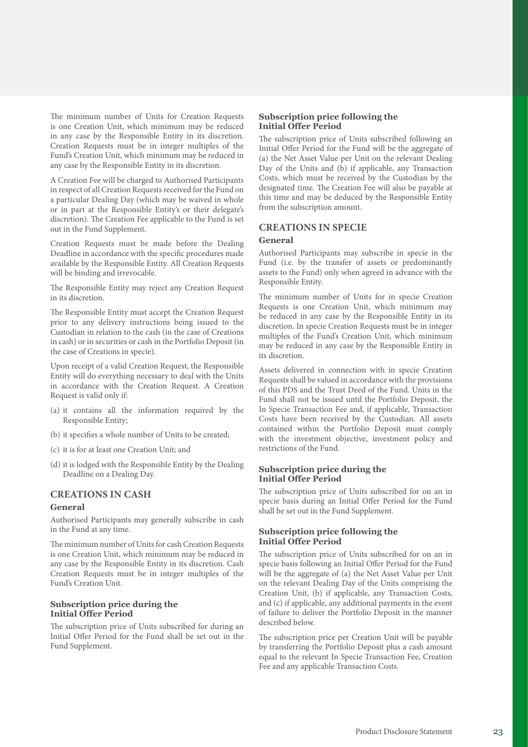The minimum number of Units for Creation Requests is one Creation Unit, which minimum may be reduced in any case by the Responsible Entity in its discretion. Creation Requests must be in integer multiples of the Fund's Creation Unit, which minimum may be reduced in any case by the Responsible Entity in its discretion.

A Creation Fee will be charged to Authorised Participants in respect of all Creation Requests received for the Fund on a particular Dealing Day (which may be waived in whole or in part at the Responsible Entity's or their delegate's discretion). The Creation Fee applicable to the Fund is set out in the Fund Supplement.

Creation Requests must be made before the Dealing Deadline in accordance with the specific procedures made available by the Responsible Entity. All Creation Requests will be binding and irrevocable.

The Responsible Entity may reject any Creation Request in its discretion.

The Responsible Entity must accept the Creation Request prior to any delivery instructions being issued to the Custodian in relation to the cash (in the case of Creations in cash) or in securities or cash in the Portfolio Deposit (in the case of Creations in specie).

Upon receipt of a valid Creation Request, the Responsible Entity will do everything necessary to deal with the Units in accordance with the Creation Request. A Creation Request is valid only if:

- (a) it contains all the information required by the Responsible Entity;
- (b) it specifies a whole number of Units to be created;
- (c) it is for at least one Creation Unit; and
- (d) it is lodged with the Responsible Entity by the Dealing Deadline on a Dealing Day.

### **CREATIONS IN CASH**

### **General**

Authorised Participants may generally subscribe in cash in the Fund at any time.

The minimum number of Units for cash Creation Requests is one Creation Unit, which minimum may be reduced in any case by the Responsible Entity in its discretion. Cash Creation Requests must be in integer multiples of the Fund's Creation Unit.

### **Subscription price during the Initial Offer Period**

The subscription price of Units subscribed for during an Initial Offer Period for the Fund shall be set out in the Fund Supplement.

### **Subscription price following the Initial Offer Period**

The subscription price of Units subscribed following an Initial Offer Period for the Fund will be the aggregate of (a) the Net Asset Value per Unit on the relevant Dealing Day of the Units and (b) if applicable, any Transaction Costs, which must be received by the Custodian by the designated time. The Creation Fee will also be payable at this time and may be deduced by the Responsible Entity from the subscription amount.

### **CREATIONS IN SPECIE**

#### **General**

Authorised Participants may subscribe in specie in the Fund (i.e. by the transfer of assets or predominantly assets to the Fund) only when agreed in advance with the Responsible Entity.

The minimum number of Units for in specie Creation Requests is one Creation Unit, which minimum may be reduced in any case by the Responsible Entity in its discretion. In specie Creation Requests must be in integer multiples of the Fund's Creation Unit, which minimum may be reduced in any case by the Responsible Entity in its discretion.

Assets delivered in connection with in specie Creation Requests shall be valued in accordance with the provisions of this PDS and the Trust Deed of the Fund. Units in the Fund shall not be issued until the Portfolio Deposit, the In Specie Transaction Fee and, if applicable, Transaction Costs have been received by the Custodian. All assets contained within the Portfolio Deposit must comply with the investment objective, investment policy and restrictions of the Fund.

### **Subscription price during the Initial Offer Period**

The subscription price of Units subscribed for on an in specie basis during an Initial Offer Period for the Fund shall be set out in the Fund Supplement.

### **Subscription price following the Initial Offer Period**

The subscription price of Units subscribed for on an in specie basis following an Initial Offer Period for the Fund will be the aggregate of (a) the Net Asset Value per Unit on the relevant Dealing Day of the Units comprising the Creation Unit, (b) if applicable, any Transaction Costs, and (c) if applicable, any additional payments in the event of failure to deliver the Portfolio Deposit in the manner described below.

The subscription price per Creation Unit will be payable by transferring the Portfolio Deposit plus a cash amount equal to the relevant In Specie Transaction Fee, Creation Fee and any applicable Transaction Costs.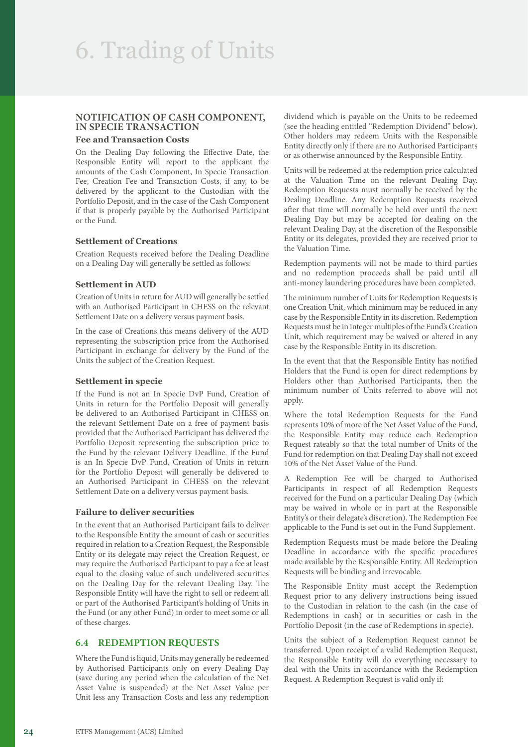### **NOTIFICATION OF CASH COMPONENT, IN SPECIE TRANSACTION**

### **Fee and Transaction Costs**

On the Dealing Day following the Effective Date, the Responsible Entity will report to the applicant the amounts of the Cash Component, In Specie Transaction Fee, Creation Fee and Transaction Costs, if any, to be delivered by the applicant to the Custodian with the Portfolio Deposit, and in the case of the Cash Component if that is properly payable by the Authorised Participant or the Fund.

### **Settlement of Creations**

Creation Requests received before the Dealing Deadline on a Dealing Day will generally be settled as follows:

### **Settlement in AUD**

Creation of Units in return for AUD will generally be settled with an Authorised Participant in CHESS on the relevant Settlement Date on a delivery versus payment basis.

In the case of Creations this means delivery of the AUD representing the subscription price from the Authorised Participant in exchange for delivery by the Fund of the Units the subject of the Creation Request.

### **Settlement in specie**

If the Fund is not an In Specie DvP Fund, Creation of Units in return for the Portfolio Deposit will generally be delivered to an Authorised Participant in CHESS on the relevant Settlement Date on a free of payment basis provided that the Authorised Participant has delivered the Portfolio Deposit representing the subscription price to the Fund by the relevant Delivery Deadline. If the Fund is an In Specie DvP Fund, Creation of Units in return for the Portfolio Deposit will generally be delivered to an Authorised Participant in CHESS on the relevant Settlement Date on a delivery versus payment basis.

### **Failure to deliver securities**

In the event that an Authorised Participant fails to deliver to the Responsible Entity the amount of cash or securities required in relation to a Creation Request, the Responsible Entity or its delegate may reject the Creation Request, or may require the Authorised Participant to pay a fee at least equal to the closing value of such undelivered securities on the Dealing Day for the relevant Dealing Day. The Responsible Entity will have the right to sell or redeem all or part of the Authorised Participant's holding of Units in the Fund (or any other Fund) in order to meet some or all of these charges.

### **6.4 REDEMPTION REQUESTS**

Where the Fund is liquid, Units may generally be redeemed by Authorised Participants only on every Dealing Day (save during any period when the calculation of the Net Asset Value is suspended) at the Net Asset Value per Unit less any Transaction Costs and less any redemption

dividend which is payable on the Units to be redeemed (see the heading entitled "Redemption Dividend" below). Other holders may redeem Units with the Responsible Entity directly only if there are no Authorised Participants or as otherwise announced by the Responsible Entity.

Units will be redeemed at the redemption price calculated at the Valuation Time on the relevant Dealing Day. Redemption Requests must normally be received by the Dealing Deadline. Any Redemption Requests received after that time will normally be held over until the next Dealing Day but may be accepted for dealing on the relevant Dealing Day, at the discretion of the Responsible Entity or its delegates, provided they are received prior to the Valuation Time.

Redemption payments will not be made to third parties and no redemption proceeds shall be paid until all anti-money laundering procedures have been completed.

The minimum number of Units for Redemption Requests is one Creation Unit, which minimum may be reduced in any case by the Responsible Entity in its discretion. Redemption Requests must be in integer multiples of the Fund's Creation Unit, which requirement may be waived or altered in any case by the Responsible Entity in its discretion.

In the event that that the Responsible Entity has notified Holders that the Fund is open for direct redemptions by Holders other than Authorised Participants, then the minimum number of Units referred to above will not apply.

Where the total Redemption Requests for the Fund represents 10% of more of the Net Asset Value of the Fund, the Responsible Entity may reduce each Redemption Request rateably so that the total number of Units of the Fund for redemption on that Dealing Day shall not exceed 10% of the Net Asset Value of the Fund.

A Redemption Fee will be charged to Authorised Participants in respect of all Redemption Requests received for the Fund on a particular Dealing Day (which may be waived in whole or in part at the Responsible Entity's or their delegate's discretion). The Redemption Fee applicable to the Fund is set out in the Fund Supplement.

Redemption Requests must be made before the Dealing Deadline in accordance with the specific procedures made available by the Responsible Entity. All Redemption Requests will be binding and irrevocable.

The Responsible Entity must accept the Redemption Request prior to any delivery instructions being issued to the Custodian in relation to the cash (in the case of Redemptions in cash) or in securities or cash in the Portfolio Deposit (in the case of Redemptions in specie).

Units the subject of a Redemption Request cannot be transferred. Upon receipt of a valid Redemption Request, the Responsible Entity will do everything necessary to deal with the Units in accordance with the Redemption Request. A Redemption Request is valid only if: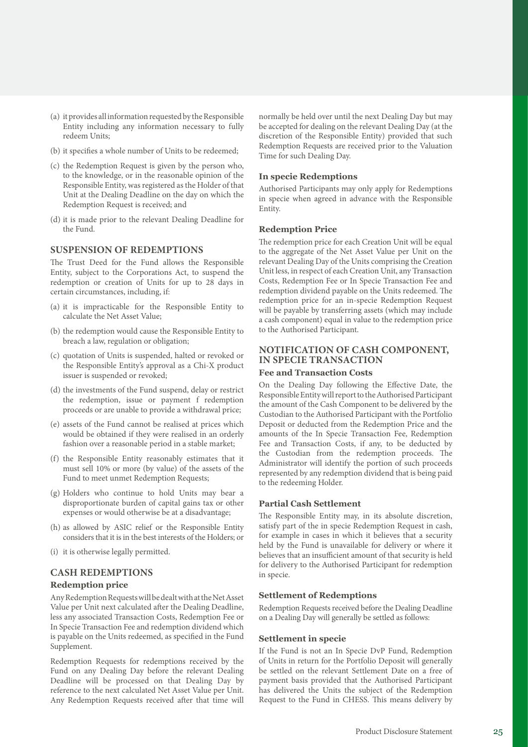- (a) it provides all information requested by the Responsible Entity including any information necessary to fully redeem Units;
- (b) it specifies a whole number of Units to be redeemed;
- (c) the Redemption Request is given by the person who, to the knowledge, or in the reasonable opinion of the Responsible Entity, was registered as the Holder of that Unit at the Dealing Deadline on the day on which the Redemption Request is received; and
- (d) it is made prior to the relevant Dealing Deadline for the Fund.

### **SUSPENSION OF REDEMPTIONS**

The Trust Deed for the Fund allows the Responsible Entity, subject to the Corporations Act, to suspend the redemption or creation of Units for up to 28 days in certain circumstances, including, if:

- (a) it is impracticable for the Responsible Entity to calculate the Net Asset Value;
- (b) the redemption would cause the Responsible Entity to breach a law, regulation or obligation;
- (c) quotation of Units is suspended, halted or revoked or the Responsible Entity's approval as a Chi-X product issuer is suspended or revoked;
- (d) the investments of the Fund suspend, delay or restrict the redemption, issue or payment f redemption proceeds or are unable to provide a withdrawal price;
- (e) assets of the Fund cannot be realised at prices which would be obtained if they were realised in an orderly fashion over a reasonable period in a stable market;
- (f) the Responsible Entity reasonably estimates that it must sell 10% or more (by value) of the assets of the Fund to meet unmet Redemption Requests;
- (g) Holders who continue to hold Units may bear a disproportionate burden of capital gains tax or other expenses or would otherwise be at a disadvantage;
- (h) as allowed by ASIC relief or the Responsible Entity considers that it is in the best interests of the Holders; or
- (i) it is otherwise legally permitted.

### **CASH REDEMPTIONS**

### **Redemption price**

Any Redemption Requests will be dealt with at the Net Asset Value per Unit next calculated after the Dealing Deadline, less any associated Transaction Costs, Redemption Fee or In Specie Transaction Fee and redemption dividend which is payable on the Units redeemed, as specified in the Fund Supplement.

Redemption Requests for redemptions received by the Fund on any Dealing Day before the relevant Dealing Deadline will be processed on that Dealing Day by reference to the next calculated Net Asset Value per Unit. Any Redemption Requests received after that time will normally be held over until the next Dealing Day but may be accepted for dealing on the relevant Dealing Day (at the discretion of the Responsible Entity) provided that such Redemption Requests are received prior to the Valuation Time for such Dealing Day.

### **In specie Redemptions**

Authorised Participants may only apply for Redemptions in specie when agreed in advance with the Responsible Entity.

### **Redemption Price**

The redemption price for each Creation Unit will be equal to the aggregate of the Net Asset Value per Unit on the relevant Dealing Day of the Units comprising the Creation Unit less, in respect of each Creation Unit, any Transaction Costs, Redemption Fee or In Specie Transaction Fee and redemption dividend payable on the Units redeemed. The redemption price for an in-specie Redemption Request will be payable by transferring assets (which may include a cash component) equal in value to the redemption price to the Authorised Participant.

### **NOTIFICATION OF CASH COMPONENT, IN SPECIE TRANSACTION**

### **Fee and Transaction Costs**

On the Dealing Day following the Effective Date, the Responsible Entity will report to the Authorised Participant the amount of the Cash Component to be delivered by the Custodian to the Authorised Participant with the Portfolio Deposit or deducted from the Redemption Price and the amounts of the In Specie Transaction Fee, Redemption Fee and Transaction Costs, if any, to be deducted by the Custodian from the redemption proceeds. The Administrator will identify the portion of such proceeds represented by any redemption dividend that is being paid to the redeeming Holder.

### **Partial Cash Settlement**

The Responsible Entity may, in its absolute discretion, satisfy part of the in specie Redemption Request in cash, for example in cases in which it believes that a security held by the Fund is unavailable for delivery or where it believes that an insufficient amount of that security is held for delivery to the Authorised Participant for redemption in specie.

### **Settlement of Redemptions**

Redemption Requests received before the Dealing Deadline on a Dealing Day will generally be settled as follows:

### **Settlement in specie**

If the Fund is not an In Specie DvP Fund, Redemption of Units in return for the Portfolio Deposit will generally be settled on the relevant Settlement Date on a free of payment basis provided that the Authorised Participant has delivered the Units the subject of the Redemption Request to the Fund in CHESS. This means delivery by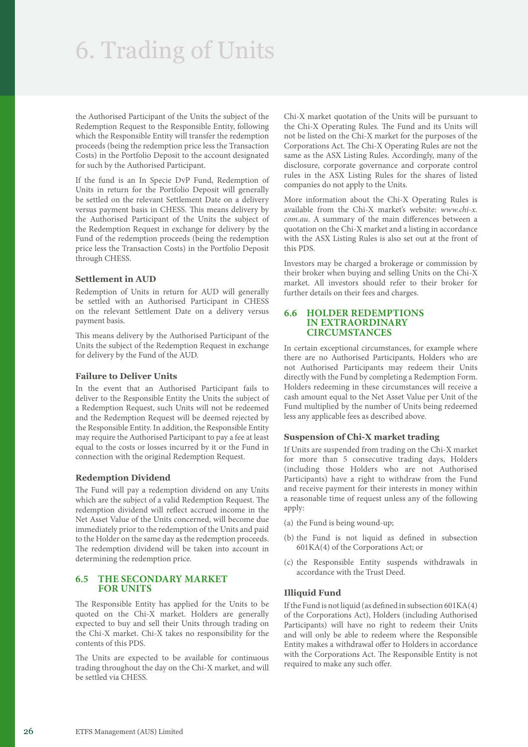### 6. Trading of Units

the Authorised Participant of the Units the subject of the Redemption Request to the Responsible Entity, following which the Responsible Entity will transfer the redemption proceeds (being the redemption price less the Transaction Costs) in the Portfolio Deposit to the account designated for such by the Authorised Participant.

If the fund is an In Specie DvP Fund, Redemption of Units in return for the Portfolio Deposit will generally be settled on the relevant Settlement Date on a delivery versus payment basis in CHESS. This means delivery by the Authorised Participant of the Units the subject of the Redemption Request in exchange for delivery by the Fund of the redemption proceeds (being the redemption price less the Transaction Costs) in the Portfolio Deposit through CHESS.

### **Settlement in AUD**

Redemption of Units in return for AUD will generally be settled with an Authorised Participant in CHESS on the relevant Settlement Date on a delivery versus payment basis.

This means delivery by the Authorised Participant of the Units the subject of the Redemption Request in exchange for delivery by the Fund of the AUD.

### **Failure to Deliver Units**

In the event that an Authorised Participant fails to deliver to the Responsible Entity the Units the subject of a Redemption Request, such Units will not be redeemed and the Redemption Request will be deemed rejected by the Responsible Entity. In addition, the Responsible Entity may require the Authorised Participant to pay a fee at least equal to the costs or losses incurred by it or the Fund in connection with the original Redemption Request.

### **Redemption Dividend**

The Fund will pay a redemption dividend on any Units which are the subject of a valid Redemption Request. The redemption dividend will reflect accrued income in the Net Asset Value of the Units concerned, will become due immediately prior to the redemption of the Units and paid to the Holder on the same day as the redemption proceeds. The redemption dividend will be taken into account in determining the redemption price.

### **6.5 THE SECONDARY MARKET FOR UNITS**

The Responsible Entity has applied for the Units to be quoted on the Chi-X market. Holders are generally expected to buy and sell their Units through trading on the Chi-X market. Chi-X takes no responsibility for the contents of this PDS.

The Units are expected to be available for continuous trading throughout the day on the Chi-X market, and will be settled via CHESS.

Chi-X market quotation of the Units will be pursuant to the Chi-X Operating Rules. The Fund and its Units will not be listed on the Chi-X market for the purposes of the Corporations Act. The Chi-X Operating Rules are not the same as the ASX Listing Rules. Accordingly, many of the disclosure, corporate governance and corporate control rules in the ASX Listing Rules for the shares of listed companies do not apply to the Units.

More information about the Chi-X Operating Rules is available from the Chi-X market's website: *[www.chi-x.](https://www.chi-x.com.au) [com.au](https://www.chi-x.com.au)*. A summary of the main differences between a quotation on the Chi-X market and a listing in accordance with the ASX Listing Rules is also set out at the front of this PDS.

Investors may be charged a brokerage or commission by their broker when buying and selling Units on the Chi-X market. All investors should refer to their broker for further details on their fees and charges.

### **6.6 HOLDER REDEMPTIONS IN EXTRAORDINARY CIRCUMSTANCES**

In certain exceptional circumstances, for example where there are no Authorised Participants, Holders who are not Authorised Participants may redeem their Units directly with the Fund by completing a Redemption Form. Holders redeeming in these circumstances will receive a cash amount equal to the Net Asset Value per Unit of the Fund multiplied by the number of Units being redeemed less any applicable fees as described above.

### **Suspension of Chi-X market trading**

If Units are suspended from trading on the Chi-X market for more than 5 consecutive trading days, Holders (including those Holders who are not Authorised Participants) have a right to withdraw from the Fund and receive payment for their interests in money within a reasonable time of request unless any of the following apply:

- (a) the Fund is being wound-up;
- (b) the Fund is not liquid as defined in subsection 601KA(4) of the Corporations Act; or
- (c) the Responsible Entity suspends withdrawals in accordance with the Trust Deed.

### **Illiquid Fund**

If the Fund is not liquid (as defined in subsection 601KA(4) of the Corporations Act), Holders (including Authorised Participants) will have no right to redeem their Units and will only be able to redeem where the Responsible Entity makes a withdrawal offer to Holders in accordance with the Corporations Act. The Responsible Entity is not required to make any such offer.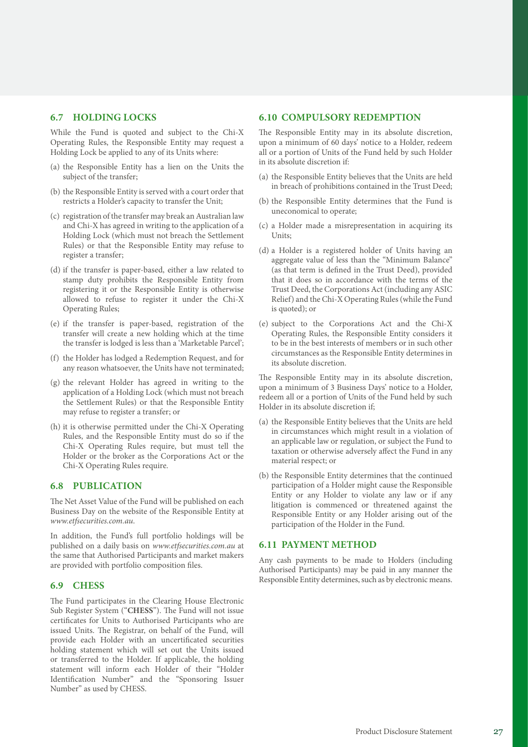### **6.7 HOLDING LOCKS**

While the Fund is quoted and subject to the Chi-X Operating Rules, the Responsible Entity may request a Holding Lock be applied to any of its Units where:

- (a) the Responsible Entity has a lien on the Units the subject of the transfer;
- (b) the Responsible Entity is served with a court order that restricts a Holder's capacity to transfer the Unit;
- (c) registration of the transfer may break an Australian law and Chi-X has agreed in writing to the application of a Holding Lock (which must not breach the Settlement Rules) or that the Responsible Entity may refuse to register a transfer;
- (d) if the transfer is paper-based, either a law related to stamp duty prohibits the Responsible Entity from registering it or the Responsible Entity is otherwise allowed to refuse to register it under the Chi-X Operating Rules;
- (e) if the transfer is paper-based, registration of the transfer will create a new holding which at the time the transfer is lodged is less than a 'Marketable Parcel';
- (f) the Holder has lodged a Redemption Request, and for any reason whatsoever, the Units have not terminated;
- (g) the relevant Holder has agreed in writing to the application of a Holding Lock (which must not breach the Settlement Rules) or that the Responsible Entity may refuse to register a transfer; or
- (h) it is otherwise permitted under the Chi-X Operating Rules, and the Responsible Entity must do so if the Chi-X Operating Rules require, but must tell the Holder or the broker as the Corporations Act or the Chi-X Operating Rules require.

### **6.8 PUBLICATION**

The Net Asset Value of the Fund will be published on each Business Day on the website of the Responsible Entity at *[www.etfsecurities.com.au](https://www.etfsecurities.com.au)*.

In addition, the Fund's full portfolio holdings will be published on a daily basis on *[www.etfsecurities.com.au](https://www.etfsecurities.com.au)* at the same that Authorised Participants and market makers are provided with portfolio composition files.

### **6.9 CHESS**

The Fund participates in the Clearing House Electronic Sub Register System ("**CHESS**"). The Fund will not issue certificates for Units to Authorised Participants who are issued Units. The Registrar, on behalf of the Fund, will provide each Holder with an uncertificated securities holding statement which will set out the Units issued or transferred to the Holder. If applicable, the holding statement will inform each Holder of their "Holder Identification Number" and the "Sponsoring Issuer Number" as used by CHESS.

### **6.10 COMPULSORY REDEMPTION**

The Responsible Entity may in its absolute discretion, upon a minimum of 60 days' notice to a Holder, redeem all or a portion of Units of the Fund held by such Holder in its absolute discretion if:

- (a) the Responsible Entity believes that the Units are held in breach of prohibitions contained in the Trust Deed;
- (b) the Responsible Entity determines that the Fund is uneconomical to operate;
- (c) a Holder made a misrepresentation in acquiring its Units;
- (d) a Holder is a registered holder of Units having an aggregate value of less than the "Minimum Balance" (as that term is defined in the Trust Deed), provided that it does so in accordance with the terms of the Trust Deed, the Corporations Act (including any ASIC Relief) and the Chi-X Operating Rules (while the Fund is quoted); or
- (e) subject to the Corporations Act and the Chi-X Operating Rules, the Responsible Entity considers it to be in the best interests of members or in such other circumstances as the Responsible Entity determines in its absolute discretion.

The Responsible Entity may in its absolute discretion, upon a minimum of 3 Business Days' notice to a Holder, redeem all or a portion of Units of the Fund held by such Holder in its absolute discretion if;

- (a) the Responsible Entity believes that the Units are held in circumstances which might result in a violation of an applicable law or regulation, or subject the Fund to taxation or otherwise adversely affect the Fund in any material respect; or
- (b) the Responsible Entity determines that the continued participation of a Holder might cause the Responsible Entity or any Holder to violate any law or if any litigation is commenced or threatened against the Responsible Entity or any Holder arising out of the participation of the Holder in the Fund.

### **6.11 PAYMENT METHOD**

Any cash payments to be made to Holders (including Authorised Participants) may be paid in any manner the Responsible Entity determines, such as by electronic means.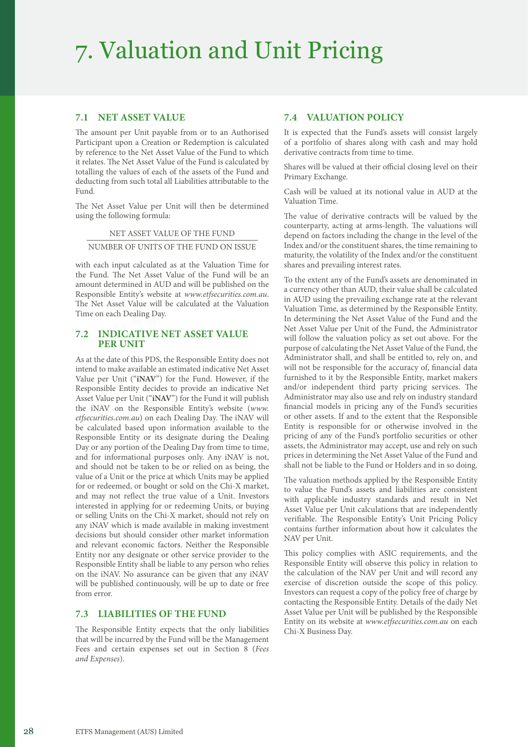### 7. Valuation and Unit Pricing

### **7.1 NET ASSET VALUE**

The amount per Unit payable from or to an Authorised Participant upon a Creation or Redemption is calculated by reference to the Net Asset Value of the Fund to which it relates. The Net Asset Value of the Fund is calculated by totalling the values of each of the assets of the Fund and deducting from such total all Liabilities attributable to the Fund.

The Net Asset Value per Unit will then be determined using the following formula:

NET ASSET VALUE OF THE FUND

NUMBER OF UNITS OF THE FUND ON ISSUE

with each input calculated as at the Valuation Time for the Fund. The Net Asset Value of the Fund will be an amount determined in AUD and will be published on the Responsible Entity's website at *[www.etfsecurities.com.au](https://www.etfsecurities.com.au)*. The Net Asset Value will be calculated at the Valuation Time on each Dealing Day.

### **7.2 INDICATIVE NET ASSET VALUE PER UNIT**

As at the date of this PDS, the Responsible Entity does not intend to make available an estimated indicative Net Asset Value per Unit ("**iNAV**") for the Fund. However, if the Responsible Entity decides to provide an indicative Net Asset Value per Unit ("**iNAV**") for the Fund it will publish the iNAV on the Responsible Entity's website (*[www.](https://www.etfsecurities.com.au) [etfsecurities.com.au](https://www.etfsecurities.com.au)*) on each Dealing Day. The iNAV will be calculated based upon information available to the Responsible Entity or its designate during the Dealing Day or any portion of the Dealing Day from time to time, and for informational purposes only. Any iNAV is not, and should not be taken to be or relied on as being, the value of a Unit or the price at which Units may be applied for or redeemed, or bought or sold on the Chi-X market, and may not reflect the true value of a Unit. Investors interested in applying for or redeeming Units, or buying or selling Units on the Chi-X market, should not rely on any iNAV which is made available in making investment decisions but should consider other market information and relevant economic factors. Neither the Responsible Entity nor any designate or other service provider to the Responsible Entity shall be liable to any person who relies on the iNAV. No assurance can be given that any iNAV will be published continuously, will be up to date or free from error.

### **7.3 LIABILITIES OF THE FUND**

The Responsible Entity expects that the only liabilities that will be incurred by the Fund will be the Management Fees and certain expenses set out in Section 8 (*Fees and Expenses*).

### **7.4 VALUATION POLICY**

It is expected that the Fund's assets will consist largely of a portfolio of shares along with cash and may hold derivative contracts from time to time.

Shares will be valued at their official closing level on their Primary Exchange.

Cash will be valued at its notional value in AUD at the Valuation Time.

The value of derivative contracts will be valued by the counterparty, acting at arms-length. The valuations will depend on factors including the change in the level of the Index and/or the constituent shares, the time remaining to maturity, the volatility of the Index and/or the constituent shares and prevailing interest rates.

To the extent any of the Fund's assets are denominated in a currency other than AUD, their value shall be calculated in AUD using the prevailing exchange rate at the relevant Valuation Time, as determined by the Responsible Entity. In determining the Net Asset Value of the Fund and the Net Asset Value per Unit of the Fund, the Administrator will follow the valuation policy as set out above. For the purpose of calculating the Net Asset Value of the Fund, the Administrator shall, and shall be entitled to, rely on, and will not be responsible for the accuracy of, financial data furnished to it by the Responsible Entity, market makers and/or independent third party pricing services. The Administrator may also use and rely on industry standard financial models in pricing any of the Fund's securities or other assets. If and to the extent that the Responsible Entity is responsible for or otherwise involved in the pricing of any of the Fund's portfolio securities or other assets, the Administrator may accept, use and rely on such prices in determining the Net Asset Value of the Fund and shall not be liable to the Fund or Holders and in so doing.

The valuation methods applied by the Responsible Entity to value the Fund's assets and liabilities are consistent with applicable industry standards and result in Net Asset Value per Unit calculations that are independently verifiable. The Responsible Entity's Unit Pricing Policy contains further information about how it calculates the NAV per Unit.

This policy complies with ASIC requirements, and the Responsible Entity will observe this policy in relation to the calculation of the NAV per Unit and will record any exercise of discretion outside the scope of this policy. Investors can request a copy of the policy free of charge by contacting the Responsible Entity. Details of the daily Net Asset Value per Unit will be published by the Responsible Entity on its website at *[www.etfsecurities.com.au](https://www.etfsecurities.com.au)* on each Chi-X Business Day.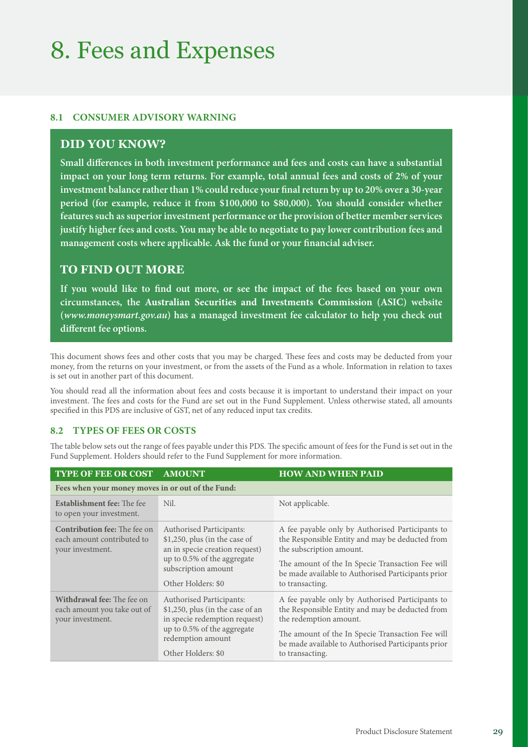### 8. Fees and Expenses

### **8.1 CONSUMER ADVISORY WARNING**

### **DID YOU KNOW?**

**Small differences in both investment performance and fees and costs can have a substantial impact on your long term returns. For example, total annual fees and costs of 2% of your investment balance rather than 1% could reduce your final return by up to 20% over a 30‑year period (for example, reduce it from \$100,000 to \$80,000). You should consider whether features such as superior investment performance or the provision of better member services justify higher fees and costs. You may be able to negotiate to pay lower contribution fees and management costs where applicable. Ask the fund or your financial adviser.**

### **TO FIND OUT MORE**

**If you would like to find out more, or see the impact of the fees based on your own circumstances, the Australian Securities and Investments Commission (ASIC) website (***www.moneysmart.gov.au***) has a managed investment fee calculator to help you check out different fee options.**

This document shows fees and other costs that you may be charged. These fees and costs may be deducted from your money, from the returns on your investment, or from the assets of the Fund as a whole. Information in relation to taxes is set out in another part of this document.

You should read all the information about fees and costs because it is important to understand their impact on your investment. The fees and costs for the Fund are set out in the Fund Supplement. Unless otherwise stated, all amounts specified in this PDS are inclusive of GST, net of any reduced input tax credits.

### **8.2 TYPES OF FEES OR COSTS**

The table below sets out the range of fees payable under this PDS. The specific amount of fees for the Fund is set out in the Fund Supplement. Holders should refer to the Fund Supplement for more information.

| <b>TYPE OF FEE OR COST</b>                                                            | <b>AMOUNT</b>                                                                                                                                                                  | <b>HOW AND WHEN PAID</b>                                                                                                                                                                                                                                     |  |
|---------------------------------------------------------------------------------------|--------------------------------------------------------------------------------------------------------------------------------------------------------------------------------|--------------------------------------------------------------------------------------------------------------------------------------------------------------------------------------------------------------------------------------------------------------|--|
| Fees when your money moves in or out of the Fund:                                     |                                                                                                                                                                                |                                                                                                                                                                                                                                                              |  |
| <b>Establishment fee:</b> The fee<br>to open your investment.                         | Nil.                                                                                                                                                                           | Not applicable.                                                                                                                                                                                                                                              |  |
| <b>Contribution fee:</b> The fee on<br>each amount contributed to<br>your investment. | <b>Authorised Participants:</b><br>\$1,250, plus (in the case of<br>an in specie creation request)<br>up to 0.5% of the aggregate<br>subscription amount<br>Other Holders: \$0 | A fee payable only by Authorised Participants to<br>the Responsible Entity and may be deducted from<br>the subscription amount.<br>The amount of the In Specie Transaction Fee will<br>be made available to Authorised Participants prior<br>to transacting. |  |
| <b>Withdrawal fee:</b> The fee on<br>each amount you take out of<br>your investment.  | <b>Authorised Participants:</b><br>\$1,250, plus (in the case of an<br>in specie redemption request)<br>up to 0.5% of the aggregate<br>redemption amount<br>Other Holders: \$0 | A fee payable only by Authorised Participants to<br>the Responsible Entity and may be deducted from<br>the redemption amount.<br>The amount of the In Specie Transaction Fee will<br>be made available to Authorised Participants prior<br>to transacting.   |  |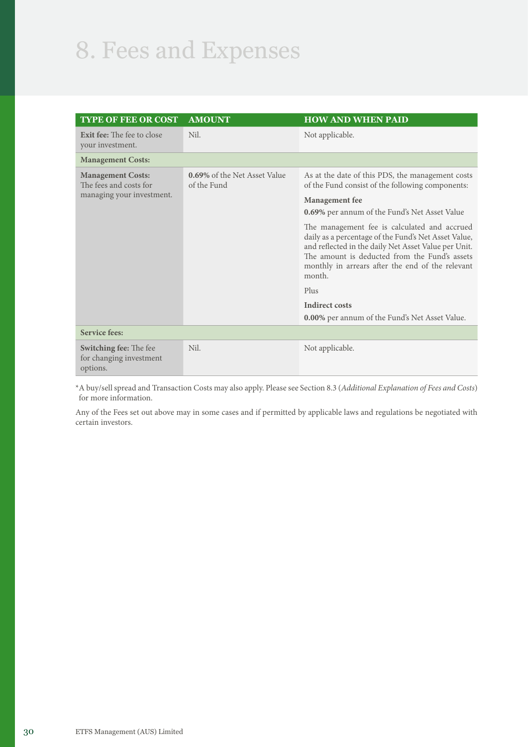### 8. Fees and Expenses

| <b>TYPE OF FEE OR COST</b>                                           | <b>AMOUNT</b>                                      | <b>HOW AND WHEN PAID</b>                                                                                                                                                                                                                                                    |
|----------------------------------------------------------------------|----------------------------------------------------|-----------------------------------------------------------------------------------------------------------------------------------------------------------------------------------------------------------------------------------------------------------------------------|
| <b>Exit fee:</b> The fee to close<br>your investment.                | Nil.                                               | Not applicable.                                                                                                                                                                                                                                                             |
| <b>Management Costs:</b>                                             |                                                    |                                                                                                                                                                                                                                                                             |
| <b>Management Costs:</b><br>The fees and costs for                   | <b>0.69%</b> of the Net Asset Value<br>of the Fund | As at the date of this PDS, the management costs<br>of the Fund consist of the following components:                                                                                                                                                                        |
| managing your investment.                                            |                                                    | <b>Management</b> fee                                                                                                                                                                                                                                                       |
|                                                                      |                                                    | <b>0.69%</b> per annum of the Fund's Net Asset Value                                                                                                                                                                                                                        |
|                                                                      |                                                    | The management fee is calculated and accrued<br>daily as a percentage of the Fund's Net Asset Value,<br>and reflected in the daily Net Asset Value per Unit.<br>The amount is deducted from the Fund's assets<br>monthly in arrears after the end of the relevant<br>month. |
|                                                                      |                                                    | Plus                                                                                                                                                                                                                                                                        |
|                                                                      |                                                    | <b>Indirect costs</b><br><b>0.00%</b> per annum of the Fund's Net Asset Value.                                                                                                                                                                                              |
| <b>Service fees:</b>                                                 |                                                    |                                                                                                                                                                                                                                                                             |
| <b>Switching fee:</b> The fee<br>for changing investment<br>options. | Nil.                                               | Not applicable.                                                                                                                                                                                                                                                             |

\*A buy/sell spread and Transaction Costs may also apply. Please see Section 8.3 (*Additional Explanation of Fees and Costs*) for more information.

Any of the Fees set out above may in some cases and if permitted by applicable laws and regulations be negotiated with certain investors.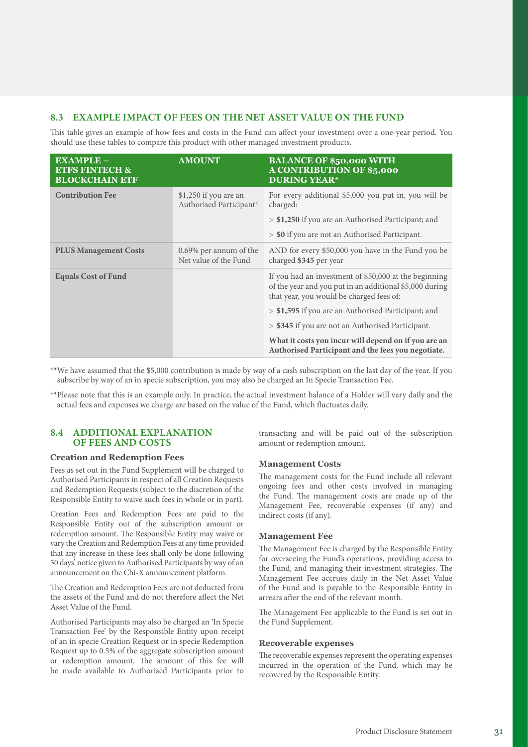### **8.3 EXAMPLE IMPACT OF FEES ON THE NET ASSET VALUE ON THE FUND**

This table gives an example of how fees and costs in the Fund can affect your investment over a one-year period. You should use these tables to compare this product with other managed investment products.

| <b>EXAMPLE-</b><br><b>ETFS FINTECH &amp;</b><br><b>BLOCKCHAIN ETF</b> | <b>AMOUNT</b>                                    | <b>BALANCE OF \$50,000 WITH</b><br><b>A CONTRIBUTION OF \$5,000</b><br><b>DURING YEAR*</b>                                                                   |
|-----------------------------------------------------------------------|--------------------------------------------------|--------------------------------------------------------------------------------------------------------------------------------------------------------------|
| <b>Contribution Fee</b>                                               | \$1,250 if you are an<br>Authorised Participant* | For every additional \$5,000 you put in, you will be<br>charged:                                                                                             |
|                                                                       |                                                  | > \$1,250 if you are an Authorised Participant; and                                                                                                          |
|                                                                       |                                                  | > \$0 if you are not an Authorised Participant.                                                                                                              |
| <b>PLUS Management Costs</b>                                          | 0.69% per annum of the<br>Net value of the Fund  | AND for every \$50,000 you have in the Fund you be<br>charged \$345 per year                                                                                 |
| <b>Equals Cost of Fund</b>                                            |                                                  | If you had an investment of \$50,000 at the beginning<br>of the year and you put in an additional \$5,000 during<br>that year, you would be charged fees of: |
|                                                                       |                                                  | > \$1,595 if you are an Authorised Participant; and                                                                                                          |
|                                                                       |                                                  | > \$345 if you are not an Authorised Participant.                                                                                                            |
|                                                                       |                                                  | What it costs you incur will depend on if you are an<br>Authorised Participant and the fees you negotiate.                                                   |

\*\*We have assumed that the \$5,000 contribution is made by way of a cash subscription on the last day of the year. If you subscribe by way of an in specie subscription, you may also be charged an In Specie Transaction Fee.

\*\*Please note that this is an example only. In practice, the actual investment balance of a Holder will vary daily and the actual fees and expenses we charge are based on the value of the Fund, which fluctuates daily.

### **8.4 ADDITIONAL EXPLANATION OF FEES AND COSTS**

### **Creation and Redemption Fees**

Fees as set out in the Fund Supplement will be charged to Authorised Participants in respect of all Creation Requests and Redemption Requests (subject to the discretion of the Responsible Entity to waive such fees in whole or in part).

Creation Fees and Redemption Fees are paid to the Responsible Entity out of the subscription amount or redemption amount. The Responsible Entity may waive or vary the Creation and Redemption Fees at any time provided that any increase in these fees shall only be done following 30 days' notice given to Authorised Participants by way of an announcement on the Chi-X announcement platform.

The Creation and Redemption Fees are not deducted from the assets of the Fund and do not therefore affect the Net Asset Value of the Fund.

Authorised Participants may also be charged an 'In Specie Transaction Fee' by the Responsible Entity upon receipt of an in specie Creation Request or in specie Redemption Request up to 0.5% of the aggregate subscription amount or redemption amount. The amount of this fee will be made available to Authorised Participants prior to transacting and will be paid out of the subscription amount or redemption amount.

### **Management Costs**

The management costs for the Fund include all relevant ongoing fees and other costs involved in managing the Fund. The management costs are made up of the Management Fee, recoverable expenses (if any) and indirect costs (if any).

### **Management Fee**

The Management Fee is charged by the Responsible Entity for overseeing the Fund's operations, providing access to the Fund, and managing their investment strategies. The Management Fee accrues daily in the Net Asset Value of the Fund and is payable to the Responsible Entity in arrears after the end of the relevant month.

The Management Fee applicable to the Fund is set out in the Fund Supplement.

#### **Recoverable expenses**

The recoverable expenses represent the operating expenses incurred in the operation of the Fund, which may be recovered by the Responsible Entity.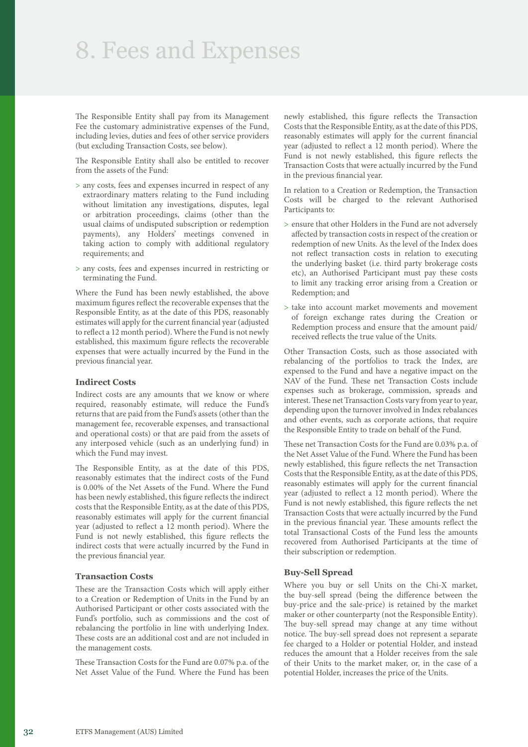### 8. Fees and Expenses

The Responsible Entity shall pay from its Management Fee the customary administrative expenses of the Fund, including levies, duties and fees of other service providers (but excluding Transaction Costs, see below).

The Responsible Entity shall also be entitled to recover from the assets of the Fund:

- > any costs, fees and expenses incurred in respect of any extraordinary matters relating to the Fund including without limitation any investigations, disputes, legal or arbitration proceedings, claims (other than the usual claims of undisputed subscription or redemption payments), any Holders' meetings convened in taking action to comply with additional regulatory requirements; and
- > any costs, fees and expenses incurred in restricting or terminating the Fund.

Where the Fund has been newly established, the above maximum figures reflect the recoverable expenses that the Responsible Entity, as at the date of this PDS, reasonably estimates will apply for the current financial year (adjusted to reflect a 12 month period). Where the Fund is not newly established, this maximum figure reflects the recoverable expenses that were actually incurred by the Fund in the previous financial year.

### **Indirect Costs**

Indirect costs are any amounts that we know or where required, reasonably estimate, will reduce the Fund's returns that are paid from the Fund's assets (other than the management fee, recoverable expenses, and transactional and operational costs) or that are paid from the assets of any interposed vehicle (such as an underlying fund) in which the Fund may invest.

The Responsible Entity, as at the date of this PDS, reasonably estimates that the indirect costs of the Fund is 0.00% of the Net Assets of the Fund. Where the Fund has been newly established, this figure reflects the indirect costs that the Responsible Entity, as at the date of this PDS, reasonably estimates will apply for the current financial year (adjusted to reflect a 12 month period). Where the Fund is not newly established, this figure reflects the indirect costs that were actually incurred by the Fund in the previous financial year.

### **Transaction Costs**

These are the Transaction Costs which will apply either to a Creation or Redemption of Units in the Fund by an Authorised Participant or other costs associated with the Fund's portfolio, such as commissions and the cost of rebalancing the portfolio in line with underlying Index. These costs are an additional cost and are not included in the management costs.

These Transaction Costs for the Fund are 0.07% p.a. of the Net Asset Value of the Fund. Where the Fund has been newly established, this figure reflects the Transaction Costs that the Responsible Entity, as at the date of this PDS, reasonably estimates will apply for the current financial year (adjusted to reflect a 12 month period). Where the Fund is not newly established, this figure reflects the Transaction Costs that were actually incurred by the Fund in the previous financial year.

In relation to a Creation or Redemption, the Transaction Costs will be charged to the relevant Authorised Participants to:

- > ensure that other Holders in the Fund are not adversely affected by transaction costs in respect of the creation or redemption of new Units. As the level of the Index does not reflect transaction costs in relation to executing the underlying basket (i.e. third party brokerage costs etc), an Authorised Participant must pay these costs to limit any tracking error arising from a Creation or Redemption; and
- > take into account market movements and movement of foreign exchange rates during the Creation or Redemption process and ensure that the amount paid/ received reflects the true value of the Units.

Other Transaction Costs, such as those associated with rebalancing of the portfolios to track the Index, are expensed to the Fund and have a negative impact on the NAV of the Fund. These net Transaction Costs include expenses such as brokerage, commission, spreads and interest. These net Transaction Costs vary from year to year, depending upon the turnover involved in Index rebalances and other events, such as corporate actions, that require the Responsible Entity to trade on behalf of the Fund.

These net Transaction Costs for the Fund are 0.03% p.a. of the Net Asset Value of the Fund. Where the Fund has been newly established, this figure reflects the net Transaction Costs that the Responsible Entity, as at the date of this PDS, reasonably estimates will apply for the current financial year (adjusted to reflect a 12 month period). Where the Fund is not newly established, this figure reflects the net Transaction Costs that were actually incurred by the Fund in the previous financial year. These amounts reflect the total Transactional Costs of the Fund less the amounts recovered from Authorised Participants at the time of their subscription or redemption.

### **Buy-Sell Spread**

Where you buy or sell Units on the Chi-X market, the buy-sell spread (being the difference between the buy-price and the sale-price) is retained by the market maker or other counterparty (not the Responsible Entity). The buy-sell spread may change at any time without notice. The buy-sell spread does not represent a separate fee charged to a Holder or potential Holder, and instead reduces the amount that a Holder receives from the sale of their Units to the market maker, or, in the case of a potential Holder, increases the price of the Units.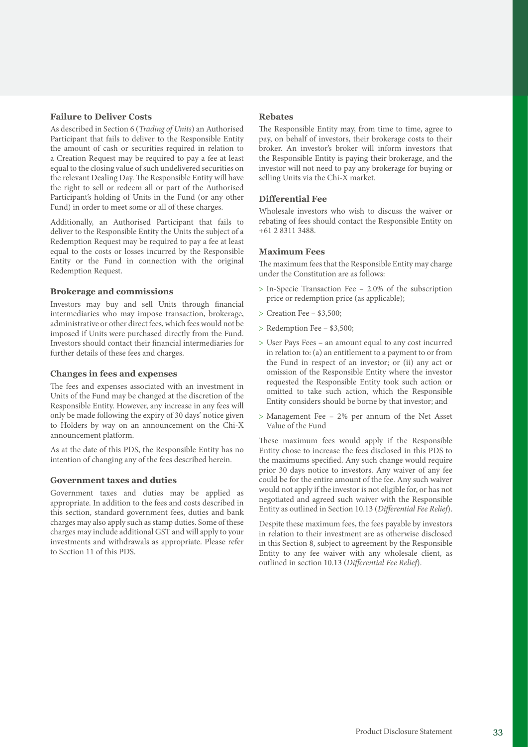### **Failure to Deliver Costs**

As described in Section 6 (*Trading of Units*) an Authorised Participant that fails to deliver to the Responsible Entity the amount of cash or securities required in relation to a Creation Request may be required to pay a fee at least equal to the closing value of such undelivered securities on the relevant Dealing Day. The Responsible Entity will have the right to sell or redeem all or part of the Authorised Participant's holding of Units in the Fund (or any other Fund) in order to meet some or all of these charges.

Additionally, an Authorised Participant that fails to deliver to the Responsible Entity the Units the subject of a Redemption Request may be required to pay a fee at least equal to the costs or losses incurred by the Responsible Entity or the Fund in connection with the original Redemption Request.

### **Brokerage and commissions**

Investors may buy and sell Units through financial intermediaries who may impose transaction, brokerage, administrative or other direct fees, which fees would not be imposed if Units were purchased directly from the Fund. Investors should contact their financial intermediaries for further details of these fees and charges.

### **Changes in fees and expenses**

The fees and expenses associated with an investment in Units of the Fund may be changed at the discretion of the Responsible Entity. However, any increase in any fees will only be made following the expiry of 30 days' notice given to Holders by way on an announcement on the Chi-X announcement platform.

As at the date of this PDS, the Responsible Entity has no intention of changing any of the fees described herein.

### **Government taxes and duties**

Government taxes and duties may be applied as appropriate. In addition to the fees and costs described in this section, standard government fees, duties and bank charges may also apply such as stamp duties. Some of these charges may include additional GST and will apply to your investments and withdrawals as appropriate. Please refer to Section 11 of this PDS.

### **Rebates**

The Responsible Entity may, from time to time, agree to pay, on behalf of investors, their brokerage costs to their broker. An investor's broker will inform investors that the Responsible Entity is paying their brokerage, and the investor will not need to pay any brokerage for buying or selling Units via the Chi-X market.

### **Differential Fee**

Wholesale investors who wish to discuss the waiver or rebating of fees should contact the Responsible Entity on +61 2 8311 3488.

### **Maximum Fees**

The maximum fees that the Responsible Entity may charge under the Constitution are as follows:

- > In-Specie Transaction Fee 2.0% of the subscription price or redemption price (as applicable);
- > Creation Fee \$3,500;
- > Redemption Fee \$3,500;
- > User Pays Fees an amount equal to any cost incurred in relation to: (a) an entitlement to a payment to or from the Fund in respect of an investor; or (ii) any act or omission of the Responsible Entity where the investor requested the Responsible Entity took such action or omitted to take such action, which the Responsible Entity considers should be borne by that investor; and
- > Management Fee 2% per annum of the Net Asset Value of the Fund

These maximum fees would apply if the Responsible Entity chose to increase the fees disclosed in this PDS to the maximums specified. Any such change would require prior 30 days notice to investors. Any waiver of any fee could be for the entire amount of the fee. Any such waiver would not apply if the investor is not eligible for, or has not negotiated and agreed such waiver with the Responsible Entity as outlined in Section 10.13 (*Differential Fee Relief*).

Despite these maximum fees, the fees payable by investors in relation to their investment are as otherwise disclosed in this Section 8, subject to agreement by the Responsible Entity to any fee waiver with any wholesale client, as outlined in section 10.13 (*Differential Fee Relief*).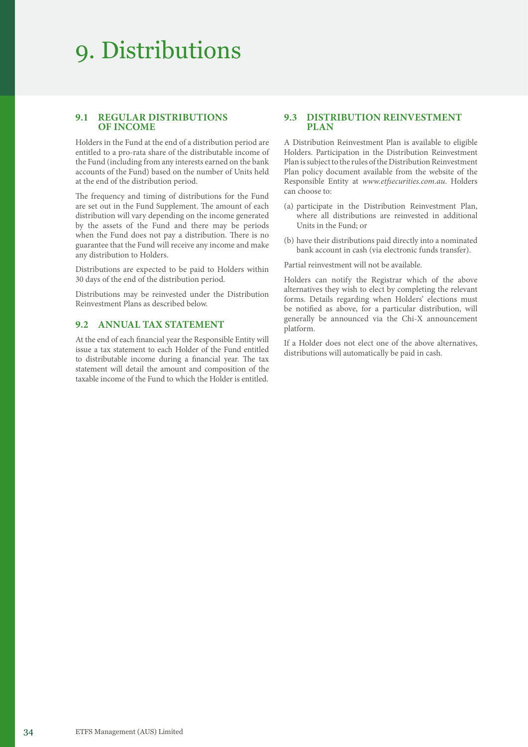### 9. Distributions

### **9.1 REGULAR DISTRIBUTIONS OF INCOME**

Holders in the Fund at the end of a distribution period are entitled to a pro-rata share of the distributable income of the Fund (including from any interests earned on the bank accounts of the Fund) based on the number of Units held at the end of the distribution period.

The frequency and timing of distributions for the Fund are set out in the Fund Supplement. The amount of each distribution will vary depending on the income generated by the assets of the Fund and there may be periods when the Fund does not pay a distribution. There is no guarantee that the Fund will receive any income and make any distribution to Holders.

Distributions are expected to be paid to Holders within 30 days of the end of the distribution period.

Distributions may be reinvested under the Distribution Reinvestment Plans as described below.

### **9.2 ANNUAL TAX STATEMENT**

At the end of each financial year the Responsible Entity will issue a tax statement to each Holder of the Fund entitled to distributable income during a financial year. The tax statement will detail the amount and composition of the taxable income of the Fund to which the Holder is entitled.

### **9.3 DISTRIBUTION REINVESTMENT PLAN**

A Distribution Reinvestment Plan is available to eligible Holders. Participation in the Distribution Reinvestment Plan is subject to the rules of the Distribution Reinvestment Plan policy document available from the website of the Responsible Entity at *[www.etfsecurities.com.au](https://www.etfsecurities.com.au)*. Holders can choose to:

- (a) participate in the Distribution Reinvestment Plan, where all distributions are reinvested in additional Units in the Fund; or
- (b) have their distributions paid directly into a nominated bank account in cash (via electronic funds transfer).

Partial reinvestment will not be available.

Holders can notify the Registrar which of the above alternatives they wish to elect by completing the relevant forms. Details regarding when Holders' elections must be notified as above, for a particular distribution, will generally be announced via the Chi-X announcement platform.

If a Holder does not elect one of the above alternatives, distributions will automatically be paid in cash.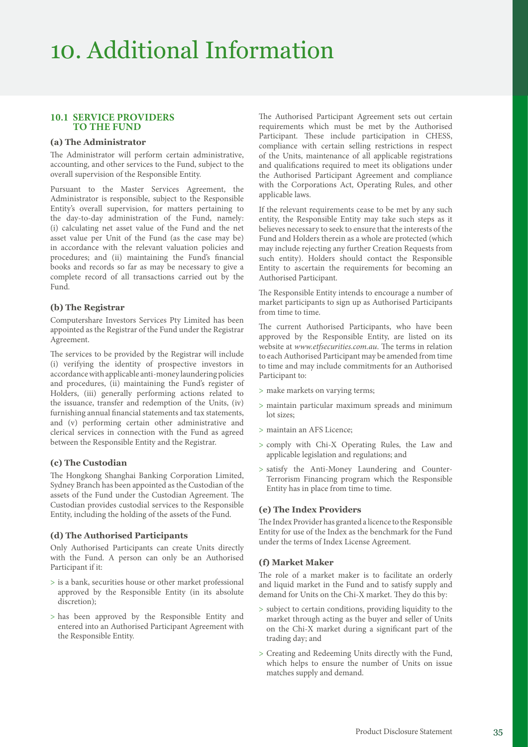### **10.1 SERVICE PROVIDERS TO THE FUND**

### **(a) The Administrator**

The Administrator will perform certain administrative, accounting, and other services to the Fund, subject to the overall supervision of the Responsible Entity.

Pursuant to the Master Services Agreement, the Administrator is responsible, subject to the Responsible Entity's overall supervision, for matters pertaining to the day-to-day administration of the Fund, namely: (i) calculating net asset value of the Fund and the net asset value per Unit of the Fund (as the case may be) in accordance with the relevant valuation policies and procedures; and (ii) maintaining the Fund's financial books and records so far as may be necessary to give a complete record of all transactions carried out by the Fund.

### **(b) The Registrar**

Computershare Investors Services Pty Limited has been appointed as the Registrar of the Fund under the Registrar Agreement.

The services to be provided by the Registrar will include (i) verifying the identity of prospective investors in accordance with applicable anti-money laundering policies and procedures, (ii) maintaining the Fund's register of Holders, (iii) generally performing actions related to the issuance, transfer and redemption of the Units, (iv) furnishing annual financial statements and tax statements, and (v) performing certain other administrative and clerical services in connection with the Fund as agreed between the Responsible Entity and the Registrar.

### **(c) The Custodian**

The Hongkong Shanghai Banking Corporation Limited, Sydney Branch has been appointed as the Custodian of the assets of the Fund under the Custodian Agreement. The Custodian provides custodial services to the Responsible Entity, including the holding of the assets of the Fund.

### **(d) The Authorised Participants**

Only Authorised Participants can create Units directly with the Fund. A person can only be an Authorised Participant if it:

- > is a bank, securities house or other market professional approved by the Responsible Entity (in its absolute discretion);
- > has been approved by the Responsible Entity and entered into an Authorised Participant Agreement with the Responsible Entity.

The Authorised Participant Agreement sets out certain requirements which must be met by the Authorised Participant. These include participation in CHESS, compliance with certain selling restrictions in respect of the Units, maintenance of all applicable registrations and qualifications required to meet its obligations under the Authorised Participant Agreement and compliance with the Corporations Act, Operating Rules, and other applicable laws.

If the relevant requirements cease to be met by any such entity, the Responsible Entity may take such steps as it believes necessary to seek to ensure that the interests of the Fund and Holders therein as a whole are protected (which may include rejecting any further Creation Requests from such entity). Holders should contact the Responsible Entity to ascertain the requirements for becoming an Authorised Participant.

The Responsible Entity intends to encourage a number of market participants to sign up as Authorised Participants from time to time.

The current Authorised Participants, who have been approved by the Responsible Entity, are listed on its website at *[www.etfsecurities.com.au](https://www.etfsecurities.com.au)*. The terms in relation to each Authorised Participant may be amended from time to time and may include commitments for an Authorised Participant to:

- > make markets on varying terms;
- > maintain particular maximum spreads and minimum lot sizes;
- > maintain an AFS Licence;
- > comply with Chi-X Operating Rules, the Law and applicable legislation and regulations; and
- > satisfy the Anti-Money Laundering and Counter-Terrorism Financing program which the Responsible Entity has in place from time to time.

### **(e) The Index Providers**

The Index Provider has granted a licence to the Responsible Entity for use of the Index as the benchmark for the Fund under the terms of Index License Agreement.

### **(f) Market Maker**

The role of a market maker is to facilitate an orderly and liquid market in the Fund and to satisfy supply and demand for Units on the Chi-X market. They do this by:

- > subject to certain conditions, providing liquidity to the market through acting as the buyer and seller of Units on the Chi-X market during a significant part of the trading day; and
- > Creating and Redeeming Units directly with the Fund, which helps to ensure the number of Units on issue matches supply and demand.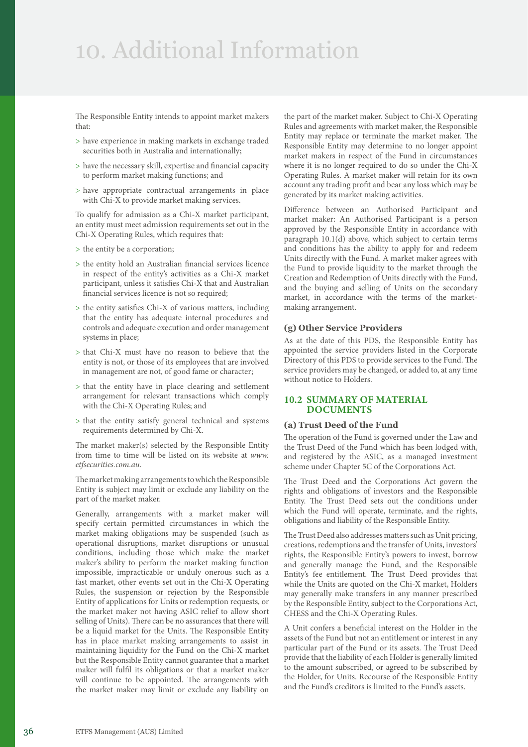### 10. Additional Information

The Responsible Entity intends to appoint market makers that:

- > have experience in making markets in exchange traded securities both in Australia and internationally;
- > have the necessary skill, expertise and financial capacity to perform market making functions; and
- > have appropriate contractual arrangements in place with Chi-X to provide market making services.

To qualify for admission as a Chi-X market participant, an entity must meet admission requirements set out in the Chi-X Operating Rules, which requires that:

- > the entity be a corporation;
- > the entity hold an Australian financial services licence in respect of the entity's activities as a Chi-X market participant, unless it satisfies Chi-X that and Australian financial services licence is not so required;
- > the entity satisfies Chi-X of various matters, including that the entity has adequate internal procedures and controls and adequate execution and order management systems in place;
- > that Chi-X must have no reason to believe that the entity is not, or those of its employees that are involved in management are not, of good fame or character;
- > that the entity have in place clearing and settlement arrangement for relevant transactions which comply with the Chi-X Operating Rules; and
- > that the entity satisfy general technical and systems requirements determined by Chi-X.

The market maker(s) selected by the Responsible Entity from time to time will be listed on its website at *[www.](https://www.etfsecurities.com.au) [etfsecurities.com.au](https://www.etfsecurities.com.au)*.

The market making arrangements to which the Responsible Entity is subject may limit or exclude any liability on the part of the market maker.

Generally, arrangements with a market maker will specify certain permitted circumstances in which the market making obligations may be suspended (such as operational disruptions, market disruptions or unusual conditions, including those which make the market maker's ability to perform the market making function impossible, impracticable or unduly onerous such as a fast market, other events set out in the Chi-X Operating Rules, the suspension or rejection by the Responsible Entity of applications for Units or redemption requests, or the market maker not having ASIC relief to allow short selling of Units). There can be no assurances that there will be a liquid market for the Units. The Responsible Entity has in place market making arrangements to assist in maintaining liquidity for the Fund on the Chi-X market but the Responsible Entity cannot guarantee that a market maker will fulfil its obligations or that a market maker will continue to be appointed. The arrangements with the market maker may limit or exclude any liability on

the part of the market maker. Subject to Chi-X Operating Rules and agreements with market maker, the Responsible Entity may replace or terminate the market maker. The Responsible Entity may determine to no longer appoint market makers in respect of the Fund in circumstances where it is no longer required to do so under the Chi-X Operating Rules. A market maker will retain for its own account any trading profit and bear any loss which may be generated by its market making activities.

Difference between an Authorised Participant and market maker: An Authorised Participant is a person approved by the Responsible Entity in accordance with paragraph 10.1(d) above, which subject to certain terms and conditions has the ability to apply for and redeem Units directly with the Fund. A market maker agrees with the Fund to provide liquidity to the market through the Creation and Redemption of Units directly with the Fund, and the buying and selling of Units on the secondary market, in accordance with the terms of the marketmaking arrangement.

### **(g) Other Service Providers**

As at the date of this PDS, the Responsible Entity has appointed the service providers listed in the Corporate Directory of this PDS to provide services to the Fund. The service providers may be changed, or added to, at any time without notice to Holders.

### **10.2 SUMMARY OF MATERIAL DOCUMENTS**

### **(a) Trust Deed of the Fund**

The operation of the Fund is governed under the Law and the Trust Deed of the Fund which has been lodged with, and registered by the ASIC, as a managed investment scheme under Chapter 5C of the Corporations Act.

The Trust Deed and the Corporations Act govern the rights and obligations of investors and the Responsible Entity. The Trust Deed sets out the conditions under which the Fund will operate, terminate, and the rights, obligations and liability of the Responsible Entity.

The Trust Deed also addresses matters such as Unit pricing, creations, redemptions and the transfer of Units, investors' rights, the Responsible Entity's powers to invest, borrow and generally manage the Fund, and the Responsible Entity's fee entitlement. The Trust Deed provides that while the Units are quoted on the Chi-X market, Holders may generally make transfers in any manner prescribed by the Responsible Entity, subject to the Corporations Act, CHESS and the Chi-X Operating Rules.

A Unit confers a beneficial interest on the Holder in the assets of the Fund but not an entitlement or interest in any particular part of the Fund or its assets. The Trust Deed provide that the liability of each Holder is generally limited to the amount subscribed, or agreed to be subscribed by the Holder, for Units. Recourse of the Responsible Entity and the Fund's creditors is limited to the Fund's assets.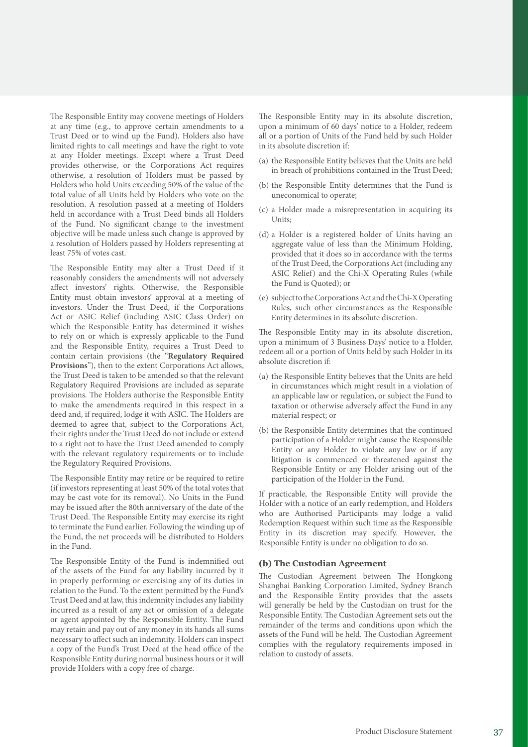The Responsible Entity may convene meetings of Holders at any time (e.g., to approve certain amendments to a Trust Deed or to wind up the Fund). Holders also have limited rights to call meetings and have the right to vote at any Holder meetings. Except where a Trust Deed provides otherwise, or the Corporations Act requires otherwise, a resolution of Holders must be passed by Holders who hold Units exceeding 50% of the value of the total value of all Units held by Holders who vote on the resolution. A resolution passed at a meeting of Holders held in accordance with a Trust Deed binds all Holders of the Fund. No significant change to the investment objective will be made unless such change is approved by a resolution of Holders passed by Holders representing at least 75% of votes cast.

The Responsible Entity may alter a Trust Deed if it reasonably considers the amendments will not adversely affect investors' rights. Otherwise, the Responsible Entity must obtain investors' approval at a meeting of investors. Under the Trust Deed, if the Corporations Act or ASIC Relief (including ASIC Class Order) on which the Responsible Entity has determined it wishes to rely on or which is expressly applicable to the Fund and the Responsible Entity, requires a Trust Deed to contain certain provisions (the "**Regulatory Required Provisions**"), then to the extent Corporations Act allows, the Trust Deed is taken to be amended so that the relevant Regulatory Required Provisions are included as separate provisions. The Holders authorise the Responsible Entity to make the amendments required in this respect in a deed and, if required, lodge it with ASIC. The Holders are deemed to agree that, subject to the Corporations Act, their rights under the Trust Deed do not include or extend to a right not to have the Trust Deed amended to comply with the relevant regulatory requirements or to include the Regulatory Required Provisions.

The Responsible Entity may retire or be required to retire (if investors representing at least 50% of the total votes that may be cast vote for its removal). No Units in the Fund may be issued after the 80th anniversary of the date of the Trust Deed. The Responsible Entity may exercise its right to terminate the Fund earlier. Following the winding up of the Fund, the net proceeds will be distributed to Holders in the Fund.

The Responsible Entity of the Fund is indemnified out of the assets of the Fund for any liability incurred by it in properly performing or exercising any of its duties in relation to the Fund. To the extent permitted by the Fund's Trust Deed and at law, this indemnity includes any liability incurred as a result of any act or omission of a delegate or agent appointed by the Responsible Entity. The Fund may retain and pay out of any money in its hands all sums necessary to affect such an indemnity. Holders can inspect a copy of the Fund's Trust Deed at the head office of the Responsible Entity during normal business hours or it will provide Holders with a copy free of charge.

The Responsible Entity may in its absolute discretion, upon a minimum of 60 days' notice to a Holder, redeem all or a portion of Units of the Fund held by such Holder in its absolute discretion if:

- (a) the Responsible Entity believes that the Units are held in breach of prohibitions contained in the Trust Deed;
- (b) the Responsible Entity determines that the Fund is uneconomical to operate;
- (c) a Holder made a misrepresentation in acquiring its Units;
- (d) a Holder is a registered holder of Units having an aggregate value of less than the Minimum Holding, provided that it does so in accordance with the terms of the Trust Deed, the Corporations Act (including any ASIC Relief) and the Chi-X Operating Rules (while the Fund is Quoted); or
- (e) subject to the Corporations Act and the Chi-X Operating Rules, such other circumstances as the Responsible Entity determines in its absolute discretion.

The Responsible Entity may in its absolute discretion, upon a minimum of 3 Business Days' notice to a Holder, redeem all or a portion of Units held by such Holder in its absolute discretion if:

- (a) the Responsible Entity believes that the Units are held in circumstances which might result in a violation of an applicable law or regulation, or subject the Fund to taxation or otherwise adversely affect the Fund in any material respect; or
- (b) the Responsible Entity determines that the continued participation of a Holder might cause the Responsible Entity or any Holder to violate any law or if any litigation is commenced or threatened against the Responsible Entity or any Holder arising out of the participation of the Holder in the Fund.

If practicable, the Responsible Entity will provide the Holder with a notice of an early redemption, and Holders who are Authorised Participants may lodge a valid Redemption Request within such time as the Responsible Entity in its discretion may specify. However, the Responsible Entity is under no obligation to do so.

### **(b) The Custodian Agreement**

The Custodian Agreement between The Hongkong Shanghai Banking Corporation Limited, Sydney Branch and the Responsible Entity provides that the assets will generally be held by the Custodian on trust for the Responsible Entity. The Custodian Agreement sets out the remainder of the terms and conditions upon which the assets of the Fund will be held. The Custodian Agreement complies with the regulatory requirements imposed in relation to custody of assets.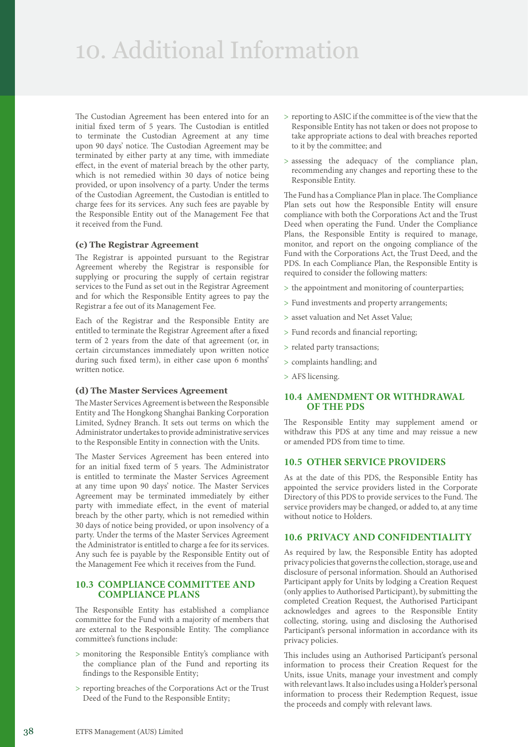### 10. Additional Information

The Custodian Agreement has been entered into for an initial fixed term of 5 years. The Custodian is entitled to terminate the Custodian Agreement at any time upon 90 days' notice. The Custodian Agreement may be terminated by either party at any time, with immediate effect, in the event of material breach by the other party, which is not remedied within 30 days of notice being provided, or upon insolvency of a party. Under the terms of the Custodian Agreement, the Custodian is entitled to charge fees for its services. Any such fees are payable by the Responsible Entity out of the Management Fee that it received from the Fund.

### **(c) The Registrar Agreement**

The Registrar is appointed pursuant to the Registrar Agreement whereby the Registrar is responsible for supplying or procuring the supply of certain registrar services to the Fund as set out in the Registrar Agreement and for which the Responsible Entity agrees to pay the Registrar a fee out of its Management Fee.

Each of the Registrar and the Responsible Entity are entitled to terminate the Registrar Agreement after a fixed term of 2 years from the date of that agreement (or, in certain circumstances immediately upon written notice during such fixed term), in either case upon 6 months' written notice.

### **(d) The Master Services Agreement**

The Master Services Agreement is between the Responsible Entity and The Hongkong Shanghai Banking Corporation Limited, Sydney Branch. It sets out terms on which the Administrator undertakes to provide administrative services to the Responsible Entity in connection with the Units.

The Master Services Agreement has been entered into for an initial fixed term of 5 years. The Administrator is entitled to terminate the Master Services Agreement at any time upon 90 days' notice. The Master Services Agreement may be terminated immediately by either party with immediate effect, in the event of material breach by the other party, which is not remedied within 30 days of notice being provided, or upon insolvency of a party. Under the terms of the Master Services Agreement the Administrator is entitled to charge a fee for its services. Any such fee is payable by the Responsible Entity out of the Management Fee which it receives from the Fund.

### **10.3 COMPLIANCE COMMITTEE AND COMPLIANCE PLANS**

The Responsible Entity has established a compliance committee for the Fund with a majority of members that are external to the Responsible Entity. The compliance committee's functions include:

- > monitoring the Responsible Entity's compliance with the compliance plan of the Fund and reporting its findings to the Responsible Entity;
- > reporting breaches of the Corporations Act or the Trust Deed of the Fund to the Responsible Entity;
- > reporting to ASIC if the committee is of the view that the Responsible Entity has not taken or does not propose to take appropriate actions to deal with breaches reported to it by the committee; and
- > assessing the adequacy of the compliance plan, recommending any changes and reporting these to the Responsible Entity.

The Fund has a Compliance Plan in place. The Compliance Plan sets out how the Responsible Entity will ensure compliance with both the Corporations Act and the Trust Deed when operating the Fund. Under the Compliance Plans, the Responsible Entity is required to manage, monitor, and report on the ongoing compliance of the Fund with the Corporations Act, the Trust Deed, and the PDS. In each Compliance Plan, the Responsible Entity is required to consider the following matters:

- > the appointment and monitoring of counterparties;
- > Fund investments and property arrangements;
- > asset valuation and Net Asset Value;
- > Fund records and financial reporting;
- > related party transactions;
- > complaints handling; and
- > AFS licensing.

### **10.4 AMENDMENT OR WITHDRAWAL OF THE PDS**

The Responsible Entity may supplement amend or withdraw this PDS at any time and may reissue a new or amended PDS from time to time.

### **10.5 OTHER SERVICE PROVIDERS**

As at the date of this PDS, the Responsible Entity has appointed the service providers listed in the Corporate Directory of this PDS to provide services to the Fund. The service providers may be changed, or added to, at any time without notice to Holders.

### **10.6 PRIVACY AND CONFIDENTIALITY**

As required by law, the Responsible Entity has adopted privacy policies that governs the collection, storage, use and disclosure of personal information. Should an Authorised Participant apply for Units by lodging a Creation Request (only applies to Authorised Participant), by submitting the completed Creation Request, the Authorised Participant acknowledges and agrees to the Responsible Entity collecting, storing, using and disclosing the Authorised Participant's personal information in accordance with its privacy policies.

This includes using an Authorised Participant's personal information to process their Creation Request for the Units, issue Units, manage your investment and comply with relevant laws. It also includes using a Holder's personal information to process their Redemption Request, issue the proceeds and comply with relevant laws.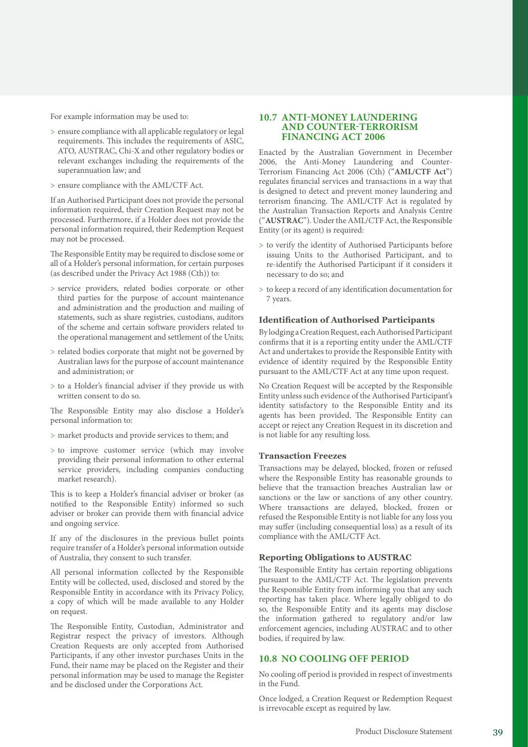For example information may be used to:

- > ensure compliance with all applicable regulatory or legal requirements. This includes the requirements of ASIC, ATO, AUSTRAC, Chi-X and other regulatory bodies or relevant exchanges including the requirements of the superannuation law; and
- > ensure compliance with the AML/CTF Act.

If an Authorised Participant does not provide the personal information required, their Creation Request may not be processed. Furthermore, if a Holder does not provide the personal information required, their Redemption Request may not be processed.

The Responsible Entity may be required to disclose some or all of a Holder's personal information, for certain purposes (as described under the Privacy Act 1988 (Cth)) to:

- > service providers, related bodies corporate or other third parties for the purpose of account maintenance and administration and the production and mailing of statements, such as share registries, custodians, auditors of the scheme and certain software providers related to the operational management and settlement of the Units;
- > related bodies corporate that might not be governed by Australian laws for the purpose of account maintenance and administration; or
- > to a Holder's financial adviser if they provide us with written consent to do so.

The Responsible Entity may also disclose a Holder's personal information to:

- > market products and provide services to them; and
- > to improve customer service (which may involve providing their personal information to other external service providers, including companies conducting market research).

This is to keep a Holder's financial adviser or broker (as notified to the Responsible Entity) informed so such adviser or broker can provide them with financial advice and ongoing service.

If any of the disclosures in the previous bullet points require transfer of a Holder's personal information outside of Australia, they consent to such transfer.

All personal information collected by the Responsible Entity will be collected, used, disclosed and stored by the Responsible Entity in accordance with its Privacy Policy, a copy of which will be made available to any Holder on request.

The Responsible Entity, Custodian, Administrator and Registrar respect the privacy of investors. Although Creation Requests are only accepted from Authorised Participants, if any other investor purchases Units in the Fund, their name may be placed on the Register and their personal information may be used to manage the Register and be disclosed under the Corporations Act.

### **10.7 ANTI-MONEY LAUNDERING AND COUNTER-TERRORISM FINANCING ACT 2006**

Enacted by the Australian Government in December 2006, the Anti-Money Laundering and Counter-Terrorism Financing Act 2006 (Cth) ("**AML/CTF Act**") regulates financial services and transactions in a way that is designed to detect and prevent money laundering and terrorism financing. The AML/CTF Act is regulated by the Australian Transaction Reports and Analysis Centre ("**AUSTRAC**"). Under the AML/CTF Act, the Responsible Entity (or its agent) is required:

- > to verify the identity of Authorised Participants before issuing Units to the Authorised Participant, and to re-identify the Authorised Participant if it considers it necessary to do so; and
- > to keep a record of any identification documentation for 7 years.

#### **Identification of Authorised Participants**

By lodging a Creation Request, each Authorised Participant confirms that it is a reporting entity under the AML/CTF Act and undertakes to provide the Responsible Entity with evidence of identity required by the Responsible Entity pursuant to the AML/CTF Act at any time upon request.

No Creation Request will be accepted by the Responsible Entity unless such evidence of the Authorised Participant's identity satisfactory to the Responsible Entity and its agents has been provided. The Responsible Entity can accept or reject any Creation Request in its discretion and is not liable for any resulting loss.

#### **Transaction Freezes**

Transactions may be delayed, blocked, frozen or refused where the Responsible Entity has reasonable grounds to believe that the transaction breaches Australian law or sanctions or the law or sanctions of any other country. Where transactions are delayed, blocked, frozen or refused the Responsible Entity is not liable for any loss you may suffer (including consequential loss) as a result of its compliance with the AML/CTF Act.

#### **Reporting Obligations to AUSTRAC**

The Responsible Entity has certain reporting obligations pursuant to the AML/CTF Act. The legislation prevents the Responsible Entity from informing you that any such reporting has taken place. Where legally obliged to do so, the Responsible Entity and its agents may disclose the information gathered to regulatory and/or law enforcement agencies, including AUSTRAC and to other bodies, if required by law.

### **10.8 NO COOLING OFF PERIOD**

No cooling off period is provided in respect of investments in the Fund.

Once lodged, a Creation Request or Redemption Request is irrevocable except as required by law.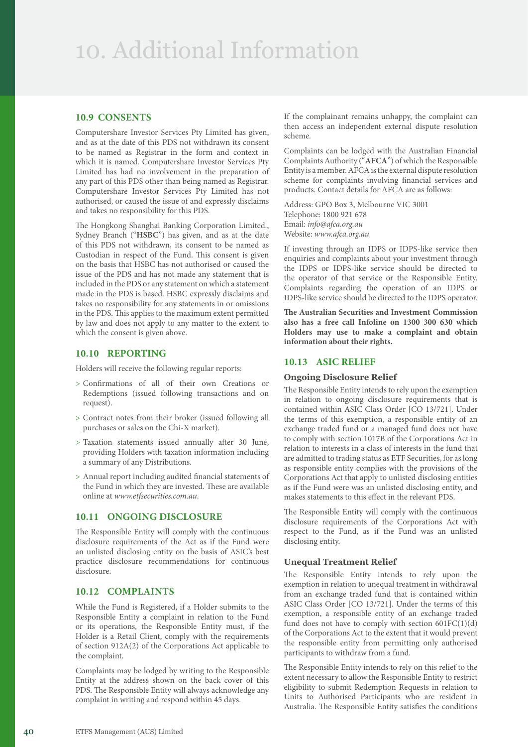### 10. Additional Information

### **10.9 CONSENTS**

Computershare Investor Services Pty Limited has given, and as at the date of this PDS not withdrawn its consent to be named as Registrar in the form and context in which it is named. Computershare Investor Services Pty Limited has had no involvement in the preparation of any part of this PDS other than being named as Registrar. Computershare Investor Services Pty Limited has not authorised, or caused the issue of and expressly disclaims and takes no responsibility for this PDS.

The Hongkong Shanghai Banking Corporation Limited., Sydney Branch ("**HSBC**") has given, and as at the date of this PDS not withdrawn, its consent to be named as Custodian in respect of the Fund. This consent is given on the basis that HSBC has not authorised or caused the issue of the PDS and has not made any statement that is included in the PDS or any statement on which a statement made in the PDS is based. HSBC expressly disclaims and takes no responsibility for any statements in or omissions in the PDS. This applies to the maximum extent permitted by law and does not apply to any matter to the extent to which the consent is given above.

### **10.10 REPORTING**

Holders will receive the following regular reports:

- > Confirmations of all of their own Creations or Redemptions (issued following transactions and on request).
- > Contract notes from their broker (issued following all purchases or sales on the Chi-X market).
- > Taxation statements issued annually after 30 June, providing Holders with taxation information including a summary of any Distributions.
- > Annual report including audited financial statements of the Fund in which they are invested. These are available online at *[www.etfsecurities.com.au](https://www.etfsecurities.com.au)*.

### **10.11 ONGOING DISCLOSURE**

The Responsible Entity will comply with the continuous disclosure requirements of the Act as if the Fund were an unlisted disclosing entity on the basis of ASIC's best practice disclosure recommendations for continuous disclosure.

### **10.12 COMPLAINTS**

While the Fund is Registered, if a Holder submits to the Responsible Entity a complaint in relation to the Fund or its operations, the Responsible Entity must, if the Holder is a Retail Client, comply with the requirements of section 912A(2) of the Corporations Act applicable to the complaint.

Complaints may be lodged by writing to the Responsible Entity at the address shown on the back cover of this PDS. The Responsible Entity will always acknowledge any complaint in writing and respond within 45 days.

If the complainant remains unhappy, the complaint can then access an independent external dispute resolution scheme.

Complaints can be lodged with the Australian Financial Complaints Authority ("**AFCA**") of which the Responsible Entity is a member. AFCA is the external dispute resolution scheme for complaints involving financial services and products. Contact details for AFCA are as follows:

Address: GPO Box 3, Melbourne VIC 3001 Telephone: 1800 921 678 Email: *[info@afca.org.au](mailto:info%40afca.org.au?subject=)* Website: *[www.afca.org.au](https://www.afca.org.au)*

If investing through an IDPS or IDPS-like service then enquiries and complaints about your investment through the IDPS or IDPS-like service should be directed to the operator of that service or the Responsible Entity. Complaints regarding the operation of an IDPS or IDPS-like service should be directed to the IDPS operator.

**The Australian Securities and Investment Commission also has a free call Infoline on 1300 300 630 which Holders may use to make a complaint and obtain information about their rights.** 

### **10.13 ASIC RELIEF**

### **Ongoing Disclosure Relief**

The Responsible Entity intends to rely upon the exemption in relation to ongoing disclosure requirements that is contained within ASIC Class Order [CO 13/721]. Under the terms of this exemption, a responsible entity of an exchange traded fund or a managed fund does not have to comply with section 1017B of the Corporations Act in relation to interests in a class of interests in the fund that are admitted to trading status as ETF Securities, for as long as responsible entity complies with the provisions of the Corporations Act that apply to unlisted disclosing entities as if the Fund were was an unlisted disclosing entity, and makes statements to this effect in the relevant PDS.

The Responsible Entity will comply with the continuous disclosure requirements of the Corporations Act with respect to the Fund, as if the Fund was an unlisted disclosing entity.

### **Unequal Treatment Relief**

The Responsible Entity intends to rely upon the exemption in relation to unequal treatment in withdrawal from an exchange traded fund that is contained within ASIC Class Order [CO 13/721]. Under the terms of this exemption, a responsible entity of an exchange traded fund does not have to comply with section 601FC(1)(d) of the Corporations Act to the extent that it would prevent the responsible entity from permitting only authorised participants to withdraw from a fund.

The Responsible Entity intends to rely on this relief to the extent necessary to allow the Responsible Entity to restrict eligibility to submit Redemption Requests in relation to Units to Authorised Participants who are resident in Australia. The Responsible Entity satisfies the conditions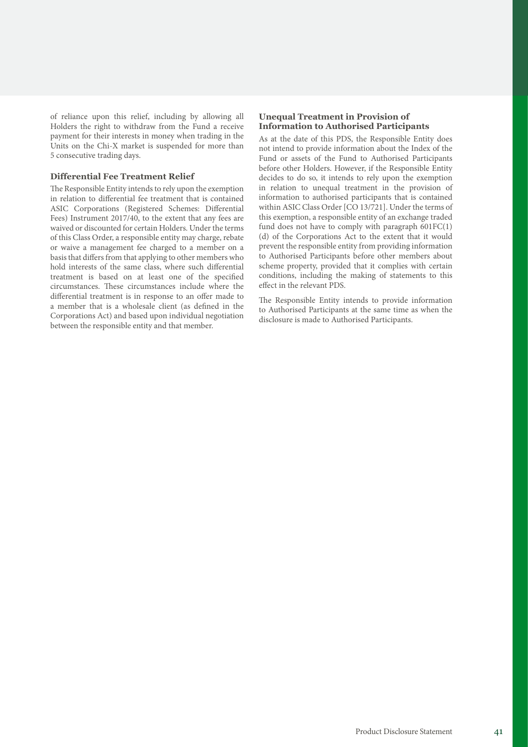of reliance upon this relief, including by allowing all Holders the right to withdraw from the Fund a receive payment for their interests in money when trading in the Units on the Chi-X market is suspended for more than 5 consecutive trading days.

### **Differential Fee Treatment Relief**

The Responsible Entity intends to rely upon the exemption in relation to differential fee treatment that is contained ASIC Corporations (Registered Schemes: Differential Fees) Instrument 2017/40, to the extent that any fees are waived or discounted for certain Holders. Under the terms of this Class Order, a responsible entity may charge, rebate or waive a management fee charged to a member on a basis that differs from that applying to other members who hold interests of the same class, where such differential treatment is based on at least one of the specified circumstances. These circumstances include where the differential treatment is in response to an offer made to a member that is a wholesale client (as defined in the Corporations Act) and based upon individual negotiation between the responsible entity and that member.

### **Unequal Treatment in Provision of Information to Authorised Participants**

As at the date of this PDS, the Responsible Entity does not intend to provide information about the Index of the Fund or assets of the Fund to Authorised Participants before other Holders. However, if the Responsible Entity decides to do so, it intends to rely upon the exemption in relation to unequal treatment in the provision of information to authorised participants that is contained within ASIC Class Order [CO 13/721]. Under the terms of this exemption, a responsible entity of an exchange traded fund does not have to comply with paragraph 601FC(1) (d) of the Corporations Act to the extent that it would prevent the responsible entity from providing information to Authorised Participants before other members about scheme property, provided that it complies with certain conditions, including the making of statements to this effect in the relevant PDS.

The Responsible Entity intends to provide information to Authorised Participants at the same time as when the disclosure is made to Authorised Participants.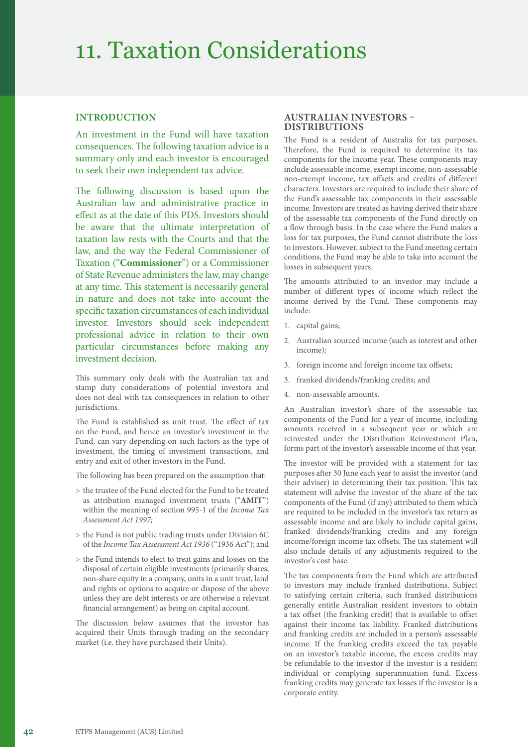### 11. Taxation Considerations

### **INTRODUCTION**

An investment in the Fund will have taxation consequences. The following taxation advice is a summary only and each investor is encouraged to seek their own independent tax advice.

The following discussion is based upon the Australian law and administrative practice in effect as at the date of this PDS. Investors should be aware that the ultimate interpretation of taxation law rests with the Courts and that the law, and the way the Federal Commissioner of Taxation ("**Commissioner**") or a Commissioner of State Revenue administers the law, may change at any time. This statement is necessarily general in nature and does not take into account the specific taxation circumstances of each individual investor. Investors should seek independent professional advice in relation to their own particular circumstances before making any investment decision.

This summary only deals with the Australian tax and stamp duty considerations of potential investors and does not deal with tax consequences in relation to other jurisdictions.

The Fund is established as unit trust. The effect of tax on the Fund, and hence an investor's investment in the Fund, can vary depending on such factors as the type of investment, the timing of investment transactions, and entry and exit of other investors in the Fund.

The following has been prepared on the assumption that:

- > the trustee of the Fund elected for the Fund to be treated as attribution managed investment trusts ("**AMIT**") within the meaning of section 995-1 of the *Income Tax Assessment Act 1997;*
- > the Fund is not public trading trusts under Division 6C of the *Income Tax Assessment Act 1936* ("1936 Act"); and
- > the Fund intends to elect to treat gains and losses on the disposal of certain eligible investments (primarily shares, non-share equity in a company, units in a unit trust, land and rights or options to acquire or dispose of the above unless they are debt interests or are otherwise a relevant financial arrangement) as being on capital account.

The discussion below assumes that the investor has acquired their Units through trading on the secondary market (i.e. they have purchased their Units).

### **AUSTRALIAN INVESTORS – DISTRIBUTIONS**

The Fund is a resident of Australia for tax purposes. Therefore, the Fund is required to determine its tax components for the income year. These components may include assessable income, exempt income, non-assessable non-exempt income, tax offsets and credits of different characters. Investors are required to include their share of the Fund's assessable tax components in their assessable income. Investors are treated as having derived their share of the assessable tax components of the Fund directly on a flow through basis. In the case where the Fund makes a loss for tax purposes, the Fund cannot distribute the loss to investors. However, subject to the Fund meeting certain conditions, the Fund may be able to take into account the losses in subsequent years.

The amounts attributed to an investor may include a number of different types of income which reflect the income derived by the Fund. These components may include:

- 1. capital gains;
- 2. Australian sourced income (such as interest and other income);
- 3. foreign income and foreign income tax offsets;
- 3. franked dividends/franking credits; and
- 4. non-assessable amounts.

An Australian investor's share of the assessable tax components of the Fund for a year of income, including amounts received in a subsequent year or which are reinvested under the Distribution Reinvestment Plan, forms part of the investor's assessable income of that year.

The investor will be provided with a statement for tax purposes after 30 June each year to assist the investor (and their adviser) in determining their tax position. This tax statement will advise the investor of the share of the tax components of the Fund (if any) attributed to them which are required to be included in the investor's tax return as assessable income and are likely to include capital gains, franked dividends/franking credits and any foreign income/foreign income tax offsets. The tax statement will also include details of any adjustments required to the investor's cost base.

The tax components from the Fund which are attributed to investors may include franked distributions. Subject to satisfying certain criteria, such franked distributions generally entitle Australian resident investors to obtain a tax offset (the franking credit) that is available to offset against their income tax liability. Franked distributions and franking credits are included in a person's assessable income. If the franking credits exceed the tax payable on an investor's taxable income, the excess credits may be refundable to the investor if the investor is a resident individual or complying superannuation fund. Excess franking credits may generate tax losses if the investor is a corporate entity.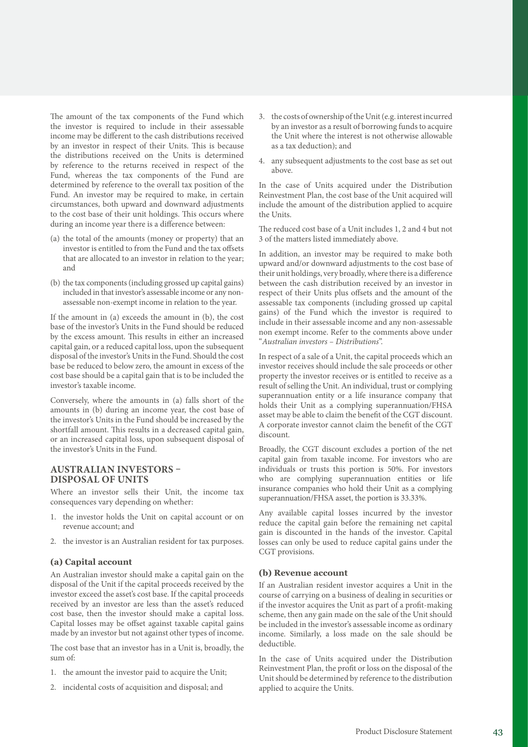The amount of the tax components of the Fund which the investor is required to include in their assessable income may be different to the cash distributions received by an investor in respect of their Units. This is because the distributions received on the Units is determined by reference to the returns received in respect of the Fund, whereas the tax components of the Fund are determined by reference to the overall tax position of the Fund. An investor may be required to make, in certain circumstances, both upward and downward adjustments to the cost base of their unit holdings. This occurs where during an income year there is a difference between:

- (a) the total of the amounts (money or property) that an investor is entitled to from the Fund and the tax offsets that are allocated to an investor in relation to the year; and
- (b) the tax components (including grossed up capital gains) included in that investor's assessable income or any nonassessable non-exempt income in relation to the year.

If the amount in (a) exceeds the amount in (b), the cost base of the investor's Units in the Fund should be reduced by the excess amount. This results in either an increased capital gain, or a reduced capital loss, upon the subsequent disposal of the investor's Units in the Fund. Should the cost base be reduced to below zero, the amount in excess of the cost base should be a capital gain that is to be included the investor's taxable income.

Conversely, where the amounts in (a) falls short of the amounts in (b) during an income year, the cost base of the investor's Units in the Fund should be increased by the shortfall amount. This results in a decreased capital gain, or an increased capital loss, upon subsequent disposal of the investor's Units in the Fund.

### **AUSTRALIAN INVESTORS – DISPOSAL OF UNITS**

Where an investor sells their Unit, the income tax consequences vary depending on whether:

- 1. the investor holds the Unit on capital account or on revenue account; and
- 2. the investor is an Australian resident for tax purposes.

### **(a) Capital account**

An Australian investor should make a capital gain on the disposal of the Unit if the capital proceeds received by the investor exceed the asset's cost base. If the capital proceeds received by an investor are less than the asset's reduced cost base, then the investor should make a capital loss. Capital losses may be offset against taxable capital gains made by an investor but not against other types of income.

The cost base that an investor has in a Unit is, broadly, the sum of:

- 1. the amount the investor paid to acquire the Unit;
- 2. incidental costs of acquisition and disposal; and
- 3. the costs of ownership of the Unit (e.g. interest incurred by an investor as a result of borrowing funds to acquire the Unit where the interest is not otherwise allowable as a tax deduction); and
- 4. any subsequent adjustments to the cost base as set out above.

In the case of Units acquired under the Distribution Reinvestment Plan, the cost base of the Unit acquired will include the amount of the distribution applied to acquire the Units.

The reduced cost base of a Unit includes 1, 2 and 4 but not 3 of the matters listed immediately above.

In addition, an investor may be required to make both upward and/or downward adjustments to the cost base of their unit holdings, very broadly, where there is a difference between the cash distribution received by an investor in respect of their Units plus offsets and the amount of the assessable tax components (including grossed up capital gains) of the Fund which the investor is required to include in their assessable income and any non-assessable non exempt income. Refer to the comments above under "*Australian investors – Distributions*".

In respect of a sale of a Unit, the capital proceeds which an investor receives should include the sale proceeds or other property the investor receives or is entitled to receive as a result of selling the Unit. An individual, trust or complying superannuation entity or a life insurance company that holds their Unit as a complying superannuation/FHSA asset may be able to claim the benefit of the CGT discount. A corporate investor cannot claim the benefit of the CGT discount.

Broadly, the CGT discount excludes a portion of the net capital gain from taxable income. For investors who are individuals or trusts this portion is 50%. For investors who are complying superannuation entities or life insurance companies who hold their Unit as a complying superannuation/FHSA asset, the portion is 33.33%.

Any available capital losses incurred by the investor reduce the capital gain before the remaining net capital gain is discounted in the hands of the investor. Capital losses can only be used to reduce capital gains under the CGT provisions.

### **(b) Revenue account**

If an Australian resident investor acquires a Unit in the course of carrying on a business of dealing in securities or if the investor acquires the Unit as part of a profit-making scheme, then any gain made on the sale of the Unit should be included in the investor's assessable income as ordinary income. Similarly, a loss made on the sale should be deductible.

In the case of Units acquired under the Distribution Reinvestment Plan, the profit or loss on the disposal of the Unit should be determined by reference to the distribution applied to acquire the Units.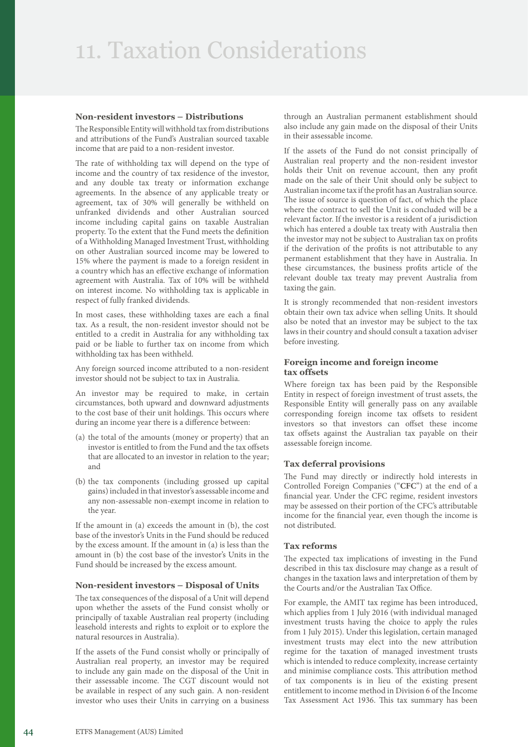### **Non-resident investors – Distributions**

The Responsible Entity will withhold tax from distributions and attributions of the Fund's Australian sourced taxable income that are paid to a non-resident investor.

The rate of withholding tax will depend on the type of income and the country of tax residence of the investor, and any double tax treaty or information exchange agreements. In the absence of any applicable treaty or agreement, tax of 30% will generally be withheld on unfranked dividends and other Australian sourced income including capital gains on taxable Australian property. To the extent that the Fund meets the definition of a Withholding Managed Investment Trust, withholding on other Australian sourced income may be lowered to 15% where the payment is made to a foreign resident in a country which has an effective exchange of information agreement with Australia. Tax of 10% will be withheld on interest income. No withholding tax is applicable in respect of fully franked dividends.

In most cases, these withholding taxes are each a final tax. As a result, the non-resident investor should not be entitled to a credit in Australia for any withholding tax paid or be liable to further tax on income from which withholding tax has been withheld.

Any foreign sourced income attributed to a non-resident investor should not be subject to tax in Australia.

An investor may be required to make, in certain circumstances, both upward and downward adjustments to the cost base of their unit holdings. This occurs where during an income year there is a difference between:

- (a) the total of the amounts (money or property) that an investor is entitled to from the Fund and the tax offsets that are allocated to an investor in relation to the year; and
- (b) the tax components (including grossed up capital gains) included in that investor's assessable income and any non-assessable non-exempt income in relation to the year.

If the amount in (a) exceeds the amount in (b), the cost base of the investor's Units in the Fund should be reduced by the excess amount. If the amount in (a) is less than the amount in (b) the cost base of the investor's Units in the Fund should be increased by the excess amount.

### **Non-resident investors – Disposal of Units**

The tax consequences of the disposal of a Unit will depend upon whether the assets of the Fund consist wholly or principally of taxable Australian real property (including leasehold interests and rights to exploit or to explore the natural resources in Australia).

If the assets of the Fund consist wholly or principally of Australian real property, an investor may be required to include any gain made on the disposal of the Unit in their assessable income. The CGT discount would not be available in respect of any such gain. A non-resident investor who uses their Units in carrying on a business

through an Australian permanent establishment should also include any gain made on the disposal of their Units in their assessable income.

If the assets of the Fund do not consist principally of Australian real property and the non-resident investor holds their Unit on revenue account, then any profit made on the sale of their Unit should only be subject to Australian income tax if the profit has an Australian source. The issue of source is question of fact, of which the place where the contract to sell the Unit is concluded will be a relevant factor. If the investor is a resident of a jurisdiction which has entered a double tax treaty with Australia then the investor may not be subject to Australian tax on profits if the derivation of the profits is not attributable to any permanent establishment that they have in Australia. In these circumstances, the business profits article of the relevant double tax treaty may prevent Australia from taxing the gain.

It is strongly recommended that non-resident investors obtain their own tax advice when selling Units. It should also be noted that an investor may be subject to the tax laws in their country and should consult a taxation adviser before investing.

### **Foreign income and foreign income tax offsets**

Where foreign tax has been paid by the Responsible Entity in respect of foreign investment of trust assets, the Responsible Entity will generally pass on any available corresponding foreign income tax offsets to resident investors so that investors can offset these income tax offsets against the Australian tax payable on their assessable foreign income.

### **Tax deferral provisions**

The Fund may directly or indirectly hold interests in Controlled Foreign Companies ("**CFC**") at the end of a financial year. Under the CFC regime, resident investors may be assessed on their portion of the CFC's attributable income for the financial year, even though the income is not distributed.

#### **Tax reforms**

The expected tax implications of investing in the Fund described in this tax disclosure may change as a result of changes in the taxation laws and interpretation of them by the Courts and/or the Australian Tax Office.

For example, the AMIT tax regime has been introduced, which applies from 1 July 2016 (with individual managed investment trusts having the choice to apply the rules from 1 July 2015). Under this legislation, certain managed investment trusts may elect into the new attribution regime for the taxation of managed investment trusts which is intended to reduce complexity, increase certainty and minimise compliance costs. This attribution method of tax components is in lieu of the existing present entitlement to income method in Division 6 of the Income Tax Assessment Act 1936. This tax summary has been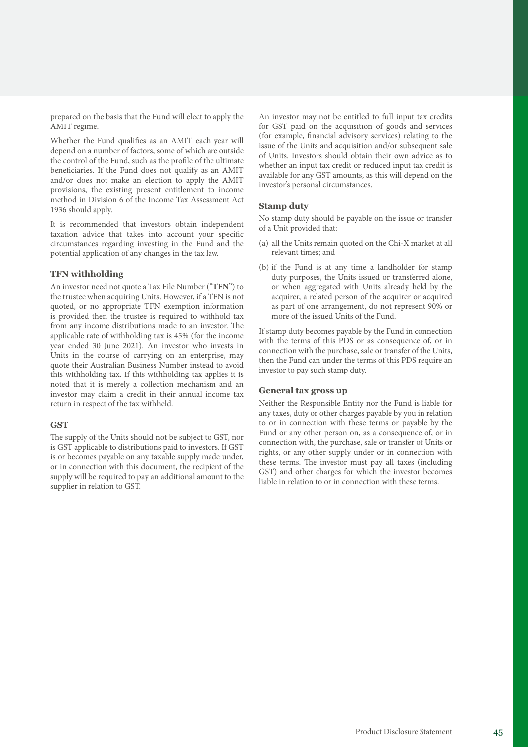prepared on the basis that the Fund will elect to apply the AMIT regime.

Whether the Fund qualifies as an AMIT each year will depend on a number of factors, some of which are outside the control of the Fund, such as the profile of the ultimate beneficiaries. If the Fund does not qualify as an AMIT and/or does not make an election to apply the AMIT provisions, the existing present entitlement to income method in Division 6 of the Income Tax Assessment Act 1936 should apply.

It is recommended that investors obtain independent taxation advice that takes into account your specific circumstances regarding investing in the Fund and the potential application of any changes in the tax law.

### **TFN withholding**

An investor need not quote a Tax File Number ("**TFN**") to the trustee when acquiring Units. However, if a TFN is not quoted, or no appropriate TFN exemption information is provided then the trustee is required to withhold tax from any income distributions made to an investor. The applicable rate of withholding tax is 45% (for the income year ended 30 June 2021). An investor who invests in Units in the course of carrying on an enterprise, may quote their Australian Business Number instead to avoid this withholding tax. If this withholding tax applies it is noted that it is merely a collection mechanism and an investor may claim a credit in their annual income tax return in respect of the tax withheld.

#### **GST**

The supply of the Units should not be subject to GST, nor is GST applicable to distributions paid to investors. If GST is or becomes payable on any taxable supply made under, or in connection with this document, the recipient of the supply will be required to pay an additional amount to the supplier in relation to GST.

An investor may not be entitled to full input tax credits for GST paid on the acquisition of goods and services (for example, financial advisory services) relating to the issue of the Units and acquisition and/or subsequent sale of Units. Investors should obtain their own advice as to whether an input tax credit or reduced input tax credit is available for any GST amounts, as this will depend on the investor's personal circumstances.

#### **Stamp duty**

No stamp duty should be payable on the issue or transfer of a Unit provided that:

- (a) all the Units remain quoted on the Chi-X market at all relevant times; and
- (b) if the Fund is at any time a landholder for stamp duty purposes, the Units issued or transferred alone, or when aggregated with Units already held by the acquirer, a related person of the acquirer or acquired as part of one arrangement, do not represent 90% or more of the issued Units of the Fund.

If stamp duty becomes payable by the Fund in connection with the terms of this PDS or as consequence of, or in connection with the purchase, sale or transfer of the Units, then the Fund can under the terms of this PDS require an investor to pay such stamp duty.

#### **General tax gross up**

Neither the Responsible Entity nor the Fund is liable for any taxes, duty or other charges payable by you in relation to or in connection with these terms or payable by the Fund or any other person on, as a consequence of, or in connection with, the purchase, sale or transfer of Units or rights, or any other supply under or in connection with these terms. The investor must pay all taxes (including GST) and other charges for which the investor becomes liable in relation to or in connection with these terms.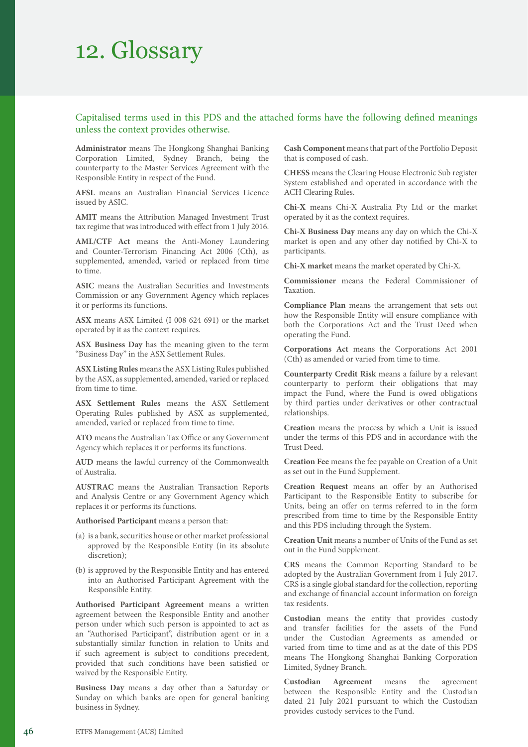### 12. Glossary

### Capitalised terms used in this PDS and the attached forms have the following defined meanings unless the context provides otherwise.

**Administrator** means The Hongkong Shanghai Banking Corporation Limited, Sydney Branch, being the counterparty to the Master Services Agreement with the Responsible Entity in respect of the Fund.

**AFSL** means an Australian Financial Services Licence issued by ASIC.

**AMIT** means the Attribution Managed Investment Trust tax regime that was introduced with effect from 1 July 2016.

**AML/CTF Act** means the Anti-Money Laundering and Counter-Terrorism Financing Act 2006 (Cth), as supplemented, amended, varied or replaced from time to time.

**ASIC** means the Australian Securities and Investments Commission or any Government Agency which replaces it or performs its functions.

**ASX** means ASX Limited (I 008 624 691) or the market operated by it as the context requires.

**ASX Business Day** has the meaning given to the term "Business Day" in the ASX Settlement Rules.

**ASX Listing Rules** means the ASX Listing Rules published by the ASX, as supplemented, amended, varied or replaced from time to time.

**ASX Settlement Rules** means the ASX Settlement Operating Rules published by ASX as supplemented, amended, varied or replaced from time to time.

**ATO** means the Australian Tax Office or any Government Agency which replaces it or performs its functions.

**AUD** means the lawful currency of the Commonwealth of Australia.

**AUSTRAC** means the Australian Transaction Reports and Analysis Centre or any Government Agency which replaces it or performs its functions.

**Authorised Participant** means a person that:

- (a) is a bank, securities house or other market professional approved by the Responsible Entity (in its absolute discretion);
- (b) is approved by the Responsible Entity and has entered into an Authorised Participant Agreement with the Responsible Entity.

**Authorised Participant Agreement** means a written agreement between the Responsible Entity and another person under which such person is appointed to act as an "Authorised Participant", distribution agent or in a substantially similar function in relation to Units and if such agreement is subject to conditions precedent, provided that such conditions have been satisfied or waived by the Responsible Entity.

**Business Day** means a day other than a Saturday or Sunday on which banks are open for general banking business in Sydney.

**Cash Component** means that part of the Portfolio Deposit that is composed of cash.

**CHESS** means the Clearing House Electronic Sub register System established and operated in accordance with the ACH Clearing Rules.

**Chi-X** means Chi-X Australia Pty Ltd or the market operated by it as the context requires.

**Chi-X Business Day** means any day on which the Chi-X market is open and any other day notified by Chi-X to participants.

**Chi-X market** means the market operated by Chi-X.

**Commissioner** means the Federal Commissioner of Taxation.

**Compliance Plan** means the arrangement that sets out how the Responsible Entity will ensure compliance with both the Corporations Act and the Trust Deed when operating the Fund.

**Corporations Act** means the Corporations Act 2001 (Cth) as amended or varied from time to time.

**Counterparty Credit Risk** means a failure by a relevant counterparty to perform their obligations that may impact the Fund, where the Fund is owed obligations by third parties under derivatives or other contractual relationships.

**Creation** means the process by which a Unit is issued under the terms of this PDS and in accordance with the Trust Deed.

**Creation Fee** means the fee payable on Creation of a Unit as set out in the Fund Supplement.

**Creation Request** means an offer by an Authorised Participant to the Responsible Entity to subscribe for Units, being an offer on terms referred to in the form prescribed from time to time by the Responsible Entity and this PDS including through the System.

**Creation Unit** means a number of Units of the Fund as set out in the Fund Supplement.

**CRS** means the Common Reporting Standard to be adopted by the Australian Government from 1 July 2017. CRS is a single global standard for the collection, reporting and exchange of financial account information on foreign tax residents.

**Custodian** means the entity that provides custody and transfer facilities for the assets of the Fund under the Custodian Agreements as amended or varied from time to time and as at the date of this PDS means The Hongkong Shanghai Banking Corporation Limited, Sydney Branch.

**Custodian Agreement** means the agreement between the Responsible Entity and the Custodian dated 21 July 2021 pursuant to which the Custodian provides custody services to the Fund.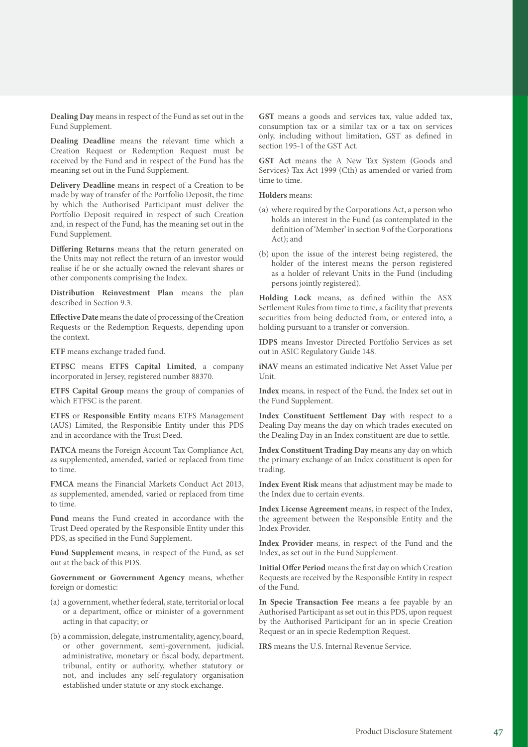**Dealing Day** means in respect of the Fund as set out in the Fund Supplement.

**Dealing Deadline** means the relevant time which a Creation Request or Redemption Request must be received by the Fund and in respect of the Fund has the meaning set out in the Fund Supplement.

**Delivery Deadline** means in respect of a Creation to be made by way of transfer of the Portfolio Deposit, the time by which the Authorised Participant must deliver the Portfolio Deposit required in respect of such Creation and, in respect of the Fund, has the meaning set out in the Fund Supplement.

**Differing Returns** means that the return generated on the Units may not reflect the return of an investor would realise if he or she actually owned the relevant shares or other components comprising the Index.

**Distribution Reinvestment Plan** means the plan described in Section 9.3.

**Effective Date** means the date of processing of the Creation Requests or the Redemption Requests, depending upon the context.

**ETF** means exchange traded fund.

**ETFSC** means **ETFS Capital Limited**, a company incorporated in Jersey, registered number 88370.

**ETFS Capital Group** means the group of companies of which ETFSC is the parent.

**ETFS** or **Responsible Entity** means ETFS Management (AUS) Limited, the Responsible Entity under this PDS and in accordance with the Trust Deed.

**FATCA** means the Foreign Account Tax Compliance Act, as supplemented, amended, varied or replaced from time to time.

**FMCA** means the Financial Markets Conduct Act 2013, as supplemented, amended, varied or replaced from time to time.

**Fund** means the Fund created in accordance with the Trust Deed operated by the Responsible Entity under this PDS, as specified in the Fund Supplement.

**Fund Supplement** means, in respect of the Fund, as set out at the back of this PDS.

**Government or Government Agency** means, whether foreign or domestic:

- (a) a government, whether federal, state, territorial or local or a department, office or minister of a government acting in that capacity; or
- (b) a commission, delegate, instrumentality, agency, board, or other government, semi-government, judicial, administrative, monetary or fiscal body, department, tribunal, entity or authority, whether statutory or not, and includes any self-regulatory organisation established under statute or any stock exchange.

GST means a goods and services tax, value added tax, consumption tax or a similar tax or a tax on services only, including without limitation, GST as defined in section 195-1 of the GST Act.

**GST Act** means the A New Tax System (Goods and Services) Tax Act 1999 (Cth) as amended or varied from time to time.

**Holders** means:

- (a) where required by the Corporations Act, a person who holds an interest in the Fund (as contemplated in the definition of 'Member' in section 9 of the Corporations Act); and
- (b) upon the issue of the interest being registered, the holder of the interest means the person registered as a holder of relevant Units in the Fund (including persons jointly registered).

**Holding Lock** means, as defined within the ASX Settlement Rules from time to time, a facility that prevents securities from being deducted from, or entered into, a holding pursuant to a transfer or conversion.

**IDPS** means Investor Directed Portfolio Services as set out in ASIC Regulatory Guide 148.

**iNAV** means an estimated indicative Net Asset Value per Unit.

**Index** means, in respect of the Fund, the Index set out in the Fund Supplement.

**Index Constituent Settlement Day** with respect to a Dealing Day means the day on which trades executed on the Dealing Day in an Index constituent are due to settle.

**Index Constituent Trading Day** means any day on which the primary exchange of an Index constituent is open for trading.

**Index Event Risk** means that adjustment may be made to the Index due to certain events.

**Index License Agreement** means, in respect of the Index, the agreement between the Responsible Entity and the Index Provider.

**Index Provider** means, in respect of the Fund and the Index, as set out in the Fund Supplement.

**Initial Offer Period** means the first day on which Creation Requests are received by the Responsible Entity in respect of the Fund.

**In Specie Transaction Fee** means a fee payable by an Authorised Participant as set out in this PDS, upon request by the Authorised Participant for an in specie Creation Request or an in specie Redemption Request.

**IRS** means the U.S. Internal Revenue Service.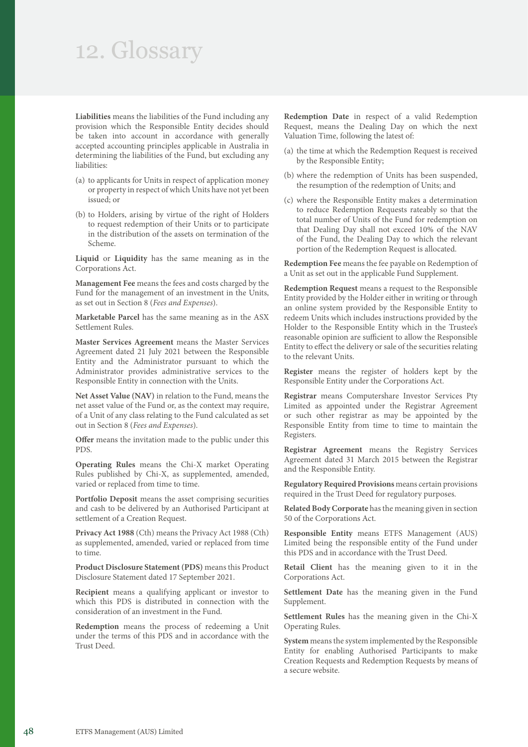### 12. Glossary

**Liabilities** means the liabilities of the Fund including any provision which the Responsible Entity decides should be taken into account in accordance with generally accepted accounting principles applicable in Australia in determining the liabilities of the Fund, but excluding any liabilities:

- (a) to applicants for Units in respect of application money or property in respect of which Units have not yet been issued; or
- (b) to Holders, arising by virtue of the right of Holders to request redemption of their Units or to participate in the distribution of the assets on termination of the Scheme.

**Liquid** or **Liquidity** has the same meaning as in the Corporations Act.

**Management Fee** means the fees and costs charged by the Fund for the management of an investment in the Units, as set out in Section 8 (*Fees and Expenses*).

**Marketable Parcel** has the same meaning as in the ASX Settlement Rules.

**Master Services Agreement** means the Master Services Agreement dated 21 July 2021 between the Responsible Entity and the Administrator pursuant to which the Administrator provides administrative services to the Responsible Entity in connection with the Units.

**Net Asset Value (NAV)** in relation to the Fund, means the net asset value of the Fund or, as the context may require, of a Unit of any class relating to the Fund calculated as set out in Section 8 (*Fees and Expenses*).

**Offer** means the invitation made to the public under this PDS.

**Operating Rules** means the Chi-X market Operating Rules published by Chi-X, as supplemented, amended, varied or replaced from time to time.

**Portfolio Deposit** means the asset comprising securities and cash to be delivered by an Authorised Participant at settlement of a Creation Request.

**Privacy Act 1988** (Cth) means the Privacy Act 1988 (Cth) as supplemented, amended, varied or replaced from time to time.

**Product Disclosure Statement (PDS)** means this Product Disclosure Statement dated 17 September 2021.

**Recipient** means a qualifying applicant or investor to which this PDS is distributed in connection with the consideration of an investment in the Fund.

**Redemption** means the process of redeeming a Unit under the terms of this PDS and in accordance with the Trust Deed.

**Redemption Date** in respect of a valid Redemption Request, means the Dealing Day on which the next Valuation Time, following the latest of:

- (a) the time at which the Redemption Request is received by the Responsible Entity;
- (b) where the redemption of Units has been suspended, the resumption of the redemption of Units; and
- (c) where the Responsible Entity makes a determination to reduce Redemption Requests rateably so that the total number of Units of the Fund for redemption on that Dealing Day shall not exceed 10% of the NAV of the Fund, the Dealing Day to which the relevant portion of the Redemption Request is allocated.

**Redemption Fee** means the fee payable on Redemption of a Unit as set out in the applicable Fund Supplement.

**Redemption Request** means a request to the Responsible Entity provided by the Holder either in writing or through an online system provided by the Responsible Entity to redeem Units which includes instructions provided by the Holder to the Responsible Entity which in the Trustee's reasonable opinion are sufficient to allow the Responsible Entity to effect the delivery or sale of the securities relating to the relevant Units.

**Register** means the register of holders kept by the Responsible Entity under the Corporations Act.

**Registrar** means Computershare Investor Services Pty Limited as appointed under the Registrar Agreement or such other registrar as may be appointed by the Responsible Entity from time to time to maintain the Registers.

**Registrar Agreement** means the Registry Services Agreement dated 31 March 2015 between the Registrar and the Responsible Entity.

**Regulatory Required Provisions** means certain provisions required in the Trust Deed for regulatory purposes.

**Related Body Corporate** has the meaning given in section 50 of the Corporations Act.

**Responsible Entity** means ETFS Management (AUS) Limited being the responsible entity of the Fund under this PDS and in accordance with the Trust Deed.

**Retail Client** has the meaning given to it in the Corporations Act.

**Settlement Date** has the meaning given in the Fund Supplement.

**Settlement Rules** has the meaning given in the Chi-X Operating Rules.

**System** means the system implemented by the Responsible Entity for enabling Authorised Participants to make Creation Requests and Redemption Requests by means of a secure website.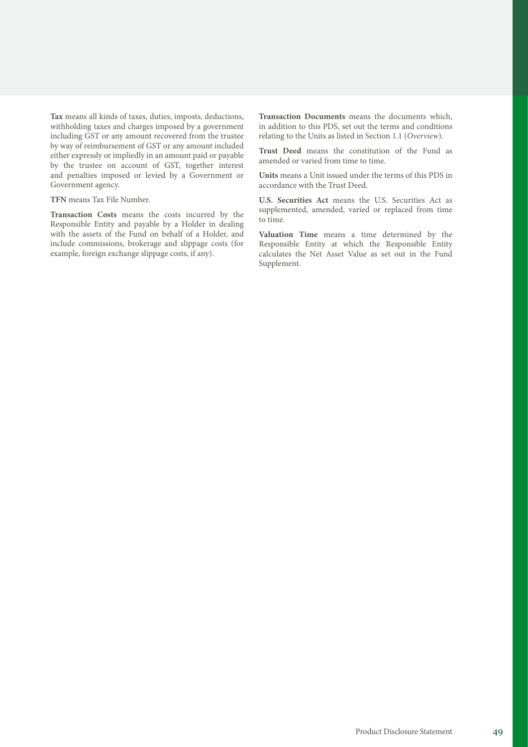**Tax** means all kinds of taxes, duties, imposts, deductions, withholding taxes and charges imposed by a government including GST or any amount recovered from the trustee by way of reimbursement of GST or any amount included either expressly or impliedly in an amount paid or payable by the trustee on account of GST, together interest and penalties imposed or levied by a Government or Government agency.

#### **TFN** means Tax File Number.

**Transaction Costs** means the costs incurred by the Responsible Entity and payable by a Holder in dealing with the assets of the Fund on behalf of a Holder, and include commissions, brokerage and slippage costs (for example, foreign exchange slippage costs, if any).

**Transaction Documents** means the documents which, in addition to this PDS, set out the terms and conditions relating to the Units as listed in Section 1.1 (*Overview*).

**Trust Deed** means the constitution of the Fund as amended or varied from time to time.

**Units** means a Unit issued under the terms of this PDS in accordance with the Trust Deed.

**U.S. Securities Act** means the U.S. Securities Act as supplemented, amended, varied or replaced from time to time.

**Valuation Time** means a time determined by the Responsible Entity at which the Responsible Entity calculates the Net Asset Value as set out in the Fund Supplement.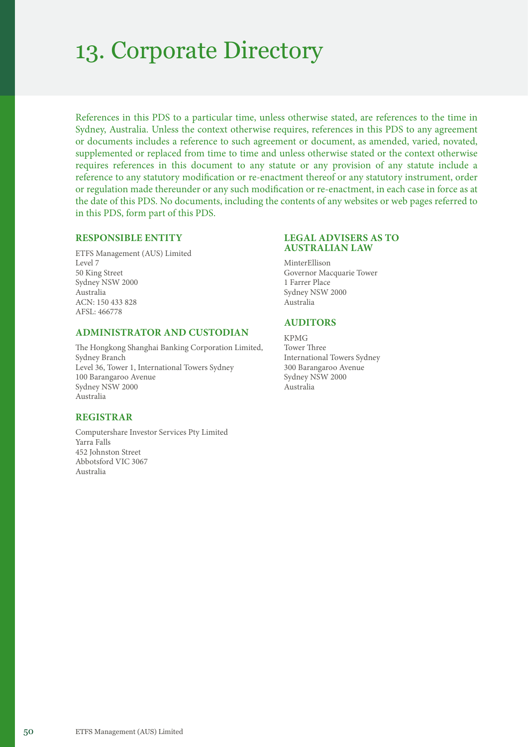### 13. Corporate Directory

References in this PDS to a particular time, unless otherwise stated, are references to the time in Sydney, Australia. Unless the context otherwise requires, references in this PDS to any agreement or documents includes a reference to such agreement or document, as amended, varied, novated, supplemented or replaced from time to time and unless otherwise stated or the context otherwise requires references in this document to any statute or any provision of any statute include a reference to any statutory modification or re-enactment thereof or any statutory instrument, order or regulation made thereunder or any such modification or re-enactment, in each case in force as at the date of this PDS. No documents, including the contents of any websites or web pages referred to in this PDS, form part of this PDS.

### **RESPONSIBLE ENTITY**

ETFS Management (AUS) Limited Level 7 50 King Street Sydney NSW 2000 Australia ACN: 150 433 828 AFSL: 466778

### **ADMINISTRATOR AND CUSTODIAN**

The Hongkong Shanghai Banking Corporation Limited, Sydney Branch Level 36, Tower 1, International Towers Sydney 100 Barangaroo Avenue Sydney NSW 2000 Australia

### **REGISTRAR**

Computershare Investor Services Pty Limited Yarra Falls 452 Johnston Street Abbotsford VIC 3067 Australia

### **LEGAL ADVISERS AS TO AUSTRALIAN LAW**

MinterEllison Governor Macquarie Tower 1 Farrer Place Sydney NSW 2000 Australia

### **AUDITORS**

KPMG Tower Three International Towers Sydney 300 Barangaroo Avenue Sydney NSW 2000 Australia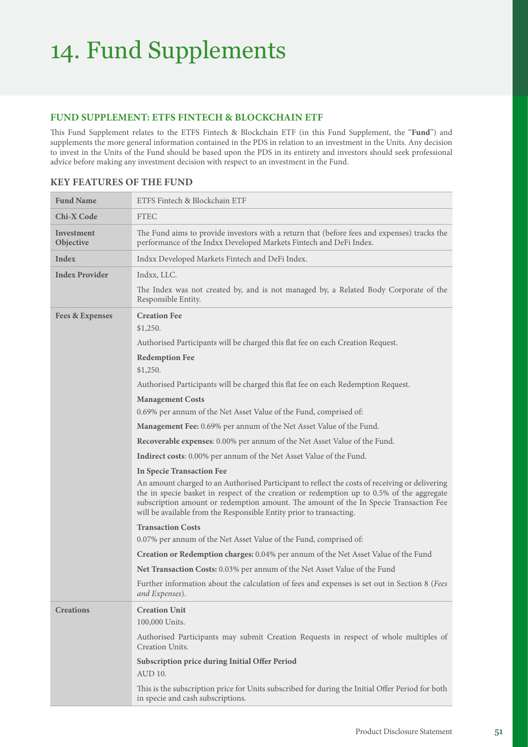## 14. Fund Supplements

### **FUND SUPPLEMENT: ETFS FINTECH & BLOCKCHAIN ETF**

This Fund Supplement relates to the ETFS Fintech & Blockchain ETF (in this Fund Supplement, the "**Fund**") and supplements the more general information contained in the PDS in relation to an investment in the Units. Any decision to invest in the Units of the Fund should be based upon the PDS in its entirety and investors should seek professional advice before making any investment decision with respect to an investment in the Fund.

| <b>Fund Name</b>           | ETFS Fintech & Blockchain ETF                                                                                                                                                                                                                                                                                                                               |
|----------------------------|-------------------------------------------------------------------------------------------------------------------------------------------------------------------------------------------------------------------------------------------------------------------------------------------------------------------------------------------------------------|
| <b>Chi-X Code</b>          | <b>FTEC</b>                                                                                                                                                                                                                                                                                                                                                 |
| Investment<br>Objective    | The Fund aims to provide investors with a return that (before fees and expenses) tracks the<br>performance of the Indxx Developed Markets Fintech and DeFi Index.                                                                                                                                                                                           |
| Index                      | Indxx Developed Markets Fintech and DeFi Index.                                                                                                                                                                                                                                                                                                             |
| <b>Index Provider</b>      | Indxx, LLC.                                                                                                                                                                                                                                                                                                                                                 |
|                            | The Index was not created by, and is not managed by, a Related Body Corporate of the<br>Responsible Entity.                                                                                                                                                                                                                                                 |
| <b>Fees &amp; Expenses</b> | <b>Creation Fee</b><br>\$1,250.                                                                                                                                                                                                                                                                                                                             |
|                            | Authorised Participants will be charged this flat fee on each Creation Request.                                                                                                                                                                                                                                                                             |
|                            | <b>Redemption Fee</b><br>\$1,250.                                                                                                                                                                                                                                                                                                                           |
|                            | Authorised Participants will be charged this flat fee on each Redemption Request.                                                                                                                                                                                                                                                                           |
|                            | <b>Management Costs</b>                                                                                                                                                                                                                                                                                                                                     |
|                            | 0.69% per annum of the Net Asset Value of the Fund, comprised of:                                                                                                                                                                                                                                                                                           |
|                            | Management Fee: 0.69% per annum of the Net Asset Value of the Fund.                                                                                                                                                                                                                                                                                         |
|                            | Recoverable expenses: 0.00% per annum of the Net Asset Value of the Fund.                                                                                                                                                                                                                                                                                   |
|                            | <b>Indirect costs:</b> 0.00% per annum of the Net Asset Value of the Fund.                                                                                                                                                                                                                                                                                  |
|                            | <b>In Specie Transaction Fee</b>                                                                                                                                                                                                                                                                                                                            |
|                            | An amount charged to an Authorised Participant to reflect the costs of receiving or delivering<br>the in specie basket in respect of the creation or redemption up to 0.5% of the aggregate<br>subscription amount or redemption amount. The amount of the In Specie Transaction Fee<br>will be available from the Responsible Entity prior to transacting. |
|                            | <b>Transaction Costs</b>                                                                                                                                                                                                                                                                                                                                    |
|                            | 0.07% per annum of the Net Asset Value of the Fund, comprised of:                                                                                                                                                                                                                                                                                           |
|                            | Creation or Redemption charges: 0.04% per annum of the Net Asset Value of the Fund                                                                                                                                                                                                                                                                          |
|                            | Net Transaction Costs: 0.03% per annum of the Net Asset Value of the Fund                                                                                                                                                                                                                                                                                   |
|                            | Further information about the calculation of fees and expenses is set out in Section 8 (Fees<br>and Expenses).                                                                                                                                                                                                                                              |
| <b>Creations</b>           | <b>Creation Unit</b><br>100,000 Units.                                                                                                                                                                                                                                                                                                                      |
|                            | Authorised Participants may submit Creation Requests in respect of whole multiples of<br>Creation Units.                                                                                                                                                                                                                                                    |
|                            | Subscription price during Initial Offer Period<br>AUD 10.                                                                                                                                                                                                                                                                                                   |
|                            | This is the subscription price for Units subscribed for during the Initial Offer Period for both<br>in specie and cash subscriptions.                                                                                                                                                                                                                       |

### **KEY FEATURES OF THE FUND**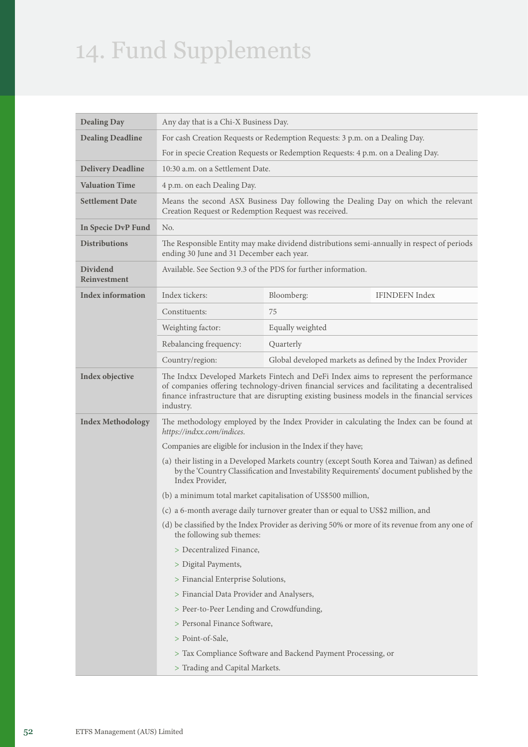# 14. Fund Supplements

| <b>Dealing Day</b>       | Any day that is a Chi-X Business Day.                                                                                                                                                                                                                                                             |                                                                                  |  |
|--------------------------|---------------------------------------------------------------------------------------------------------------------------------------------------------------------------------------------------------------------------------------------------------------------------------------------------|----------------------------------------------------------------------------------|--|
| <b>Dealing Deadline</b>  |                                                                                                                                                                                                                                                                                                   | For cash Creation Requests or Redemption Requests: 3 p.m. on a Dealing Day.      |  |
|                          |                                                                                                                                                                                                                                                                                                   | For in specie Creation Requests or Redemption Requests: 4 p.m. on a Dealing Day. |  |
| <b>Delivery Deadline</b> | 10:30 a.m. on a Settlement Date.                                                                                                                                                                                                                                                                  |                                                                                  |  |
| <b>Valuation Time</b>    | 4 p.m. on each Dealing Day.                                                                                                                                                                                                                                                                       |                                                                                  |  |
| <b>Settlement Date</b>   | Means the second ASX Business Day following the Dealing Day on which the relevant<br>Creation Request or Redemption Request was received.                                                                                                                                                         |                                                                                  |  |
| In Specie DvP Fund       | No.                                                                                                                                                                                                                                                                                               |                                                                                  |  |
| <b>Distributions</b>     | The Responsible Entity may make dividend distributions semi-annually in respect of periods<br>ending 30 June and 31 December each year.                                                                                                                                                           |                                                                                  |  |
| Dividend<br>Reinvestment | Available. See Section 9.3 of the PDS for further information.                                                                                                                                                                                                                                    |                                                                                  |  |
| <b>Index information</b> | Index tickers:                                                                                                                                                                                                                                                                                    | <b>IFINDEFN Index</b><br>Bloomberg:                                              |  |
|                          | Constituents:                                                                                                                                                                                                                                                                                     | 75                                                                               |  |
|                          | Weighting factor:                                                                                                                                                                                                                                                                                 | Equally weighted                                                                 |  |
|                          | Rebalancing frequency:                                                                                                                                                                                                                                                                            | Quarterly                                                                        |  |
|                          | Country/region:                                                                                                                                                                                                                                                                                   | Global developed markets as defined by the Index Provider                        |  |
| Index objective          | The Indxx Developed Markets Fintech and DeFi Index aims to represent the performance<br>of companies offering technology-driven financial services and facilitating a decentralised<br>finance infrastructure that are disrupting existing business models in the financial services<br>industry. |                                                                                  |  |
| <b>Index Methodology</b> | The methodology employed by the Index Provider in calculating the Index can be found at<br>https://indxx.com/indices.                                                                                                                                                                             |                                                                                  |  |
|                          | Companies are eligible for inclusion in the Index if they have;                                                                                                                                                                                                                                   |                                                                                  |  |
|                          | (a) their listing in a Developed Markets country (except South Korea and Taiwan) as defined<br>by the 'Country Classification and Investability Requirements' document published by the<br>Index Provider,                                                                                        |                                                                                  |  |
|                          | (b) a minimum total market capitalisation of US\$500 million,                                                                                                                                                                                                                                     |                                                                                  |  |
|                          | (c) a 6-month average daily turnover greater than or equal to US\$2 million, and                                                                                                                                                                                                                  |                                                                                  |  |
|                          | (d) be classified by the Index Provider as deriving 50% or more of its revenue from any one of<br>the following sub themes:                                                                                                                                                                       |                                                                                  |  |
|                          | > Decentralized Finance,                                                                                                                                                                                                                                                                          |                                                                                  |  |
|                          | > Digital Payments,                                                                                                                                                                                                                                                                               |                                                                                  |  |
|                          | > Financial Enterprise Solutions,                                                                                                                                                                                                                                                                 |                                                                                  |  |
|                          | > Financial Data Provider and Analysers,                                                                                                                                                                                                                                                          |                                                                                  |  |
|                          | > Peer-to-Peer Lending and Crowdfunding,                                                                                                                                                                                                                                                          |                                                                                  |  |
|                          | > Personal Finance Software,                                                                                                                                                                                                                                                                      |                                                                                  |  |
|                          | > Point-of-Sale,                                                                                                                                                                                                                                                                                  |                                                                                  |  |
|                          |                                                                                                                                                                                                                                                                                                   | > Tax Compliance Software and Backend Payment Processing, or                     |  |
|                          | > Trading and Capital Markets.                                                                                                                                                                                                                                                                    |                                                                                  |  |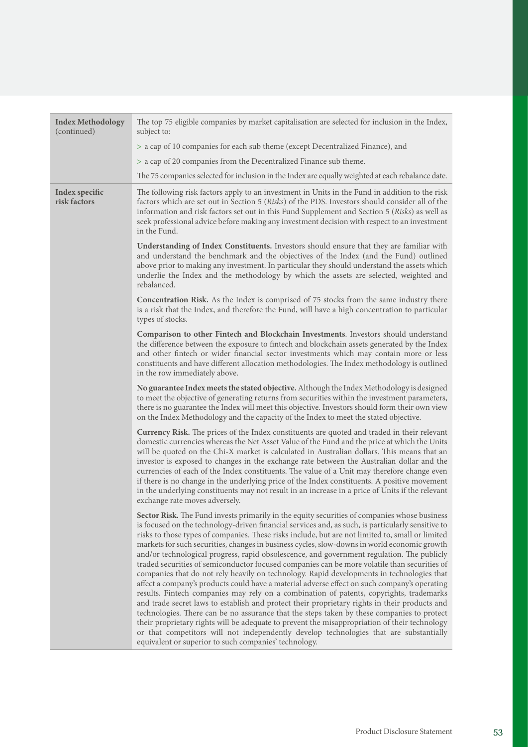| <b>Index Methodology</b><br>(continued) | The top 75 eligible companies by market capitalisation are selected for inclusion in the Index,<br>subject to:                                                                                                                                                                                                                                                                                                                                                                                                                                                                                                                                                                                                                                                                                                                                                                                                                                                                                                                                                                                                                                                                                                                                                                                                                                 |  |
|-----------------------------------------|------------------------------------------------------------------------------------------------------------------------------------------------------------------------------------------------------------------------------------------------------------------------------------------------------------------------------------------------------------------------------------------------------------------------------------------------------------------------------------------------------------------------------------------------------------------------------------------------------------------------------------------------------------------------------------------------------------------------------------------------------------------------------------------------------------------------------------------------------------------------------------------------------------------------------------------------------------------------------------------------------------------------------------------------------------------------------------------------------------------------------------------------------------------------------------------------------------------------------------------------------------------------------------------------------------------------------------------------|--|
|                                         | > a cap of 10 companies for each sub theme (except Decentralized Finance), and                                                                                                                                                                                                                                                                                                                                                                                                                                                                                                                                                                                                                                                                                                                                                                                                                                                                                                                                                                                                                                                                                                                                                                                                                                                                 |  |
|                                         | > a cap of 20 companies from the Decentralized Finance sub theme.                                                                                                                                                                                                                                                                                                                                                                                                                                                                                                                                                                                                                                                                                                                                                                                                                                                                                                                                                                                                                                                                                                                                                                                                                                                                              |  |
|                                         | The 75 companies selected for inclusion in the Index are equally weighted at each rebalance date.                                                                                                                                                                                                                                                                                                                                                                                                                                                                                                                                                                                                                                                                                                                                                                                                                                                                                                                                                                                                                                                                                                                                                                                                                                              |  |
| Index specific<br>risk factors          | The following risk factors apply to an investment in Units in the Fund in addition to the risk<br>factors which are set out in Section 5 (Risks) of the PDS. Investors should consider all of the<br>information and risk factors set out in this Fund Supplement and Section 5 (Risks) as well as<br>seek professional advice before making any investment decision with respect to an investment<br>in the Fund.                                                                                                                                                                                                                                                                                                                                                                                                                                                                                                                                                                                                                                                                                                                                                                                                                                                                                                                             |  |
|                                         | Understanding of Index Constituents. Investors should ensure that they are familiar with<br>and understand the benchmark and the objectives of the Index (and the Fund) outlined<br>above prior to making any investment. In particular they should understand the assets which<br>underlie the Index and the methodology by which the assets are selected, weighted and<br>rebalanced.                                                                                                                                                                                                                                                                                                                                                                                                                                                                                                                                                                                                                                                                                                                                                                                                                                                                                                                                                        |  |
|                                         | Concentration Risk. As the Index is comprised of 75 stocks from the same industry there<br>is a risk that the Index, and therefore the Fund, will have a high concentration to particular<br>types of stocks.                                                                                                                                                                                                                                                                                                                                                                                                                                                                                                                                                                                                                                                                                                                                                                                                                                                                                                                                                                                                                                                                                                                                  |  |
|                                         | Comparison to other Fintech and Blockchain Investments. Investors should understand<br>the difference between the exposure to fintech and blockchain assets generated by the Index<br>and other fintech or wider financial sector investments which may contain more or less<br>constituents and have different allocation methodologies. The Index methodology is outlined<br>in the row immediately above.                                                                                                                                                                                                                                                                                                                                                                                                                                                                                                                                                                                                                                                                                                                                                                                                                                                                                                                                   |  |
|                                         | No guarantee Index meets the stated objective. Although the Index Methodology is designed<br>to meet the objective of generating returns from securities within the investment parameters,<br>there is no guarantee the Index will meet this objective. Investors should form their own view<br>on the Index Methodology and the capacity of the Index to meet the stated objective.                                                                                                                                                                                                                                                                                                                                                                                                                                                                                                                                                                                                                                                                                                                                                                                                                                                                                                                                                           |  |
|                                         | Currency Risk. The prices of the Index constituents are quoted and traded in their relevant<br>domestic currencies whereas the Net Asset Value of the Fund and the price at which the Units<br>will be quoted on the Chi-X market is calculated in Australian dollars. This means that an<br>investor is exposed to changes in the exchange rate between the Australian dollar and the<br>currencies of each of the Index constituents. The value of a Unit may therefore change even<br>if there is no change in the underlying price of the Index constituents. A positive movement<br>in the underlying constituents may not result in an increase in a price of Units if the relevant<br>exchange rate moves adversely.                                                                                                                                                                                                                                                                                                                                                                                                                                                                                                                                                                                                                    |  |
|                                         | Sector Risk. The Fund invests primarily in the equity securities of companies whose business<br>is focused on the technology-driven financial services and, as such, is particularly sensitive to<br>risks to those types of companies. These risks include, but are not limited to, small or limited<br>markets for such securities, changes in business cycles, slow-downs in world economic growth<br>and/or technological progress, rapid obsolescence, and government regulation. The publicly<br>traded securities of semiconductor focused companies can be more volatile than securities of<br>companies that do not rely heavily on technology. Rapid developments in technologies that<br>affect a company's products could have a material adverse effect on such company's operating<br>results. Fintech companies may rely on a combination of patents, copyrights, trademarks<br>and trade secret laws to establish and protect their proprietary rights in their products and<br>technologies. There can be no assurance that the steps taken by these companies to protect<br>their proprietary rights will be adequate to prevent the misappropriation of their technology<br>or that competitors will not independently develop technologies that are substantially<br>equivalent or superior to such companies' technology. |  |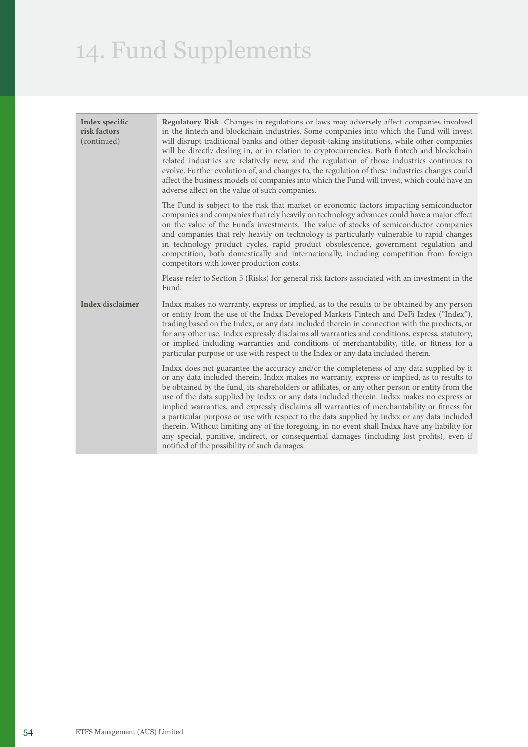# 14. Fund Supplements

| Index specific<br>risk factors<br>(continued) | Regulatory Risk. Changes in regulations or laws may adversely affect companies involved<br>in the fintech and blockchain industries. Some companies into which the Fund will invest<br>will disrupt traditional banks and other deposit-taking institutions, while other companies<br>will be directly dealing in, or in relation to cryptocurrencies. Both fintech and blockchain<br>related industries are relatively new, and the regulation of those industries continues to<br>evolve. Further evolution of, and changes to, the regulation of these industries changes could<br>affect the business models of companies into which the Fund will invest, which could have an<br>adverse affect on the value of such companies.                                                                                                    |
|-----------------------------------------------|-----------------------------------------------------------------------------------------------------------------------------------------------------------------------------------------------------------------------------------------------------------------------------------------------------------------------------------------------------------------------------------------------------------------------------------------------------------------------------------------------------------------------------------------------------------------------------------------------------------------------------------------------------------------------------------------------------------------------------------------------------------------------------------------------------------------------------------------|
|                                               | The Fund is subject to the risk that market or economic factors impacting semiconductor<br>companies and companies that rely heavily on technology advances could have a major effect<br>on the value of the Fund's investments. The value of stocks of semiconductor companies<br>and companies that rely heavily on technology is particularly vulnerable to rapid changes<br>in technology product cycles, rapid product obsolescence, government regulation and<br>competition, both domestically and internationally, including competition from foreign<br>competitors with lower production costs.                                                                                                                                                                                                                               |
|                                               | Please refer to Section 5 (Risks) for general risk factors associated with an investment in the<br>Fund.                                                                                                                                                                                                                                                                                                                                                                                                                                                                                                                                                                                                                                                                                                                                |
| <b>Index disclaimer</b>                       | Indxx makes no warranty, express or implied, as to the results to be obtained by any person<br>or entity from the use of the Indxx Developed Markets Fintech and DeFi Index ("Index"),<br>trading based on the Index, or any data included therein in connection with the products, or<br>for any other use. Indxx expressly disclaims all warranties and conditions, express, statutory,<br>or implied including warranties and conditions of merchantability, title, or fitness for a<br>particular purpose or use with respect to the Index or any data included therein.                                                                                                                                                                                                                                                            |
|                                               | Indxx does not guarantee the accuracy and/or the completeness of any data supplied by it<br>or any data included therein. Indxx makes no warranty, express or implied, as to results to<br>be obtained by the fund, its shareholders or affiliates, or any other person or entity from the<br>use of the data supplied by Indxx or any data included therein. Indxx makes no express or<br>implied warranties, and expressly disclaims all warranties of merchantability or fitness for<br>a particular purpose or use with respect to the data supplied by Indxx or any data included<br>therein. Without limiting any of the foregoing, in no event shall Indxx have any liability for<br>any special, punitive, indirect, or consequential damages (including lost profits), even if<br>notified of the possibility of such damages. |